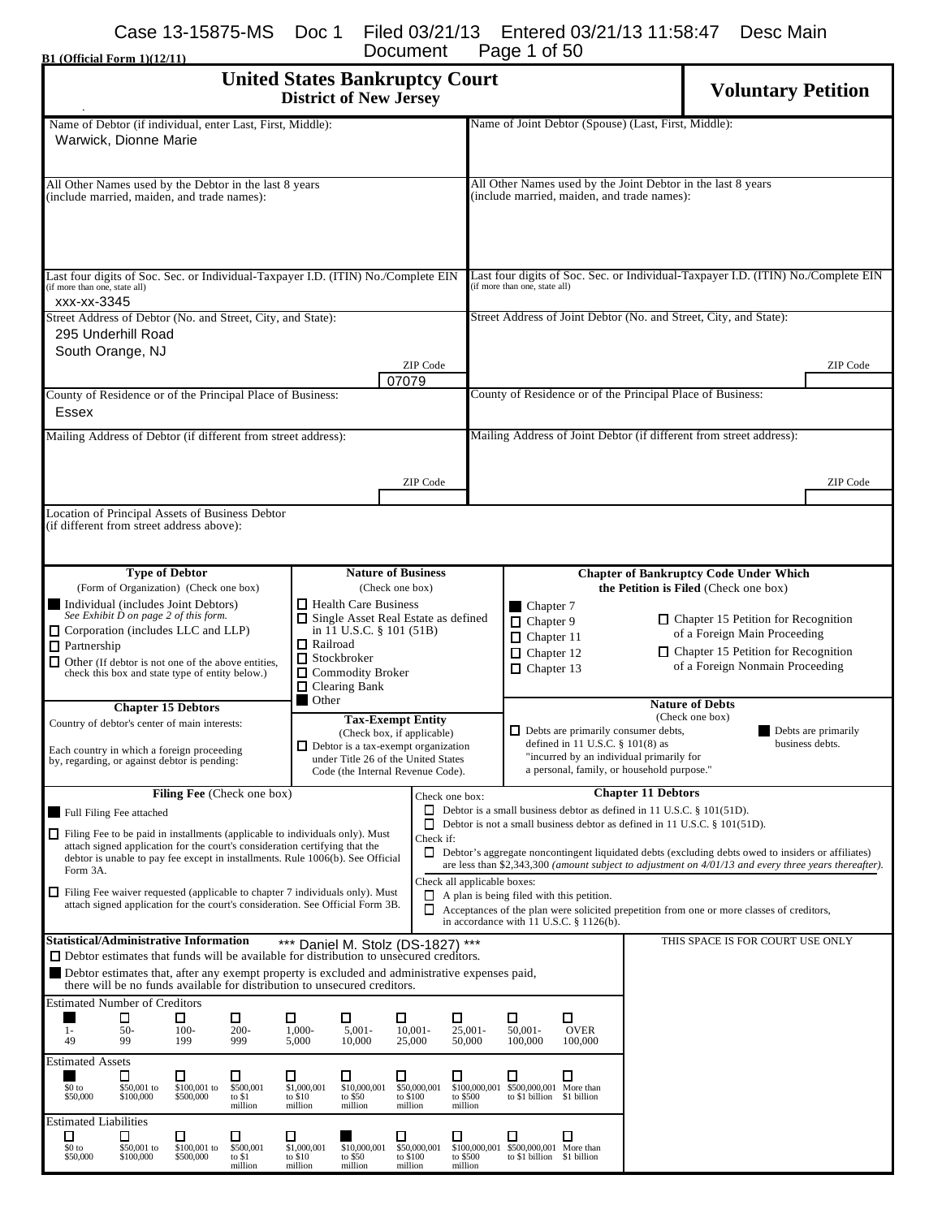Case 13-15875-MS Doc 1 Filed 03/21/13 Entered 03/21/13 11:58:47 Desc Main

| <b>B1 (Official Form 1)(12/11)</b> |  |
|------------------------------------|--|
|                                    |  |

|          | <b>THEY OUT SIGNAL LITES IN THE UPPER IN THE UPPER</b> |  |
|----------|--------------------------------------------------------|--|
| Document | Page 1 of 50                                           |  |
|          |                                                        |  |

| <b>United States Bankruptcy Court</b><br><b>District of New Jersey</b>                                                                                                                                                                                                                                                                                                                                                                                         |                                                                                                                                                                                  |                                          |                                           |                                                                            | <b>Voluntary Petition</b>                                                                                                                                                |                           |                                                                                                                                                                                                                                                                                                                                                                                         |
|----------------------------------------------------------------------------------------------------------------------------------------------------------------------------------------------------------------------------------------------------------------------------------------------------------------------------------------------------------------------------------------------------------------------------------------------------------------|----------------------------------------------------------------------------------------------------------------------------------------------------------------------------------|------------------------------------------|-------------------------------------------|----------------------------------------------------------------------------|--------------------------------------------------------------------------------------------------------------------------------------------------------------------------|---------------------------|-----------------------------------------------------------------------------------------------------------------------------------------------------------------------------------------------------------------------------------------------------------------------------------------------------------------------------------------------------------------------------------------|
| Name of Debtor (if individual, enter Last, First, Middle):                                                                                                                                                                                                                                                                                                                                                                                                     |                                                                                                                                                                                  |                                          |                                           |                                                                            | Name of Joint Debtor (Spouse) (Last, First, Middle):                                                                                                                     |                           |                                                                                                                                                                                                                                                                                                                                                                                         |
| Warwick, Dionne Marie                                                                                                                                                                                                                                                                                                                                                                                                                                          |                                                                                                                                                                                  |                                          |                                           |                                                                            |                                                                                                                                                                          |                           |                                                                                                                                                                                                                                                                                                                                                                                         |
| All Other Names used by the Debtor in the last 8 years<br>(include married, maiden, and trade names):                                                                                                                                                                                                                                                                                                                                                          |                                                                                                                                                                                  |                                          |                                           |                                                                            | (include married, maiden, and trade names):                                                                                                                              |                           | All Other Names used by the Joint Debtor in the last 8 years                                                                                                                                                                                                                                                                                                                            |
| Last four digits of Soc. Sec. or Individual-Taxpayer I.D. (ITIN) No./Complete EIN<br>(if more than one, state all)<br>xxx-xx-3345                                                                                                                                                                                                                                                                                                                              |                                                                                                                                                                                  |                                          |                                           | (if more than one, state all)                                              |                                                                                                                                                                          |                           | Last four digits of Soc. Sec. or Individual-Taxpayer I.D. (ITIN) No./Complete EIN                                                                                                                                                                                                                                                                                                       |
| Street Address of Debtor (No. and Street, City, and State):<br>295 Underhill Road<br>South Orange, NJ                                                                                                                                                                                                                                                                                                                                                          |                                                                                                                                                                                  | ZIP Code                                 |                                           |                                                                            |                                                                                                                                                                          |                           | Street Address of Joint Debtor (No. and Street, City, and State):<br>ZIP Code                                                                                                                                                                                                                                                                                                           |
|                                                                                                                                                                                                                                                                                                                                                                                                                                                                |                                                                                                                                                                                  | 07079                                    |                                           |                                                                            |                                                                                                                                                                          |                           |                                                                                                                                                                                                                                                                                                                                                                                         |
| County of Residence or of the Principal Place of Business:<br>Essex                                                                                                                                                                                                                                                                                                                                                                                            |                                                                                                                                                                                  |                                          |                                           |                                                                            |                                                                                                                                                                          |                           | County of Residence or of the Principal Place of Business:                                                                                                                                                                                                                                                                                                                              |
| Mailing Address of Debtor (if different from street address):                                                                                                                                                                                                                                                                                                                                                                                                  |                                                                                                                                                                                  |                                          |                                           |                                                                            |                                                                                                                                                                          |                           | Mailing Address of Joint Debtor (if different from street address):                                                                                                                                                                                                                                                                                                                     |
|                                                                                                                                                                                                                                                                                                                                                                                                                                                                |                                                                                                                                                                                  | ZIP Code                                 |                                           |                                                                            |                                                                                                                                                                          |                           | ZIP Code                                                                                                                                                                                                                                                                                                                                                                                |
| Location of Principal Assets of Business Debtor<br>(if different from street address above):                                                                                                                                                                                                                                                                                                                                                                   |                                                                                                                                                                                  |                                          |                                           |                                                                            |                                                                                                                                                                          |                           |                                                                                                                                                                                                                                                                                                                                                                                         |
| <b>Type of Debtor</b>                                                                                                                                                                                                                                                                                                                                                                                                                                          |                                                                                                                                                                                  | <b>Nature of Business</b>                |                                           |                                                                            |                                                                                                                                                                          |                           | <b>Chapter of Bankruptcy Code Under Which</b>                                                                                                                                                                                                                                                                                                                                           |
| (Form of Organization) (Check one box)<br>Individual (includes Joint Debtors)                                                                                                                                                                                                                                                                                                                                                                                  | $\Box$ Health Care Business                                                                                                                                                      | (Check one box)                          |                                           | Chapter 7                                                                  |                                                                                                                                                                          |                           | the Petition is Filed (Check one box)                                                                                                                                                                                                                                                                                                                                                   |
| See Exhibit D on page 2 of this form.<br>$\Box$ Corporation (includes LLC and LLP)<br>$\Box$ Partnership<br>$\Box$ Other (If debtor is not one of the above entities,<br>check this box and state type of entity below.)                                                                                                                                                                                                                                       | Single Asset Real Estate as defined<br>in 11 U.S.C. $\S$ 101 (51B)<br>$\Box$ Railroad<br>$\Box$ Stockbroker<br><b>Commodity Broker</b><br>□<br>$\Box$ Clearing Bank              |                                          |                                           | $\Box$ Chapter 9<br>$\Box$ Chapter 11<br>$\Box$ Chapter 12<br>□ Chapter 13 |                                                                                                                                                                          |                           | $\Box$ Chapter 15 Petition for Recognition<br>of a Foreign Main Proceeding<br>$\Box$ Chapter 15 Petition for Recognition<br>of a Foreign Nonmain Proceeding                                                                                                                                                                                                                             |
| <b>Chapter 15 Debtors</b>                                                                                                                                                                                                                                                                                                                                                                                                                                      | <b>Other</b>                                                                                                                                                                     |                                          |                                           |                                                                            |                                                                                                                                                                          |                           | <b>Nature of Debts</b>                                                                                                                                                                                                                                                                                                                                                                  |
| Country of debtor's center of main interests:<br>Each country in which a foreign proceeding<br>by, regarding, or against debtor is pending:                                                                                                                                                                                                                                                                                                                    | <b>Tax-Exempt Entity</b><br>(Check box, if applicable)<br>$\Box$ Debtor is a tax-exempt organization<br>under Title 26 of the United States<br>Code (the Internal Revenue Code). |                                          |                                           |                                                                            | $\Box$ Debts are primarily consumer debts,<br>defined in 11 U.S.C. § 101(8) as<br>"incurred by an individual primarily for<br>a personal, family, or household purpose." |                           | (Check one box)<br>Debts are primarily<br>business debts.                                                                                                                                                                                                                                                                                                                               |
| <b>Filing Fee</b> (Check one box)                                                                                                                                                                                                                                                                                                                                                                                                                              |                                                                                                                                                                                  |                                          |                                           |                                                                            |                                                                                                                                                                          | <b>Chapter 11 Debtors</b> |                                                                                                                                                                                                                                                                                                                                                                                         |
| Full Filing Fee attached<br>$\Box$ Filing Fee to be paid in installments (applicable to individuals only). Must<br>attach signed application for the court's consideration certifying that the<br>debtor is unable to pay fee except in installments. Rule 1006(b). See Official<br>Form 3A.<br>Filing Fee waiver requested (applicable to chapter 7 individuals only). Must<br>attach signed application for the court's consideration. See Official Form 3B. | Check one box:<br>□<br>□<br>Check if:<br>□<br>Check all applicable boxes:<br>П                                                                                                   |                                          |                                           |                                                                            | Debtor is a small business debtor as defined in 11 U.S.C. § 101(51D).<br>$\Box$ A plan is being filed with this petition.<br>in accordance with 11 U.S.C. § 1126(b).     |                           | Debtor is not a small business debtor as defined in 11 U.S.C. § 101(51D).<br>Debtor's aggregate noncontingent liquidated debts (excluding debts owed to insiders or affiliates)<br>are less than \$2,343,300 (amount subject to adjustment on $4/01/13$ and every three years thereafter).<br>Acceptances of the plan were solicited prepetition from one or more classes of creditors, |
| <b>Statistical/Administrative Information</b><br>THIS SPACE IS FOR COURT USE ONLY<br>***<br>Daniel M. Stolz (DS-1827)<br>$\Box$ Debtor estimates that funds will be available for distribution to unsecured creditors.<br>Debtor estimates that, after any exempt property is excluded and administrative expenses paid,<br>there will be no funds available for distribution to unsecured creditors.                                                          |                                                                                                                                                                                  |                                          |                                           |                                                                            |                                                                                                                                                                          |                           |                                                                                                                                                                                                                                                                                                                                                                                         |
| <b>Estimated Number of Creditors</b><br>П<br>⊔<br>⊔<br>$50-$<br>$200 -$<br>$100 -$<br>$1-$<br>999<br>49<br>99<br>199                                                                                                                                                                                                                                                                                                                                           | □<br>□<br>□<br>□<br>$1,000-$<br>$5,001-$<br>$10,001 -$<br>$25,001 -$<br>5,000<br>10,000<br>25,000<br>50,000                                                                      |                                          |                                           | ⊔<br>$50,001 -$<br>100,000                                                 | □<br><b>OVER</b><br>100,000                                                                                                                                              |                           |                                                                                                                                                                                                                                                                                                                                                                                         |
| <b>Estimated Assets</b><br>□<br>⊔<br>⊔<br>\$0 to<br>\$100,001 to<br>\$500,001<br>\$50,001 to<br>\$50,000<br>\$100,000<br>\$500,000<br>to $$1$<br>million                                                                                                                                                                                                                                                                                                       | □<br>□<br>\$1,000,001<br>\$10,000,001<br>to \$50<br>to \$10<br>million<br>million                                                                                                | □<br>\$50,000,001<br>to \$100<br>million | □<br>\$100,000,001<br>to \$500<br>million | ⊔<br>\$500,000,001 More than<br>to \$1 billion                             | □<br>\$1 billion                                                                                                                                                         |                           |                                                                                                                                                                                                                                                                                                                                                                                         |
| <b>Estimated Liabilities</b><br>□<br>□<br>□<br>□<br>□<br>\$0 to<br>\$50,001 to<br>\$100,001 to<br>\$500,001<br>\$50,000<br>\$100,000<br>\$500,000<br>to \$1<br>million                                                                                                                                                                                                                                                                                         | \$1,000,001<br>\$10,000,001<br>to \$10<br>to \$50<br>million<br>million                                                                                                          | □<br>\$50,000,001<br>to \$100<br>million | □<br>\$100,000,001<br>to \$500<br>million | □<br>\$500,000,001 More than<br>to \$1 billion \$1 billion                 | □                                                                                                                                                                        |                           |                                                                                                                                                                                                                                                                                                                                                                                         |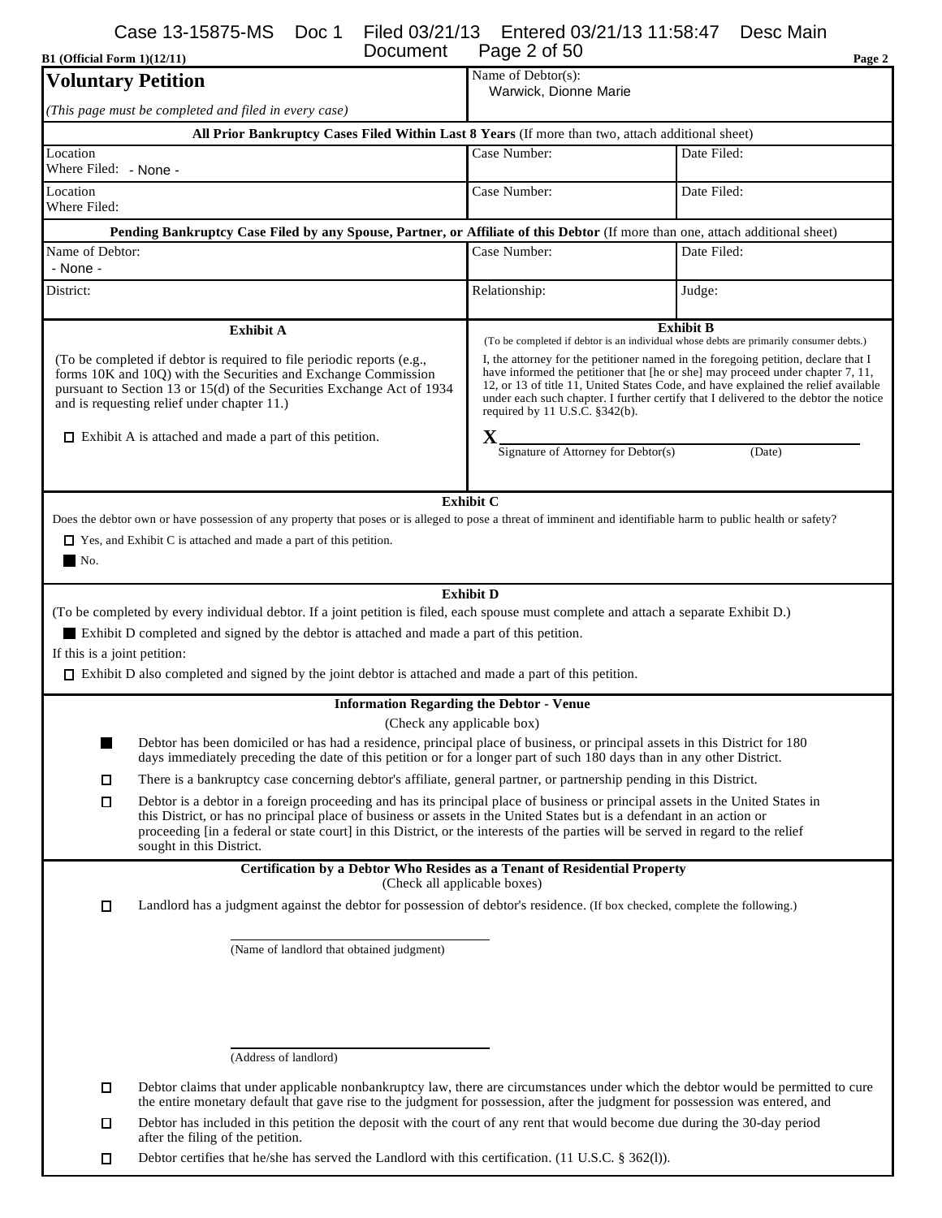|  | Case 13-15875-MS . | D |
|--|--------------------|---|
|  |                    |   |

|  |              | Case 13-15875-MS Doc 1 Filed 03/21/13 Entered 03/21/13 11:58:47 Desc Main |  |
|--|--------------|---------------------------------------------------------------------------|--|
|  | $D_{\Omega}$ |                                                                           |  |

| <b>B1 (Official Form 1)(12/11)</b> | Document                                                                                                                                                                                                                                                                                                                                                                                                                                                                                                                                                                                                                                                                                                                                               | Page 2 of 50                                | Page 2           |  |  |
|------------------------------------|--------------------------------------------------------------------------------------------------------------------------------------------------------------------------------------------------------------------------------------------------------------------------------------------------------------------------------------------------------------------------------------------------------------------------------------------------------------------------------------------------------------------------------------------------------------------------------------------------------------------------------------------------------------------------------------------------------------------------------------------------------|---------------------------------------------|------------------|--|--|
|                                    | <b>Voluntary Petition</b>                                                                                                                                                                                                                                                                                                                                                                                                                                                                                                                                                                                                                                                                                                                              | Name of Debtor(s):<br>Warwick, Dionne Marie |                  |  |  |
|                                    | (This page must be completed and filed in every case)                                                                                                                                                                                                                                                                                                                                                                                                                                                                                                                                                                                                                                                                                                  |                                             |                  |  |  |
|                                    | All Prior Bankruptcy Cases Filed Within Last 8 Years (If more than two, attach additional sheet)                                                                                                                                                                                                                                                                                                                                                                                                                                                                                                                                                                                                                                                       |                                             |                  |  |  |
| Location<br>Where Filed: - None -  |                                                                                                                                                                                                                                                                                                                                                                                                                                                                                                                                                                                                                                                                                                                                                        | Case Number:                                | Date Filed:      |  |  |
| Location<br>Where Filed:           |                                                                                                                                                                                                                                                                                                                                                                                                                                                                                                                                                                                                                                                                                                                                                        | Case Number:                                | Date Filed:      |  |  |
|                                    | Pending Bankruptcy Case Filed by any Spouse, Partner, or Affiliate of this Debtor (If more than one, attach additional sheet)                                                                                                                                                                                                                                                                                                                                                                                                                                                                                                                                                                                                                          |                                             |                  |  |  |
| Name of Debtor:<br>- None -        |                                                                                                                                                                                                                                                                                                                                                                                                                                                                                                                                                                                                                                                                                                                                                        | Case Number:                                | Date Filed:      |  |  |
| District:                          |                                                                                                                                                                                                                                                                                                                                                                                                                                                                                                                                                                                                                                                                                                                                                        | Relationship:                               | Judge:           |  |  |
|                                    | <b>Exhibit A</b>                                                                                                                                                                                                                                                                                                                                                                                                                                                                                                                                                                                                                                                                                                                                       |                                             | <b>Exhibit B</b> |  |  |
|                                    | (To be completed if debtor is an individual whose debts are primarily consumer debts.)<br>(To be completed if debtor is required to file periodic reports (e.g.,<br>I, the attorney for the petitioner named in the foregoing petition, declare that I<br>have informed the petitioner that [he or she] may proceed under chapter 7, 11,<br>forms 10K and 10Q) with the Securities and Exchange Commission<br>12, or 13 of title 11, United States Code, and have explained the relief available<br>pursuant to Section 13 or 15(d) of the Securities Exchange Act of 1934<br>under each such chapter. I further certify that I delivered to the debtor the notice<br>and is requesting relief under chapter 11.)<br>required by 11 U.S.C. $§342(b)$ . |                                             |                  |  |  |
|                                    | $\Box$ Exhibit A is attached and made a part of this petition.                                                                                                                                                                                                                                                                                                                                                                                                                                                                                                                                                                                                                                                                                         | Х<br>Signature of Attorney for Debtor(s)    | (Date)           |  |  |
|                                    |                                                                                                                                                                                                                                                                                                                                                                                                                                                                                                                                                                                                                                                                                                                                                        | <b>Exhibit C</b>                            |                  |  |  |
| No.                                | Does the debtor own or have possession of any property that poses or is alleged to pose a threat of imminent and identifiable harm to public health or safety?<br>$\Box$ Yes, and Exhibit C is attached and made a part of this petition.<br>(To be completed by every individual debtor. If a joint petition is filed, each spouse must complete and attach a separate Exhibit D.)<br>Exhibit D completed and signed by the debtor is attached and made a part of this petition.                                                                                                                                                                                                                                                                      | <b>Exhibit D</b>                            |                  |  |  |
| If this is a joint petition:       | $\Box$ Exhibit D also completed and signed by the joint debtor is attached and made a part of this petition.                                                                                                                                                                                                                                                                                                                                                                                                                                                                                                                                                                                                                                           |                                             |                  |  |  |
|                                    | <b>Information Regarding the Debtor - Venue</b>                                                                                                                                                                                                                                                                                                                                                                                                                                                                                                                                                                                                                                                                                                        |                                             |                  |  |  |
|                                    | (Check any applicable box)<br>Debtor has been domiciled or has had a residence, principal place of business, or principal assets in this District for 180<br>days immediately preceding the date of this petition or for a longer part of such 180 days than in any other District.                                                                                                                                                                                                                                                                                                                                                                                                                                                                    |                                             |                  |  |  |
| $\Box$                             | There is a bankruptcy case concerning debtor's affiliate, general partner, or partnership pending in this District.                                                                                                                                                                                                                                                                                                                                                                                                                                                                                                                                                                                                                                    |                                             |                  |  |  |
| $\Box$                             | Debtor is a debtor in a foreign proceeding and has its principal place of business or principal assets in the United States in<br>this District, or has no principal place of business or assets in the United States but is a defendant in an action or<br>proceeding [in a federal or state court] in this District, or the interests of the parties will be served in regard to the relief<br>sought in this District.                                                                                                                                                                                                                                                                                                                              |                                             |                  |  |  |
|                                    | Certification by a Debtor Who Resides as a Tenant of Residential Property<br>(Check all applicable boxes)                                                                                                                                                                                                                                                                                                                                                                                                                                                                                                                                                                                                                                              |                                             |                  |  |  |
| $\Box$                             | Landlord has a judgment against the debtor for possession of debtor's residence. (If box checked, complete the following.)                                                                                                                                                                                                                                                                                                                                                                                                                                                                                                                                                                                                                             |                                             |                  |  |  |
|                                    | (Name of landlord that obtained judgment)                                                                                                                                                                                                                                                                                                                                                                                                                                                                                                                                                                                                                                                                                                              |                                             |                  |  |  |
|                                    | (Address of landlord)                                                                                                                                                                                                                                                                                                                                                                                                                                                                                                                                                                                                                                                                                                                                  |                                             |                  |  |  |
| $\Box$                             | Debtor claims that under applicable nonbankruptcy law, there are circumstances under which the debtor would be permitted to cure<br>the entire monetary default that gave rise to the judgment for possession, after the judgment for possession was entered, and                                                                                                                                                                                                                                                                                                                                                                                                                                                                                      |                                             |                  |  |  |
| $\Box$                             | Debtor has included in this petition the deposit with the court of any rent that would become due during the 30-day period<br>after the filing of the petition.                                                                                                                                                                                                                                                                                                                                                                                                                                                                                                                                                                                        |                                             |                  |  |  |

 $\Box$ Debtor certifies that he/she has served the Landlord with this certification. (11 U.S.C. § 362(l)).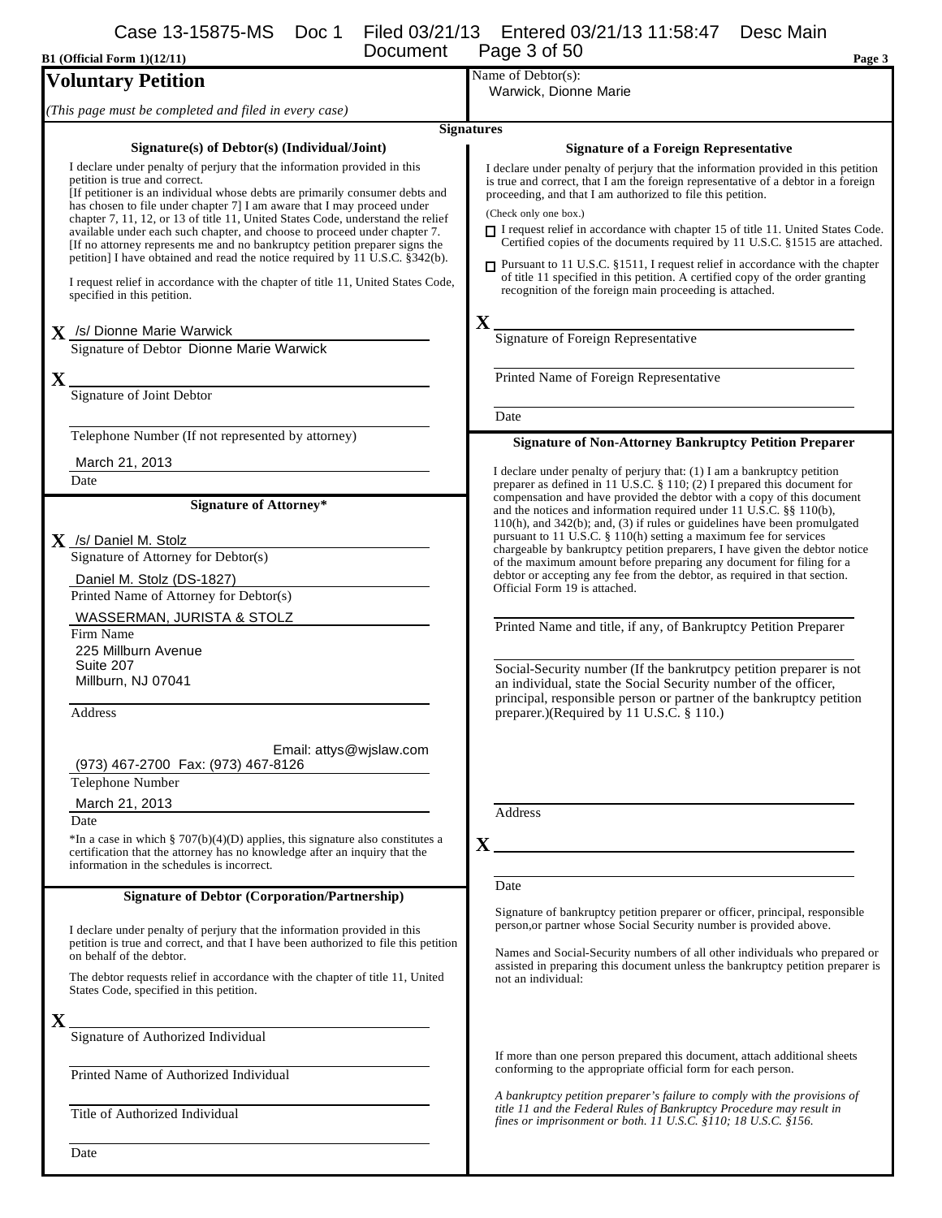| Case 13-15875-MS Doc 1                                                                                                                                                                                                                                                                                                                                                                                                                                                                                                                                                                                                                                                                                                 | Filed 03/21/13    Entered 03/21/13    11:58:47    Desc Main                                                                                                                                                                                                                                                                                                                                                                                                                                                                                                                                                                                                                                                                                                                                                                                                                                         |
|------------------------------------------------------------------------------------------------------------------------------------------------------------------------------------------------------------------------------------------------------------------------------------------------------------------------------------------------------------------------------------------------------------------------------------------------------------------------------------------------------------------------------------------------------------------------------------------------------------------------------------------------------------------------------------------------------------------------|-----------------------------------------------------------------------------------------------------------------------------------------------------------------------------------------------------------------------------------------------------------------------------------------------------------------------------------------------------------------------------------------------------------------------------------------------------------------------------------------------------------------------------------------------------------------------------------------------------------------------------------------------------------------------------------------------------------------------------------------------------------------------------------------------------------------------------------------------------------------------------------------------------|
| Document<br>B1 (Official Form $1(12/11)$ )                                                                                                                                                                                                                                                                                                                                                                                                                                                                                                                                                                                                                                                                             | Page 3 of 50<br>Page 3                                                                                                                                                                                                                                                                                                                                                                                                                                                                                                                                                                                                                                                                                                                                                                                                                                                                              |
| <b>Voluntary Petition</b>                                                                                                                                                                                                                                                                                                                                                                                                                                                                                                                                                                                                                                                                                              | Name of Debtor(s):<br>Warwick, Dionne Marie                                                                                                                                                                                                                                                                                                                                                                                                                                                                                                                                                                                                                                                                                                                                                                                                                                                         |
| (This page must be completed and filed in every case)                                                                                                                                                                                                                                                                                                                                                                                                                                                                                                                                                                                                                                                                  |                                                                                                                                                                                                                                                                                                                                                                                                                                                                                                                                                                                                                                                                                                                                                                                                                                                                                                     |
|                                                                                                                                                                                                                                                                                                                                                                                                                                                                                                                                                                                                                                                                                                                        | <b>Signatures</b>                                                                                                                                                                                                                                                                                                                                                                                                                                                                                                                                                                                                                                                                                                                                                                                                                                                                                   |
| Signature(s) of Debtor(s) (Individual/Joint)                                                                                                                                                                                                                                                                                                                                                                                                                                                                                                                                                                                                                                                                           | <b>Signature of a Foreign Representative</b>                                                                                                                                                                                                                                                                                                                                                                                                                                                                                                                                                                                                                                                                                                                                                                                                                                                        |
| I declare under penalty of perjury that the information provided in this<br>petition is true and correct.<br>If petitioner is an individual whose debts are primarily consumer debts and<br>has chosen to file under chapter 7] I am aware that I may proceed under<br>chapter 7, 11, 12, or 13 of title 11, United States Code, understand the relief<br>available under each such chapter, and choose to proceed under chapter 7.<br>If no attorney represents me and no bankruptcy petition preparer signs the<br>petition I have obtained and read the notice required by 11 U.S.C. $§342(b)$ .<br>I request relief in accordance with the chapter of title 11, United States Code,<br>specified in this petition. | I declare under penalty of perjury that the information provided in this petition<br>is true and correct, that I am the foreign representative of a debtor in a foreign<br>proceeding, and that I am authorized to file this petition.<br>(Check only one box.)<br>$\Box$ I request relief in accordance with chapter 15 of title 11. United States Code.<br>Certified copies of the documents required by 11 U.S.C. §1515 are attached.<br>$\Box$ Pursuant to 11 U.S.C. §1511, I request relief in accordance with the chapter<br>of title 11 specified in this petition. A certified copy of the order granting<br>recognition of the foreign main proceeding is attached.                                                                                                                                                                                                                        |
| $\mathbf X$ /s/ Dionne Marie Warwick                                                                                                                                                                                                                                                                                                                                                                                                                                                                                                                                                                                                                                                                                   | $\mathbf X$<br>Signature of Foreign Representative                                                                                                                                                                                                                                                                                                                                                                                                                                                                                                                                                                                                                                                                                                                                                                                                                                                  |
| Signature of Debtor Dionne Marie Warwick                                                                                                                                                                                                                                                                                                                                                                                                                                                                                                                                                                                                                                                                               |                                                                                                                                                                                                                                                                                                                                                                                                                                                                                                                                                                                                                                                                                                                                                                                                                                                                                                     |
| $\mathbf X$                                                                                                                                                                                                                                                                                                                                                                                                                                                                                                                                                                                                                                                                                                            | Printed Name of Foreign Representative                                                                                                                                                                                                                                                                                                                                                                                                                                                                                                                                                                                                                                                                                                                                                                                                                                                              |
| Signature of Joint Debtor                                                                                                                                                                                                                                                                                                                                                                                                                                                                                                                                                                                                                                                                                              |                                                                                                                                                                                                                                                                                                                                                                                                                                                                                                                                                                                                                                                                                                                                                                                                                                                                                                     |
|                                                                                                                                                                                                                                                                                                                                                                                                                                                                                                                                                                                                                                                                                                                        | Date                                                                                                                                                                                                                                                                                                                                                                                                                                                                                                                                                                                                                                                                                                                                                                                                                                                                                                |
| Telephone Number (If not represented by attorney)                                                                                                                                                                                                                                                                                                                                                                                                                                                                                                                                                                                                                                                                      | <b>Signature of Non-Attorney Bankruptcy Petition Preparer</b>                                                                                                                                                                                                                                                                                                                                                                                                                                                                                                                                                                                                                                                                                                                                                                                                                                       |
| March 21, 2013                                                                                                                                                                                                                                                                                                                                                                                                                                                                                                                                                                                                                                                                                                         |                                                                                                                                                                                                                                                                                                                                                                                                                                                                                                                                                                                                                                                                                                                                                                                                                                                                                                     |
| Date                                                                                                                                                                                                                                                                                                                                                                                                                                                                                                                                                                                                                                                                                                                   | I declare under penalty of perjury that: (1) I am a bankruptcy petition<br>preparer as defined in 11 U.S.C. § 110; (2) I prepared this document for                                                                                                                                                                                                                                                                                                                                                                                                                                                                                                                                                                                                                                                                                                                                                 |
| <b>Signature of Attorney*</b><br>$\bf{X}$ /s/ Daniel M. Stolz<br>Signature of Attorney for Debtor(s)<br>Daniel M. Stolz (DS-1827)<br>Printed Name of Attorney for Debtor(s)<br>WASSERMAN, JURISTA & STOLZ<br>Firm Name<br>225 Millburn Avenue<br>Suite 207<br>Millburn, NJ 07041<br>Address<br>Email: attys@wjslaw.com<br>(973) 467-2700 Fax: (973) 467-8126<br>Telephone Number                                                                                                                                                                                                                                                                                                                                       | compensation and have provided the debtor with a copy of this document<br>and the notices and information required under 11 U.S.C. §§ 110(b),<br>110(h), and 342(b); and, (3) if rules or guidelines have been promulgated<br>pursuant to 11 U.S.C. § 110(h) setting a maximum fee for services<br>chargeable by bankruptcy petition preparers, I have given the debtor notice<br>of the maximum amount before preparing any document for filing for a<br>debtor or accepting any fee from the debtor, as required in that section.<br>Official Form 19 is attached.<br>Printed Name and title, if any, of Bankruptcy Petition Preparer<br>Social-Security number (If the bankrutpcy petition preparer is not<br>an individual, state the Social Security number of the officer,<br>principal, responsible person or partner of the bankruptcy petition<br>preparer.)(Required by 11 U.S.C. § 110.) |
| March 21, 2013                                                                                                                                                                                                                                                                                                                                                                                                                                                                                                                                                                                                                                                                                                         |                                                                                                                                                                                                                                                                                                                                                                                                                                                                                                                                                                                                                                                                                                                                                                                                                                                                                                     |
| Date                                                                                                                                                                                                                                                                                                                                                                                                                                                                                                                                                                                                                                                                                                                   | <b>Address</b>                                                                                                                                                                                                                                                                                                                                                                                                                                                                                                                                                                                                                                                                                                                                                                                                                                                                                      |
| *In a case in which $\S 707(b)(4)(D)$ applies, this signature also constitutes a<br>certification that the attorney has no knowledge after an inquiry that the<br>information in the schedules is incorrect.                                                                                                                                                                                                                                                                                                                                                                                                                                                                                                           | $\mathbf{X}$<br><u> 1989 - Johann Barn, mars ann an t-Amhain Aonaichte ann an t-Aonaichte ann an t-Aonaichte ann an t-Aonaichte a</u>                                                                                                                                                                                                                                                                                                                                                                                                                                                                                                                                                                                                                                                                                                                                                               |
| <b>Signature of Debtor (Corporation/Partnership)</b>                                                                                                                                                                                                                                                                                                                                                                                                                                                                                                                                                                                                                                                                   | Date                                                                                                                                                                                                                                                                                                                                                                                                                                                                                                                                                                                                                                                                                                                                                                                                                                                                                                |
| I declare under penalty of perjury that the information provided in this<br>petition is true and correct, and that I have been authorized to file this petition<br>on behalf of the debtor.<br>The debtor requests relief in accordance with the chapter of title 11, United<br>States Code, specified in this petition.                                                                                                                                                                                                                                                                                                                                                                                               | Signature of bankruptcy petition preparer or officer, principal, responsible<br>person, or partner whose Social Security number is provided above.<br>Names and Social-Security numbers of all other individuals who prepared or<br>assisted in preparing this document unless the bankruptcy petition preparer is<br>not an individual:                                                                                                                                                                                                                                                                                                                                                                                                                                                                                                                                                            |
| Signature of Authorized Individual<br>$\mathbf X$                                                                                                                                                                                                                                                                                                                                                                                                                                                                                                                                                                                                                                                                      |                                                                                                                                                                                                                                                                                                                                                                                                                                                                                                                                                                                                                                                                                                                                                                                                                                                                                                     |
| Printed Name of Authorized Individual                                                                                                                                                                                                                                                                                                                                                                                                                                                                                                                                                                                                                                                                                  | If more than one person prepared this document, attach additional sheets<br>conforming to the appropriate official form for each person.                                                                                                                                                                                                                                                                                                                                                                                                                                                                                                                                                                                                                                                                                                                                                            |
| Title of Authorized Individual                                                                                                                                                                                                                                                                                                                                                                                                                                                                                                                                                                                                                                                                                         | A bankruptcy petition preparer's failure to comply with the provisions of<br>title 11 and the Federal Rules of Bankruptcy Procedure may result in<br>fines or imprisonment or both. 11 U.S.C. §110; 18 U.S.C. §156.                                                                                                                                                                                                                                                                                                                                                                                                                                                                                                                                                                                                                                                                                 |
| Date                                                                                                                                                                                                                                                                                                                                                                                                                                                                                                                                                                                                                                                                                                                   |                                                                                                                                                                                                                                                                                                                                                                                                                                                                                                                                                                                                                                                                                                                                                                                                                                                                                                     |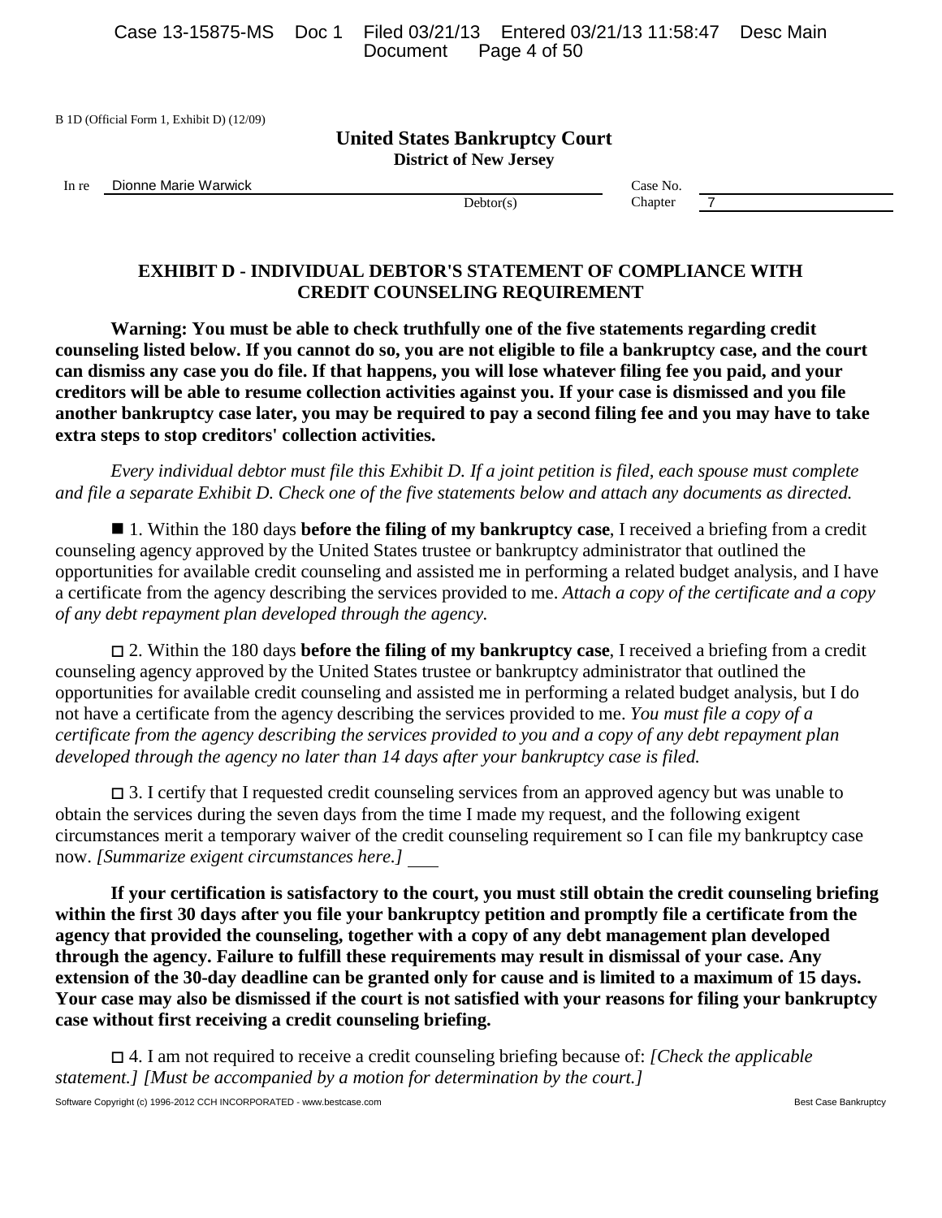B 1D (Official Form 1, Exhibit D) (12/09)

## **United States Bankruptcy Court District of New Jersey**

In re Dionne Marie Warwick Case No.

Debtor(s) Chapter 7

### **EXHIBIT D - INDIVIDUAL DEBTOR'S STATEMENT OF COMPLIANCE WITH CREDIT COUNSELING REQUIREMENT**

**Warning: You must be able to check truthfully one of the five statements regarding credit counseling listed below. If you cannot do so, you are not eligible to file a bankruptcy case, and the court can dismiss any case you do file. If that happens, you will lose whatever filing fee you paid, and your creditors will be able to resume collection activities against you. If your case is dismissed and you file another bankruptcy case later, you may be required to pay a second filing fee and you may have to take extra steps to stop creditors' collection activities.**

*Every individual debtor must file this Exhibit D. If a joint petition is filed, each spouse must complete and file a separate Exhibit D. Check one of the five statements below and attach any documents as directed.*

 1. Within the 180 days **before the filing of my bankruptcy case**, I received a briefing from a credit counseling agency approved by the United States trustee or bankruptcy administrator that outlined the opportunities for available credit counseling and assisted me in performing a related budget analysis, and I have a certificate from the agency describing the services provided to me. *Attach a copy of the certificate and a copy of any debt repayment plan developed through the agency.*

 2. Within the 180 days **before the filing of my bankruptcy case**, I received a briefing from a credit counseling agency approved by the United States trustee or bankruptcy administrator that outlined the opportunities for available credit counseling and assisted me in performing a related budget analysis, but I do not have a certificate from the agency describing the services provided to me. *You must file a copy of a certificate from the agency describing the services provided to you and a copy of any debt repayment plan developed through the agency no later than 14 days after your bankruptcy case is filed.*

 $\Box$  3. I certify that I requested credit counseling services from an approved agency but was unable to obtain the services during the seven days from the time I made my request, and the following exigent circumstances merit a temporary waiver of the credit counseling requirement so I can file my bankruptcy case now. *[Summarize exigent circumstances here.]*

**If your certification is satisfactory to the court, you must still obtain the credit counseling briefing within the first 30 days after you file your bankruptcy petition and promptly file a certificate from the agency that provided the counseling, together with a copy of any debt management plan developed through the agency. Failure to fulfill these requirements may result in dismissal of your case. Any extension of the 30-day deadline can be granted only for cause and is limited to a maximum of 15 days. Your case may also be dismissed if the court is not satisfied with your reasons for filing your bankruptcy case without first receiving a credit counseling briefing.**

 4. I am not required to receive a credit counseling briefing because of: *[Check the applicable statement.] [Must be accompanied by a motion for determination by the court.]* Software Copyright (c) 1996-2012 CCH INCORPORATED - www.bestcase.com <br>
Best Case Bankruptcy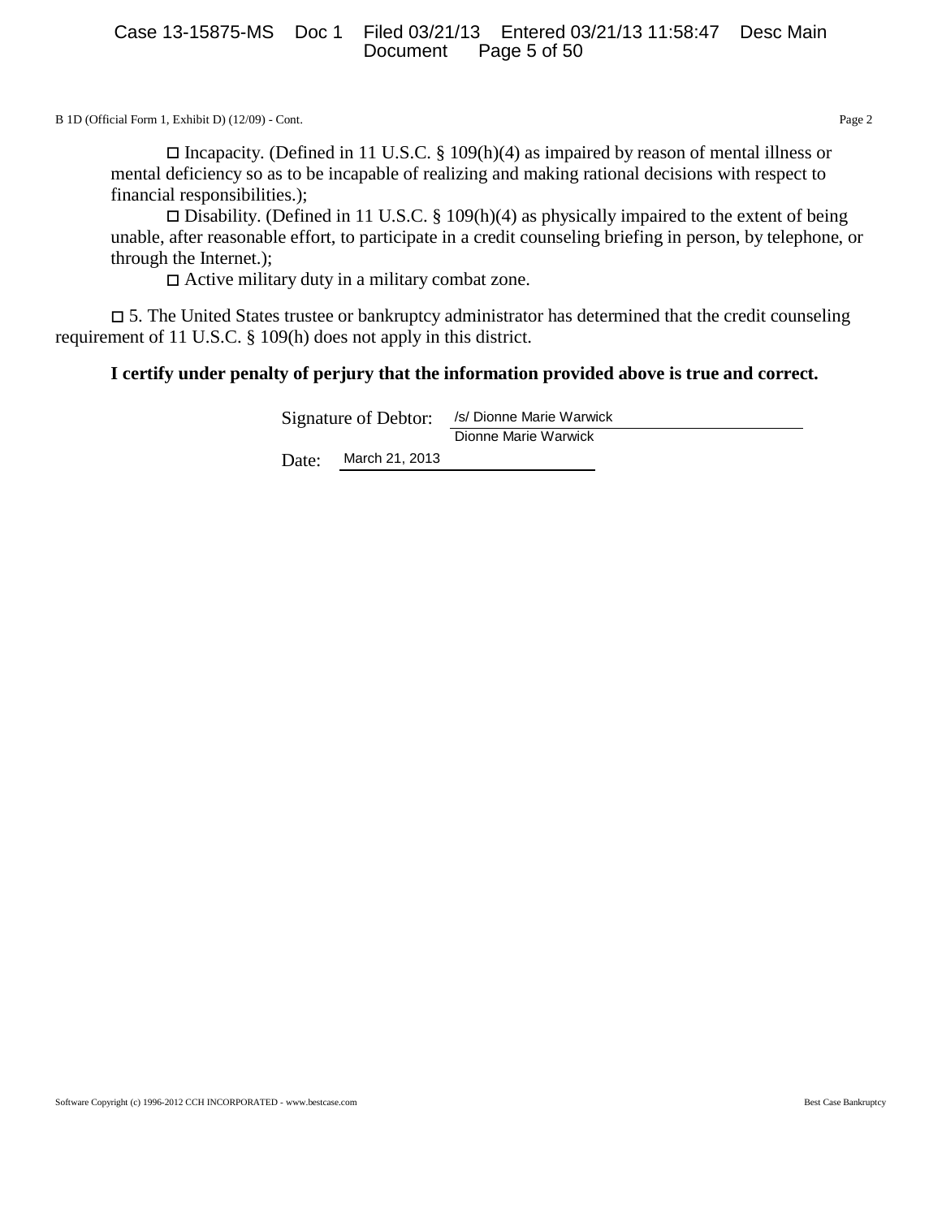B 1D (Official Form 1, Exhibit D) (12/09) - Cont. Page 2

 $\Box$  Incapacity. (Defined in 11 U.S.C. § 109(h)(4) as impaired by reason of mental illness or mental deficiency so as to be incapable of realizing and making rational decisions with respect to financial responsibilities.);

 $\Box$  Disability. (Defined in 11 U.S.C. § 109(h)(4) as physically impaired to the extent of being unable, after reasonable effort, to participate in a credit counseling briefing in person, by telephone, or through the Internet.);

 $\Box$  Active military duty in a military combat zone.

 $\Box$  5. The United States trustee or bankruptcy administrator has determined that the credit counseling requirement of 11 U.S.C. § 109(h) does not apply in this district.

### **I certify under penalty of perjury that the information provided above is true and correct.**

Signature of Debtor: /s/ Dionne Marie Warwick Dionne Marie Warwick

Date: March 21, 2013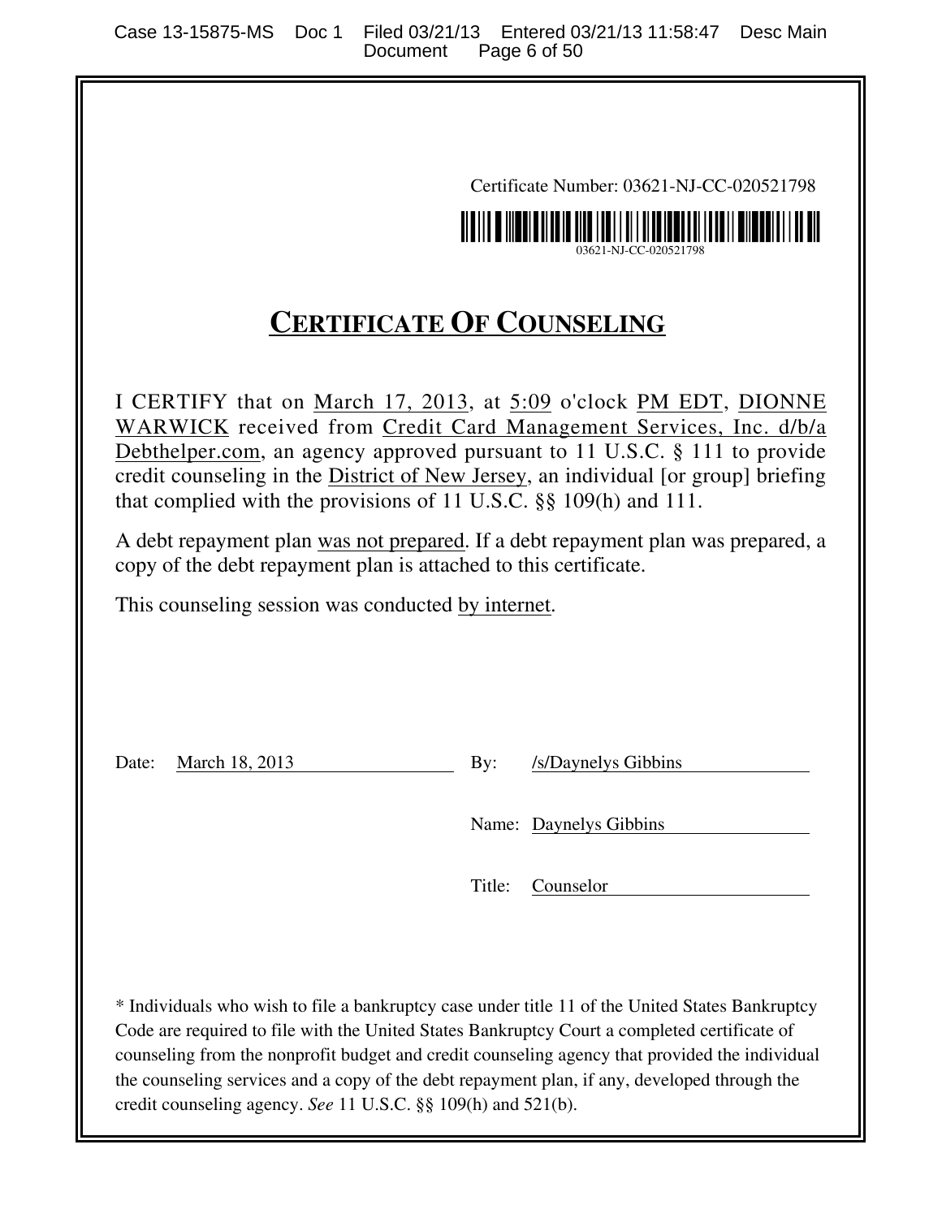



# **CERTIFICATE OF COUNSELING**

I CERTIFY that on March 17, 2013, at 5:09 o'clock PM EDT, DIONNE WARWICK received from Credit Card Management Services, Inc. d/b/a Debthelper.com, an agency approved pursuant to 11 U.S.C. § 111 to provide credit counseling in the District of New Jersey, an individual [or group] briefing that complied with the provisions of 11 U.S.C. §§ 109(h) and 111.

A debt repayment plan was not prepared. If a debt repayment plan was prepared, a copy of the debt repayment plan is attached to this certificate.

This counseling session was conducted by internet.

Date: March 18, 2013 By: */s/Daynelys Gibbins* 

Name: Daynelys Gibbins

Title: Counselor

\* Individuals who wish to file a bankruptcy case under title 11 of the United States Bankruptcy Code are required to file with the United States Bankruptcy Court a completed certificate of counseling from the nonprofit budget and credit counseling agency that provided the individual the counseling services and a copy of the debt repayment plan, if any, developed through the credit counseling agency. *See* 11 U.S.C. §§ 109(h) and 521(b).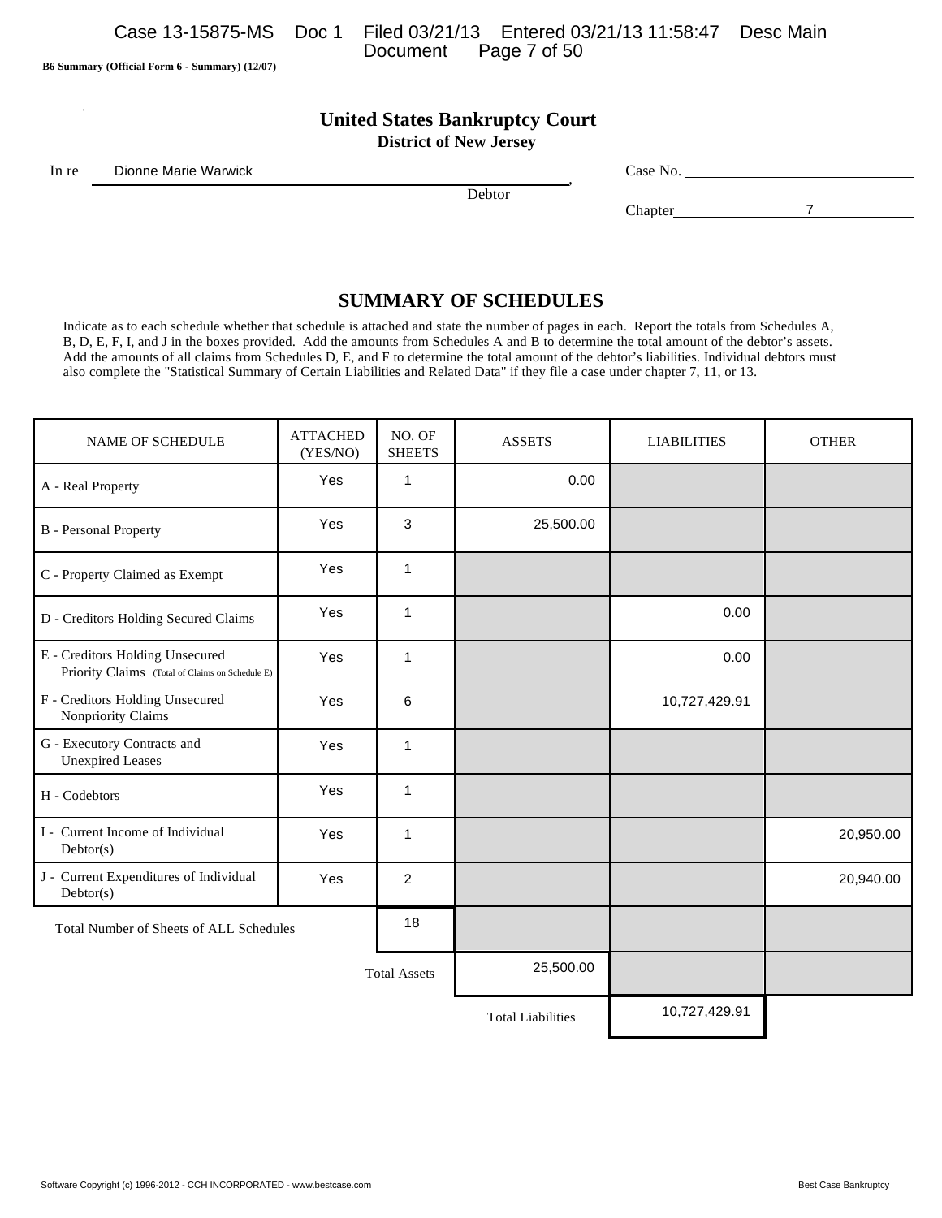**B6 Summary (Official Form 6 - Summary) (12/07)**

## **United States Bankruptcy Court**

**District of New Jersey**

In re

 $\overline{\phantom{a}}$ 

Dionne Marie Warwick

Debtor

 $Chapter \ \ 7$ 

### **SUMMARY OF SCHEDULES**

Indicate as to each schedule whether that schedule is attached and state the number of pages in each. Report the totals from Schedules A, B, D, E, F, I, and J in the boxes provided. Add the amounts from Schedules A and B to determine the total amount of the debtor's assets. Add the amounts of all claims from Schedules D, E, and F to determine the total amount of the debtor's liabilities. Individual debtors must also complete the "Statistical Summary of Certain Liabilities and Related Data" if they file a case under chapter 7, 11, or 13.

| <b>NAME OF SCHEDULE</b>                                                            | <b>ATTACHED</b><br>(YES/NO) | NO. OF<br><b>SHEETS</b> | <b>ASSETS</b>            | <b>LIABILITIES</b> | <b>OTHER</b> |
|------------------------------------------------------------------------------------|-----------------------------|-------------------------|--------------------------|--------------------|--------------|
| A - Real Property                                                                  | Yes                         | 1                       | 0.00                     |                    |              |
| <b>B</b> - Personal Property                                                       | Yes                         | 3                       | 25,500.00                |                    |              |
| C - Property Claimed as Exempt                                                     | Yes                         | 1                       |                          |                    |              |
| D - Creditors Holding Secured Claims                                               | Yes                         | 1                       |                          | 0.00               |              |
| E - Creditors Holding Unsecured<br>Priority Claims (Total of Claims on Schedule E) | Yes                         | 1                       |                          | 0.00               |              |
| F - Creditors Holding Unsecured<br>Nonpriority Claims                              | Yes                         | 6                       |                          | 10,727,429.91      |              |
| G - Executory Contracts and<br><b>Unexpired Leases</b>                             | Yes                         | 1                       |                          |                    |              |
| H - Codebtors                                                                      | Yes                         | 1                       |                          |                    |              |
| I - Current Income of Individual<br>Dektor(s)                                      | Yes                         | 1                       |                          |                    | 20,950.00    |
| J - Current Expenditures of Individual<br>Debtor(s)                                | Yes                         | 2                       |                          |                    | 20,940.00    |
| Total Number of Sheets of ALL Schedules                                            |                             | 18                      |                          |                    |              |
|                                                                                    |                             | <b>Total Assets</b>     | 25,500.00                |                    |              |
|                                                                                    |                             |                         | <b>Total Liabilities</b> | 10,727,429.91      |              |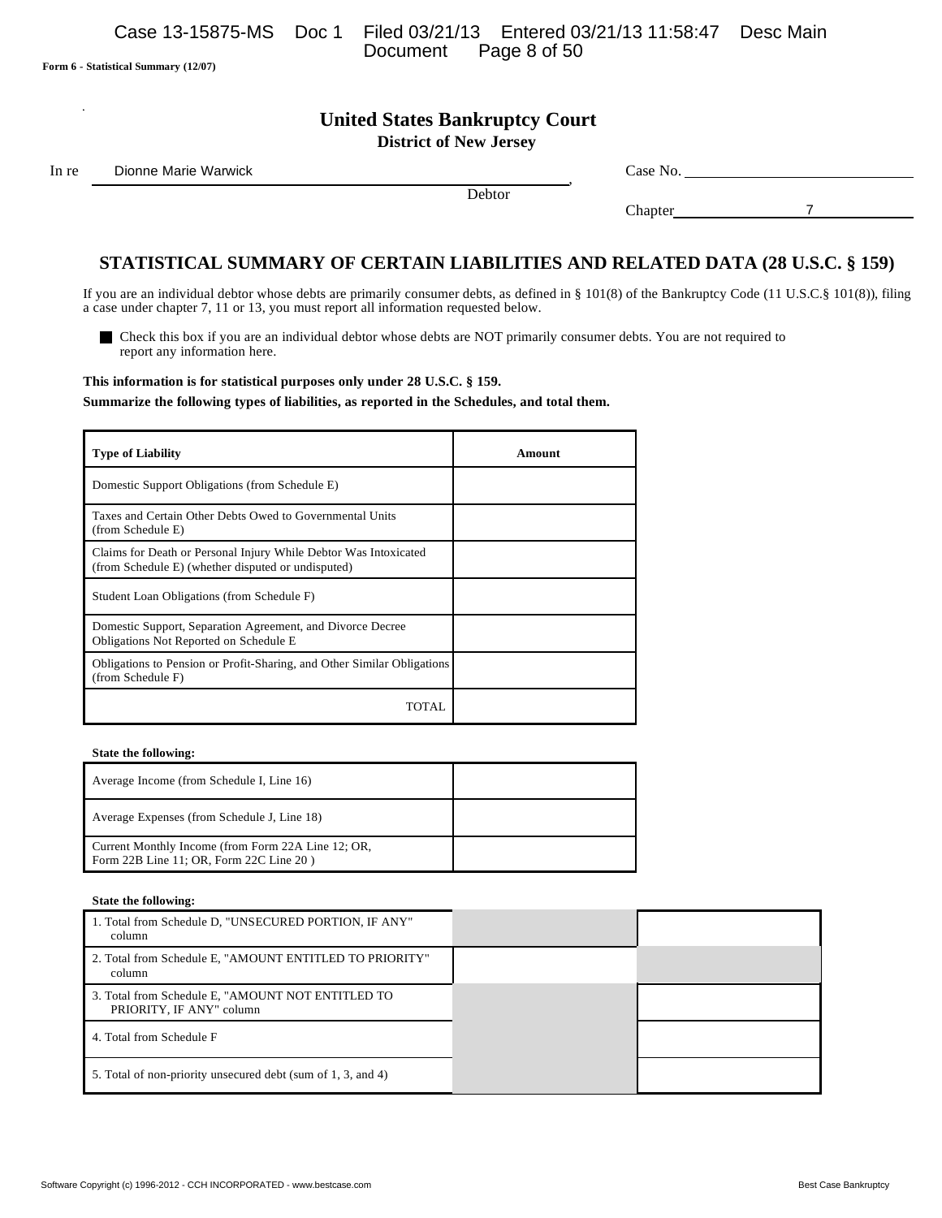**Form 6 - Statistical Summary (12/07)**

## **United States Bankruptcy Court**

**District of New Jersey**

In re

Dionne Marie Warwick

Debtor

| Case No. |  |  |  |
|----------|--|--|--|
|          |  |  |  |
|          |  |  |  |

Chapter 7

### **STATISTICAL SUMMARY OF CERTAIN LIABILITIES AND RELATED DATA (28 U.S.C. § 159)**

If you are an individual debtor whose debts are primarily consumer debts, as defined in § 101(8) of the Bankruptcy Code (11 U.S.C.§ 101(8)), filing a case under chapter 7, 11 or 13, you must report all information requested below.

Check this box if you are an individual debtor whose debts are NOT primarily consumer debts. You are not required to report any information here.

#### **This information is for statistical purposes only under 28 U.S.C. § 159.**

#### **Summarize the following types of liabilities, as reported in the Schedules, and total them.**

| <b>Type of Liability</b>                                                                                               | Amount |
|------------------------------------------------------------------------------------------------------------------------|--------|
| Domestic Support Obligations (from Schedule E)                                                                         |        |
| Taxes and Certain Other Debts Owed to Governmental Units<br>(from Schedule E)                                          |        |
| Claims for Death or Personal Injury While Debtor Was Intoxicated<br>(from Schedule E) (whether disputed or undisputed) |        |
| Student Loan Obligations (from Schedule F)                                                                             |        |
| Domestic Support, Separation Agreement, and Divorce Decree<br>Obligations Not Reported on Schedule E                   |        |
| Obligations to Pension or Profit-Sharing, and Other Similar Obligations<br>(from Schedule F)                           |        |
| TOTAL                                                                                                                  |        |

#### **State the following:**

| Average Income (from Schedule I, Line 16)                                                     |  |
|-----------------------------------------------------------------------------------------------|--|
| Average Expenses (from Schedule J, Line 18)                                                   |  |
| Current Monthly Income (from Form 22A Line 12; OR,<br>Form 22B Line 11; OR, Form 22C Line 20) |  |

#### **State the following:**

| 1. Total from Schedule D, "UNSECURED PORTION, IF ANY"<br>column               |  |
|-------------------------------------------------------------------------------|--|
| 2. Total from Schedule E, "AMOUNT ENTITLED TO PRIORITY"<br>column             |  |
| 3. Total from Schedule E, "AMOUNT NOT ENTITLED TO<br>PRIORITY, IF ANY" column |  |
| 4. Total from Schedule F                                                      |  |
| 5. Total of non-priority unsecured debt (sum of 1, 3, and 4)                  |  |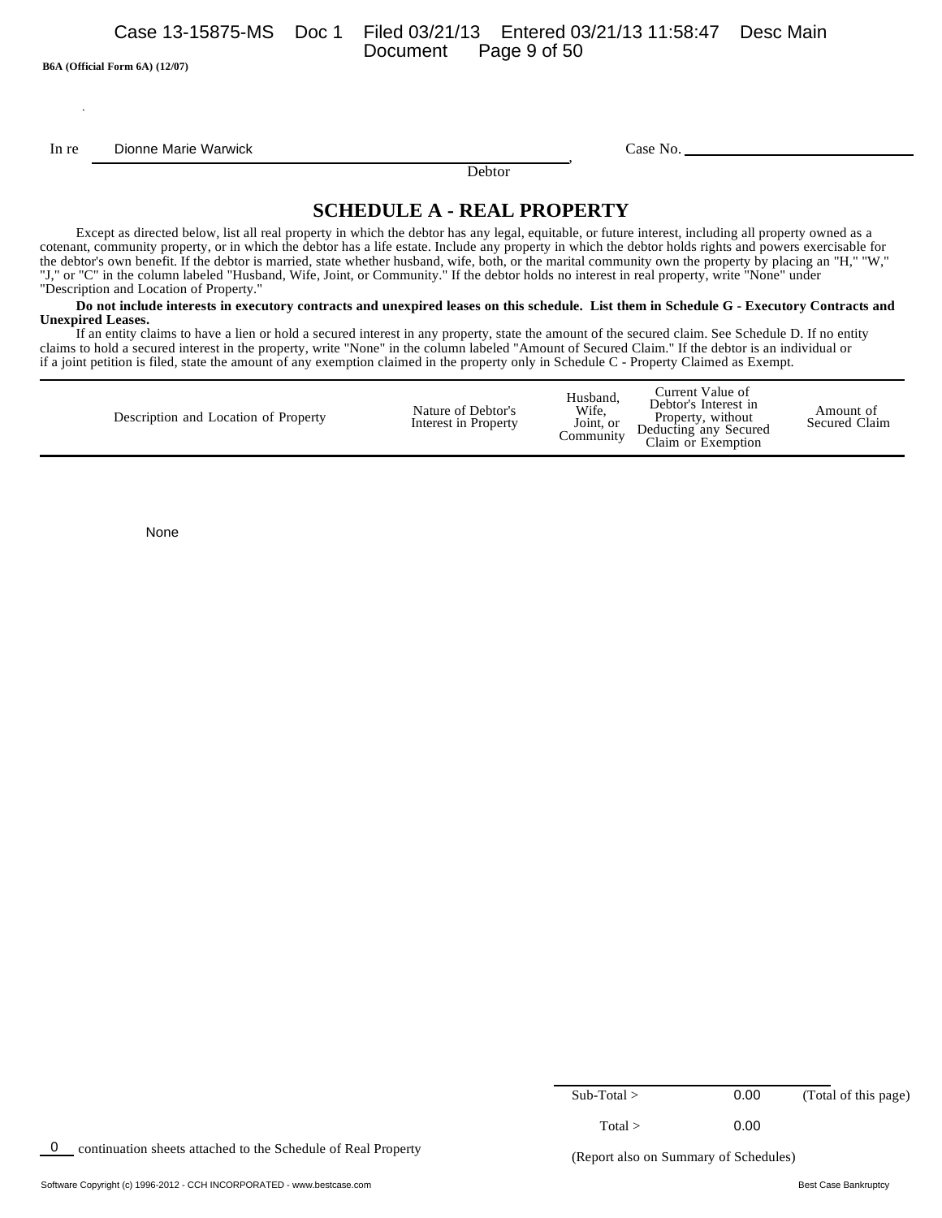**B6A (Official Form 6A) (12/07)**

In re

Dionne Marie Warwick **Case No.** 2008 No. 2012 12:30 No. 2013 No. 2014 12:30 No. 2014 12:30 No. 2014 12:30 No. 2014

**Debtor** 

## **SCHEDULE A - REAL PROPERTY**

Except as directed below, list all real property in which the debtor has any legal, equitable, or future interest, including all property owned as a cotenant, community property, or in which the debtor has a life estate. Include any property in which the debtor holds rights and powers exercisable for the debtor's own benefit. If the debtor is married, state whether husband, wife, both, or the marital community own the property by placing an "H," "W," "J," or "C" in the column labeled "Husband, Wife, Joint, or Community." If the debtor holds no interest in real property, write "None" under "Description and Location of Property."

**Do not include interests in executory contracts and unexpired leases on this schedule. List them in Schedule G - Executory Contracts and Unexpired Leases.**

If an entity claims to have a lien or hold a secured interest in any property, state the amount of the secured claim. See Schedule D. If no entity claims to hold a secured interest in the property, write "None" in the column labeled "Amount of Secured Claim." If the debtor is an individual or if a joint petition is filed, state the amount of any exemption claimed in the property only in Schedule C - Property Claimed as Exempt.

| Description and Location of Property | Nature of Debtor's<br>Interest in Property | Husband,<br>Wife,<br>Joint, or<br>Community | Current Value of<br>Debtor's Interest in<br>Property, without<br>Deducting any Secured<br>Claim or Exemption | Amount of<br>Secured Claim |
|--------------------------------------|--------------------------------------------|---------------------------------------------|--------------------------------------------------------------------------------------------------------------|----------------------------|
|--------------------------------------|--------------------------------------------|---------------------------------------------|--------------------------------------------------------------------------------------------------------------|----------------------------|

None

| $Sub-Total >$ | 0.00 | (Total of this page) |
|---------------|------|----------------------|
|               |      |                      |

0.00

Total >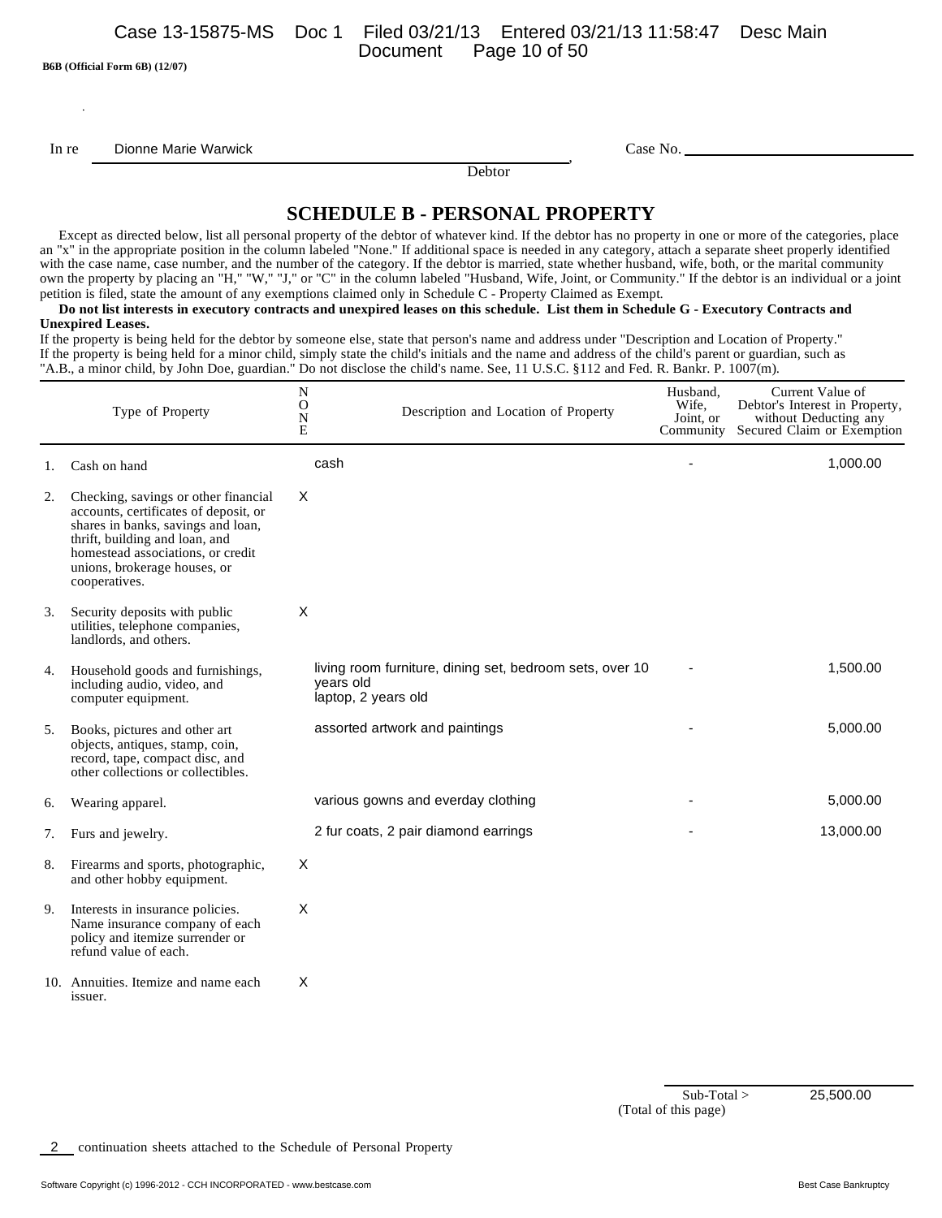**B6B (Official Form 6B) (12/07)**

In re

Dionne Marie Warwick **Case No.** 2008. The Case No. 2008. The Case No. 2008. The Case No. 2014. The Case No. 2014. The Case No. 2014. The Case No. 2014. The Case No. 2014. The Case No. 2014. The Case No. 2014. The Case No.

Debtor

## **SCHEDULE B - PERSONAL PROPERTY**

Except as directed below, list all personal property of the debtor of whatever kind. If the debtor has no property in one or more of the categories, place an "x" in the appropriate position in the column labeled "None." If additional space is needed in any category, attach a separate sheet properly identified with the case name, case number, and the number of the category. If the debtor is married, state whether husband, wife, both, or the marital community own the property by placing an "H," "W," "J," or "C" in the column labeled "Husband, Wife, Joint, or Community." If the debtor is an individual or a joint petition is filed, state the amount of any exemptions claimed only in Schedule C - Property Claimed as Exempt.

**Do not list interests in executory contracts and unexpired leases on this schedule. List them in Schedule G - Executory Contracts and Unexpired Leases.**

If the property is being held for the debtor by someone else, state that person's name and address under "Description and Location of Property." If the property is being held for a minor child, simply state the child's initials and the name and address of the child's parent or guardian, such as "A.B., a minor child, by John Doe, guardian." Do not disclose the child's name. See, 11 U.S.C. §112 and Fed. R. Bankr. P. 1007(m).

|             | Type of Property                                                                                                                                                                                                                            | N<br>$\overline{O}$<br>N<br>E | Description and Location of Property                                                         | Husband.<br>Wife,<br>Joint, or | Current Value of<br>Debtor's Interest in Property,<br>without Deducting any<br>Community Secured Claim or Exemption |
|-------------|---------------------------------------------------------------------------------------------------------------------------------------------------------------------------------------------------------------------------------------------|-------------------------------|----------------------------------------------------------------------------------------------|--------------------------------|---------------------------------------------------------------------------------------------------------------------|
| $1_{\cdot}$ | Cash on hand                                                                                                                                                                                                                                |                               | cash                                                                                         | $\blacksquare$                 | 1,000.00                                                                                                            |
| 2.          | Checking, savings or other financial<br>accounts, certificates of deposit, or<br>shares in banks, savings and loan,<br>thrift, building and loan, and<br>homestead associations, or credit<br>unions, brokerage houses, or<br>cooperatives. | X                             |                                                                                              |                                |                                                                                                                     |
| 3.          | Security deposits with public<br>utilities, telephone companies,<br>landlords, and others.                                                                                                                                                  | X                             |                                                                                              |                                |                                                                                                                     |
| 4.          | Household goods and furnishings,<br>including audio, video, and<br>computer equipment.                                                                                                                                                      |                               | living room furniture, dining set, bedroom sets, over 10<br>vears old<br>laptop, 2 years old |                                | 1,500.00                                                                                                            |
| 5.          | Books, pictures and other art<br>objects, antiques, stamp, coin,<br>record, tape, compact disc, and<br>other collections or collectibles.                                                                                                   |                               | assorted artwork and paintings                                                               |                                | 5,000.00                                                                                                            |
| 6.          | Wearing apparel.                                                                                                                                                                                                                            |                               | various gowns and everday clothing                                                           |                                | 5,000.00                                                                                                            |
| 7.          | Furs and jewelry.                                                                                                                                                                                                                           |                               | 2 fur coats, 2 pair diamond earrings                                                         |                                | 13,000.00                                                                                                           |
| 8.          | Firearms and sports, photographic,<br>and other hobby equipment.                                                                                                                                                                            | X                             |                                                                                              |                                |                                                                                                                     |
| 9.          | Interests in insurance policies.<br>Name insurance company of each<br>policy and itemize surrender or<br>refund value of each.                                                                                                              | X                             |                                                                                              |                                |                                                                                                                     |
|             | 10. Annuities. Itemize and name each<br>issuer.                                                                                                                                                                                             | X                             |                                                                                              |                                |                                                                                                                     |

25,500.00

continuation sheets attached to the Schedule of Personal Property 2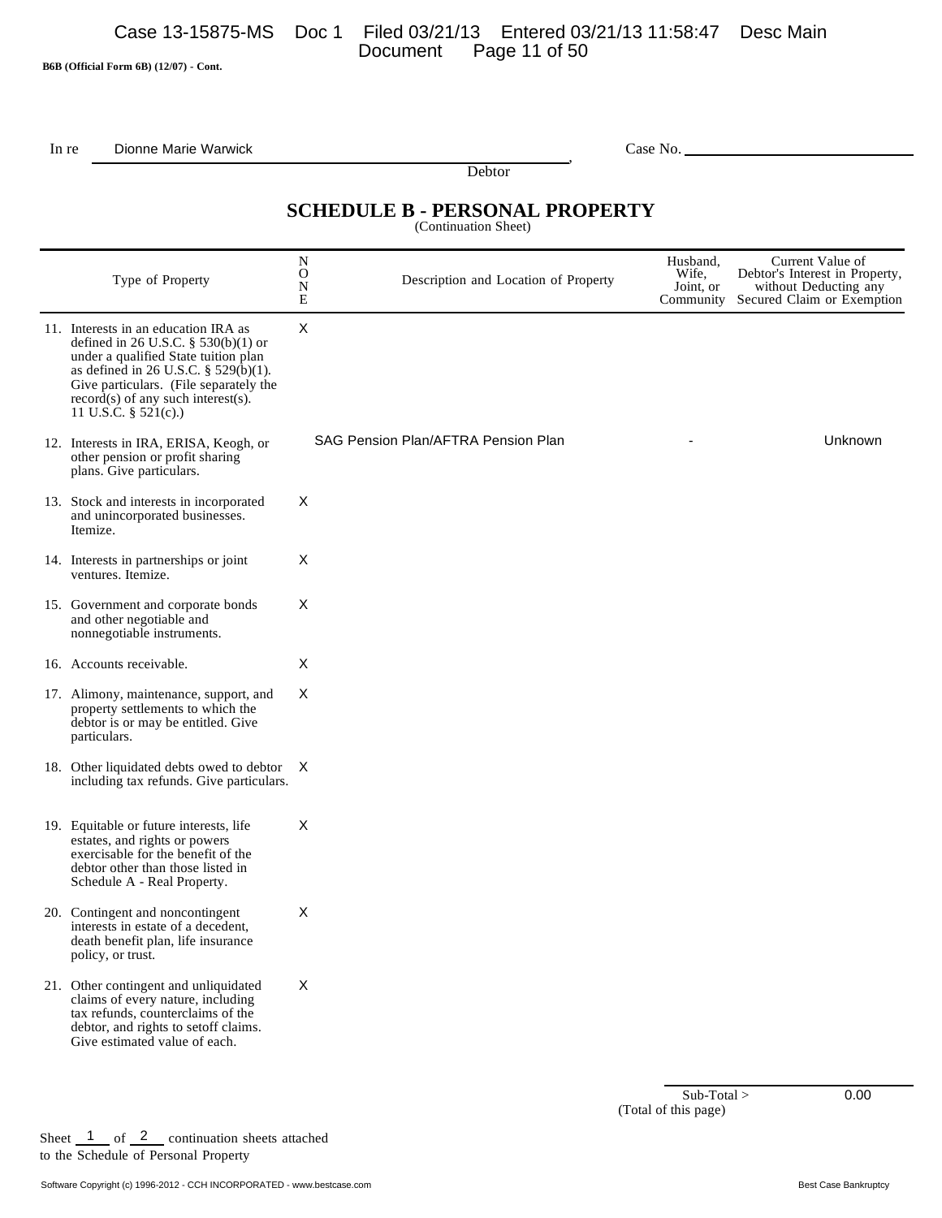**B6B (Official Form 6B) (12/07) - Cont.**

| In re        | Dionne Marie Warwick                                                                                                                                                                                                                                                                         |                  |                                                               | Case No.                       |                                                                                                                     |
|--------------|----------------------------------------------------------------------------------------------------------------------------------------------------------------------------------------------------------------------------------------------------------------------------------------------|------------------|---------------------------------------------------------------|--------------------------------|---------------------------------------------------------------------------------------------------------------------|
|              |                                                                                                                                                                                                                                                                                              |                  | Debtor                                                        |                                |                                                                                                                     |
|              |                                                                                                                                                                                                                                                                                              |                  | <b>SCHEDULE B - PERSONAL PROPERTY</b><br>(Continuation Sheet) |                                |                                                                                                                     |
|              | Type of Property                                                                                                                                                                                                                                                                             | N<br>0<br>N<br>E | Description and Location of Property                          | Husband,<br>Wife,<br>Joint, or | Current Value of<br>Debtor's Interest in Property,<br>without Deducting any<br>Community Secured Claim or Exemption |
|              | 11. Interests in an education IRA as<br>defined in 26 U.S.C. $\S$ 530(b)(1) or<br>under a qualified State tuition plan<br>as defined in 26 U.S.C. $\S$ 529( $\bar{b}$ )(1).<br>Give particulars. (File separately the<br>$record(s)$ of any such interest $(s)$ .<br>11 U.S.C. $\S$ 521(c).) | X                |                                                               |                                |                                                                                                                     |
|              | 12. Interests in IRA, ERISA, Keogh, or<br>other pension or profit sharing<br>plans. Give particulars.                                                                                                                                                                                        |                  | SAG Pension Plan/AFTRA Pension Plan                           |                                | Unknown                                                                                                             |
| Itemize.     | 13. Stock and interests in incorporated<br>and unincorporated businesses.                                                                                                                                                                                                                    | X                |                                                               |                                |                                                                                                                     |
|              | 14. Interests in partnerships or joint<br>ventures. Itemize.                                                                                                                                                                                                                                 | X                |                                                               |                                |                                                                                                                     |
|              | 15. Government and corporate bonds<br>and other negotiable and<br>nonnegotiable instruments.                                                                                                                                                                                                 | X                |                                                               |                                |                                                                                                                     |
|              | 16. Accounts receivable.                                                                                                                                                                                                                                                                     | Χ                |                                                               |                                |                                                                                                                     |
| particulars. | 17. Alimony, maintenance, support, and<br>property settlements to which the<br>debtor is or may be entitled. Give                                                                                                                                                                            | X                |                                                               |                                |                                                                                                                     |
|              | 18. Other liquidated debts owed to debtor X<br>including tax refunds. Give particulars.                                                                                                                                                                                                      |                  |                                                               |                                |                                                                                                                     |
|              | 19. Equitable or future interests, life<br>estates, and rights or powers<br>exercisable for the benefit of the<br>debtor other than those listed in<br>Schedule A - Real Property.                                                                                                           | X                |                                                               |                                |                                                                                                                     |
|              | 20. Contingent and noncontingent<br>interests in estate of a decedent,<br>death benefit plan, life insurance<br>policy, or trust.                                                                                                                                                            | $\pmb{\times}$   |                                                               |                                |                                                                                                                     |
|              | 21. Other contingent and unliquidated<br>claims of every nature, including<br>tax refunds, counterclaims of the<br>debtor, and rights to setoff claims.<br>Give estimated value of each.                                                                                                     | X                |                                                               |                                |                                                                                                                     |
|              |                                                                                                                                                                                                                                                                                              |                  |                                                               |                                |                                                                                                                     |

Sheet  $\frac{1}{\sqrt{2}}$  of  $\frac{2}{\sqrt{2}}$  continuation sheets attached to the Schedule of Personal Property 1 of 2

0.00

Sub-Total >

(Total of this page)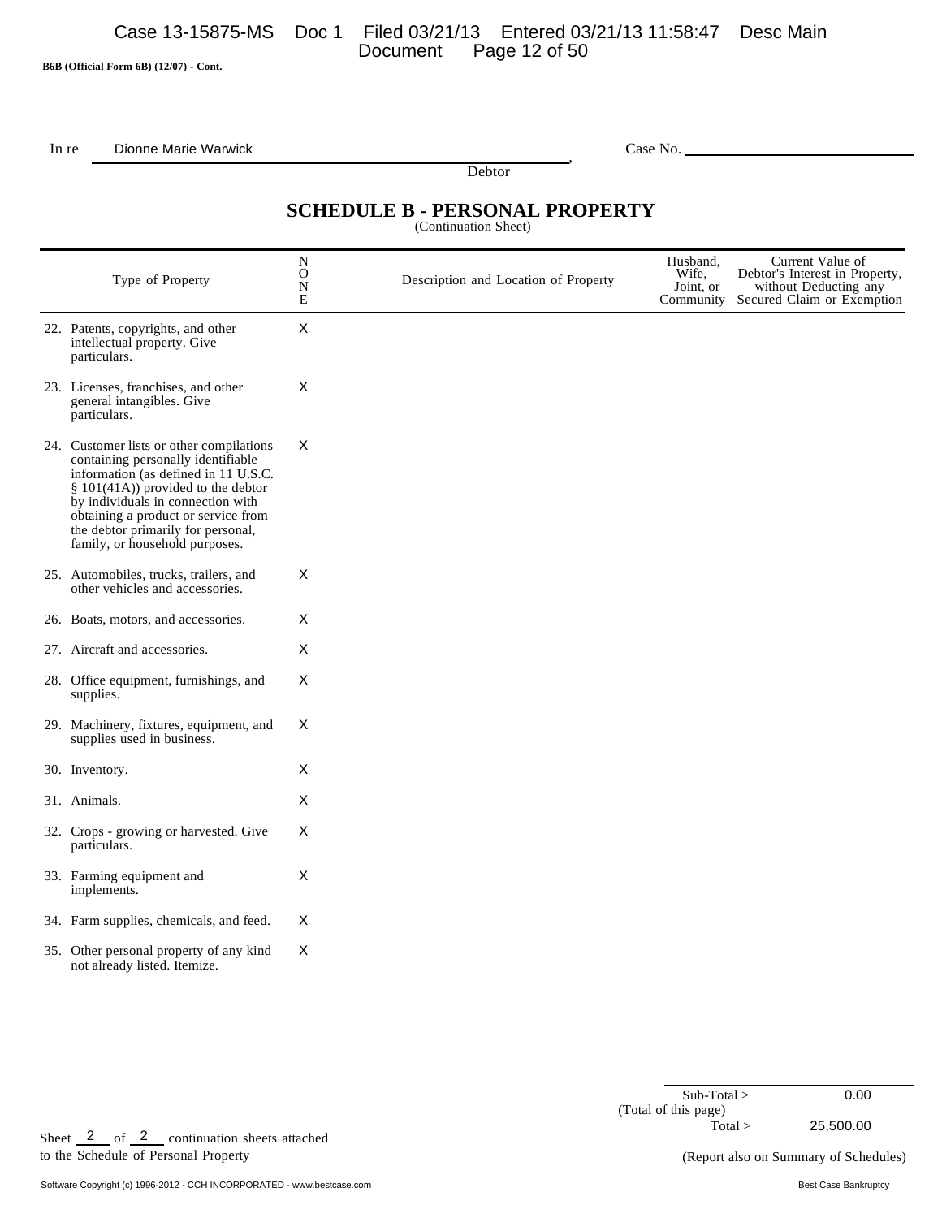**B6B (Official Form 6B) (12/07) - Cont.**

In re

Dionne Marie Warwick Case No. 2008 No. 2009

## **SCHEDULE B - PERSONAL PROPERTY**

(Continuation Sheet)

Debtor

| Type of Property                                                                                                                                                                                                                                                                                                 | N<br>O<br>N<br>E | Description and Location of Property | Husband,<br>Wife,<br>Joint, or | Current Value of<br>Debtor's Interest in Property,<br>without Deducting any<br>Community Secured Claim or Exemption |
|------------------------------------------------------------------------------------------------------------------------------------------------------------------------------------------------------------------------------------------------------------------------------------------------------------------|------------------|--------------------------------------|--------------------------------|---------------------------------------------------------------------------------------------------------------------|
| 22. Patents, copyrights, and other<br>intellectual property. Give<br>particulars.                                                                                                                                                                                                                                | $\mathsf X$      |                                      |                                |                                                                                                                     |
| 23. Licenses, franchises, and other<br>general intangibles. Give<br>particulars.                                                                                                                                                                                                                                 | X                |                                      |                                |                                                                                                                     |
| 24. Customer lists or other compilations<br>containing personally identifiable<br>information (as defined in 11 U.S.C.<br>§ 101(41A)) provided to the debtor<br>by individuals in connection with<br>obtaining a product or service from<br>the debtor primarily for personal,<br>family, or household purposes. | X                |                                      |                                |                                                                                                                     |
| 25. Automobiles, trucks, trailers, and<br>other vehicles and accessories.                                                                                                                                                                                                                                        | X                |                                      |                                |                                                                                                                     |
| 26. Boats, motors, and accessories.                                                                                                                                                                                                                                                                              | X                |                                      |                                |                                                                                                                     |
| 27. Aircraft and accessories.                                                                                                                                                                                                                                                                                    | $\pmb{\times}$   |                                      |                                |                                                                                                                     |
| 28. Office equipment, furnishings, and<br>supplies.                                                                                                                                                                                                                                                              | X                |                                      |                                |                                                                                                                     |
| 29. Machinery, fixtures, equipment, and<br>supplies used in business.                                                                                                                                                                                                                                            | X                |                                      |                                |                                                                                                                     |
| 30. Inventory.                                                                                                                                                                                                                                                                                                   | X                |                                      |                                |                                                                                                                     |
| 31. Animals.                                                                                                                                                                                                                                                                                                     | $\pmb{\times}$   |                                      |                                |                                                                                                                     |
| 32. Crops - growing or harvested. Give<br>particulars.                                                                                                                                                                                                                                                           | X                |                                      |                                |                                                                                                                     |
| 33. Farming equipment and<br>implements.                                                                                                                                                                                                                                                                         | $\pmb{\times}$   |                                      |                                |                                                                                                                     |
| 34. Farm supplies, chemicals, and feed.                                                                                                                                                                                                                                                                          | $\pmb{\times}$   |                                      |                                |                                                                                                                     |
| 35. Other personal property of any kind<br>not already listed. Itemize.                                                                                                                                                                                                                                          | X                |                                      |                                |                                                                                                                     |

0.00

25,500.00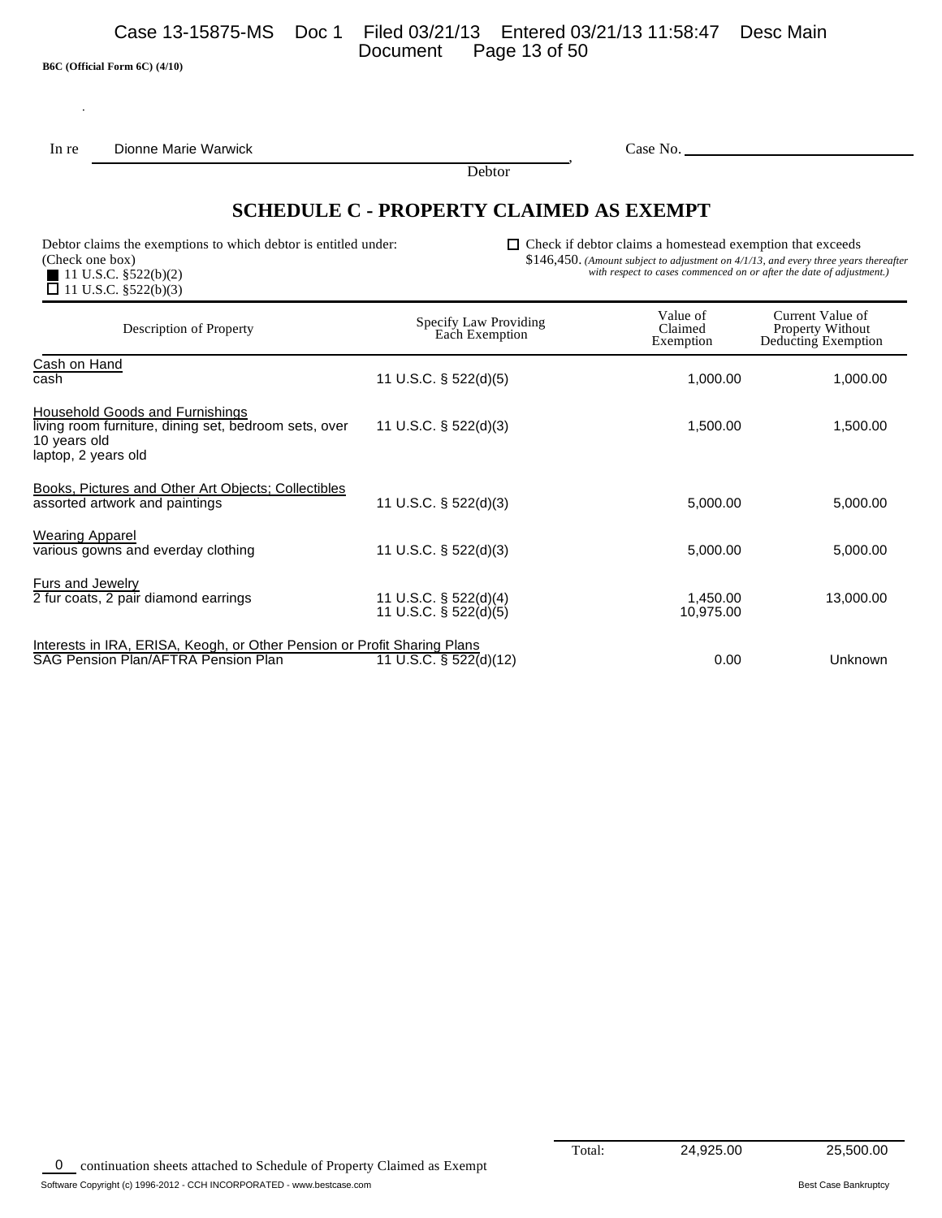**B6C (Official Form 6C) (4/10)**

In re

 $\ddot{\phantom{}}$ 

Dionne Marie Warwick Case No. 2008 No. 2008 No. 2008 No. 2008 No. 2008 No. 2008 No. 2008 No. 2008 No. 2008 No. 2008 No. 2008 No. 2008 No. 2008 No. 2008 No. 2008 No. 2008 No. 2008 No. 2008 No. 2008 No. 2008 No. 2008 No. 200

Debtor

## **SCHEDULE C - PROPERTY CLAIMED AS EXEMPT**

Debtor claims the exemptions to which debtor is entitled under:  $\Box$  Check if debtor claims a homestead exemption that exceeds

11 U.S.C.  $$522(b)(2)$ <br>
11 U.S.C.  $$522(b)(3)$ 

(Check one box) \$146,450. *(Amount subject to adjustment on 4/1/13, and every three years thereafter with respect to cases commenced on or after the date of adjustment.*)

| Description of Property                                                                                                                                      | Specify Law Providing<br>Each Exemption        | Value of<br>Claimed<br>Exemption | Current Value of<br><b>Property Without</b><br>Deducting Exemption |  |  |  |  |  |  |  |
|--------------------------------------------------------------------------------------------------------------------------------------------------------------|------------------------------------------------|----------------------------------|--------------------------------------------------------------------|--|--|--|--|--|--|--|
| Cash on Hand<br>cash                                                                                                                                         | 11 U.S.C. § 522(d)(5)                          | 1,000.00                         | 1,000.00                                                           |  |  |  |  |  |  |  |
| Household Goods and Furnishings<br>living room furniture, dining set, bedroom sets, over<br>10 years old<br>laptop, 2 years old                              | 11 U.S.C. § 522(d)(3)                          | 1,500.00                         | 1,500.00                                                           |  |  |  |  |  |  |  |
| Books, Pictures and Other Art Objects; Collectibles<br>assorted artwork and paintings                                                                        | 11 U.S.C. § 522(d)(3)                          | 5,000.00                         | 5,000.00                                                           |  |  |  |  |  |  |  |
| <b>Wearing Apparel</b><br>various gowns and everday clothing                                                                                                 | 11 U.S.C. § 522(d)(3)                          | 5,000.00                         | 5,000.00                                                           |  |  |  |  |  |  |  |
| Furs and Jewelry<br>2 fur coats, 2 pair diamond earrings                                                                                                     | 11 U.S.C. § 522(d)(4)<br>11 U.S.C. § 522(d)(5) | 1,450.00<br>10,975.00            | 13,000.00                                                          |  |  |  |  |  |  |  |
| Interests in IRA, ERISA, Keogh, or Other Pension or Profit Sharing Plans<br>SAG Pension Plan/AFTRA Pension Plan<br>11 U.S.C. § 522(d)(12)<br>0.00<br>Unknown |                                                |                                  |                                                                    |  |  |  |  |  |  |  |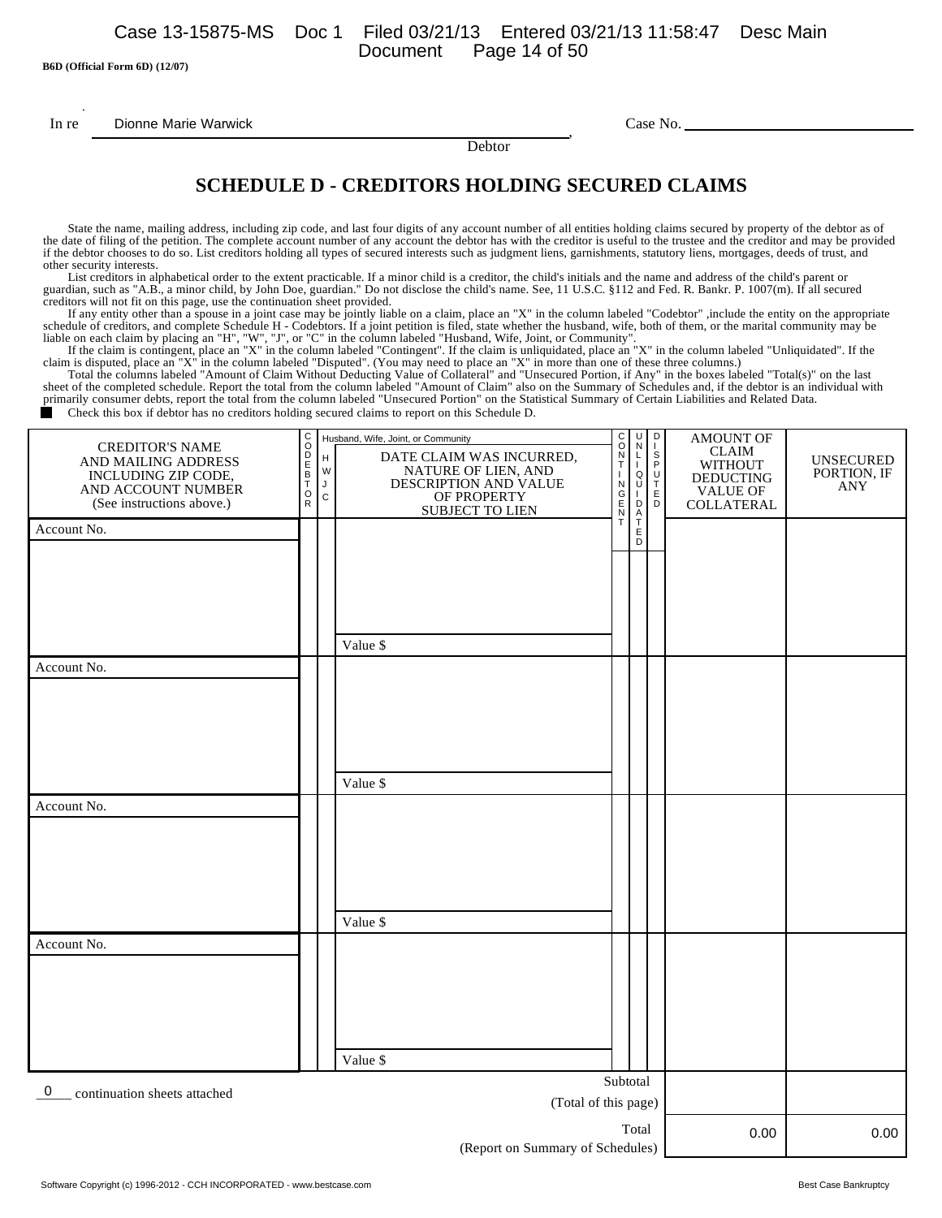**B6D (Official Form 6D) (12/07)**

In re

Dionne Marie Warwick Case No.

**SCHEDULE D - CREDITORS HOLDING SECURED CLAIMS**

Debtor

State the name, mailing address, including zip code, and last four digits of any account number of all entities holding claims secured by property of the debtor as of the date of filing of the petition. The complete accoun if the debtor chooses to do so. List creditors holding all types of secured interests such as judgment liens, garnishments, statutory liens, mortgages, deeds of trust, and other security interests.

List creditors in alphabetical order to the extent practicable. If a minor child is a creditor, the child's initials and the name and address of the child's parent or guardian, such as "A.B., a minor child, by John Doe, gu creditors will not fit on this page, use the continuation sheet provided.

If any entity other than a spouse in a joint case may be jointly liable on a claim, place an "X" in the column labeled "Codebtor", include the entity on the appropriate schedule of creditors, and complete Schedule H - Code

Check this box if debtor has no creditors holding secured claims to report on this Schedule D.

| <b>CREDITOR'S NAME</b><br>AND MAILING ADDRESS<br>INCLUDING ZIP CODE,<br>AND ACCOUNT NUMBER<br>(See instructions above.) | CODEBTOR | $\mathsf H$<br>${\sf W}$<br>$\mathsf J$<br>$\mathsf{C}$ | Husband, Wife, Joint, or Community<br>DATE CLAIM WAS INCURRED,<br>NATURE OF LIEN, AND DESCRIPTION AND VALUE<br>OF PROPERTY<br>SUBJECT TO LIEN | N<br>T<br>T<br>T |                       | 102-1200<br>D-CO-LZC<br>D-HC D-D-D<br>S<br>P<br>U<br>T<br>E<br>D | AMOUNT OF<br>CLAIM<br><b>WITHOUT</b><br><b>DEDUCTING</b><br>VALUE OF<br><b>COLLATERAL</b> | <b>UNSECURED</b><br>PORTION, IF<br>ANY |
|-------------------------------------------------------------------------------------------------------------------------|----------|---------------------------------------------------------|-----------------------------------------------------------------------------------------------------------------------------------------------|------------------|-----------------------|------------------------------------------------------------------|-------------------------------------------------------------------------------------------|----------------------------------------|
| Account No.                                                                                                             |          |                                                         |                                                                                                                                               |                  | D<br>A<br>T<br>E<br>D |                                                                  |                                                                                           |                                        |
|                                                                                                                         |          |                                                         |                                                                                                                                               |                  |                       |                                                                  |                                                                                           |                                        |
|                                                                                                                         |          |                                                         |                                                                                                                                               |                  |                       |                                                                  |                                                                                           |                                        |
|                                                                                                                         |          |                                                         |                                                                                                                                               |                  |                       |                                                                  |                                                                                           |                                        |
|                                                                                                                         |          |                                                         |                                                                                                                                               |                  |                       |                                                                  |                                                                                           |                                        |
| Account No.                                                                                                             |          |                                                         | Value \$                                                                                                                                      |                  |                       |                                                                  |                                                                                           |                                        |
|                                                                                                                         |          |                                                         |                                                                                                                                               |                  |                       |                                                                  |                                                                                           |                                        |
|                                                                                                                         |          |                                                         |                                                                                                                                               |                  |                       |                                                                  |                                                                                           |                                        |
|                                                                                                                         |          |                                                         |                                                                                                                                               |                  |                       |                                                                  |                                                                                           |                                        |
|                                                                                                                         |          |                                                         |                                                                                                                                               |                  |                       |                                                                  |                                                                                           |                                        |
|                                                                                                                         |          |                                                         | Value \$                                                                                                                                      |                  |                       |                                                                  |                                                                                           |                                        |
| Account No.                                                                                                             |          |                                                         |                                                                                                                                               |                  |                       |                                                                  |                                                                                           |                                        |
|                                                                                                                         |          |                                                         |                                                                                                                                               |                  |                       |                                                                  |                                                                                           |                                        |
|                                                                                                                         |          |                                                         |                                                                                                                                               |                  |                       |                                                                  |                                                                                           |                                        |
|                                                                                                                         |          |                                                         |                                                                                                                                               |                  |                       |                                                                  |                                                                                           |                                        |
|                                                                                                                         |          |                                                         |                                                                                                                                               |                  |                       |                                                                  |                                                                                           |                                        |
|                                                                                                                         |          |                                                         | Value \$                                                                                                                                      |                  |                       |                                                                  |                                                                                           |                                        |
| Account No.                                                                                                             |          |                                                         |                                                                                                                                               |                  |                       |                                                                  |                                                                                           |                                        |
|                                                                                                                         |          |                                                         |                                                                                                                                               |                  |                       |                                                                  |                                                                                           |                                        |
|                                                                                                                         |          |                                                         |                                                                                                                                               |                  |                       |                                                                  |                                                                                           |                                        |
|                                                                                                                         |          |                                                         |                                                                                                                                               |                  |                       |                                                                  |                                                                                           |                                        |
|                                                                                                                         |          |                                                         | Value \$                                                                                                                                      |                  |                       |                                                                  |                                                                                           |                                        |
|                                                                                                                         |          |                                                         |                                                                                                                                               | Subtotal         |                       |                                                                  |                                                                                           |                                        |
| $\overline{0}$<br>continuation sheets attached                                                                          |          |                                                         | (Total of this page)                                                                                                                          |                  |                       |                                                                  |                                                                                           |                                        |
|                                                                                                                         |          |                                                         |                                                                                                                                               |                  | Total                 |                                                                  | 0.00                                                                                      | 0.00                                   |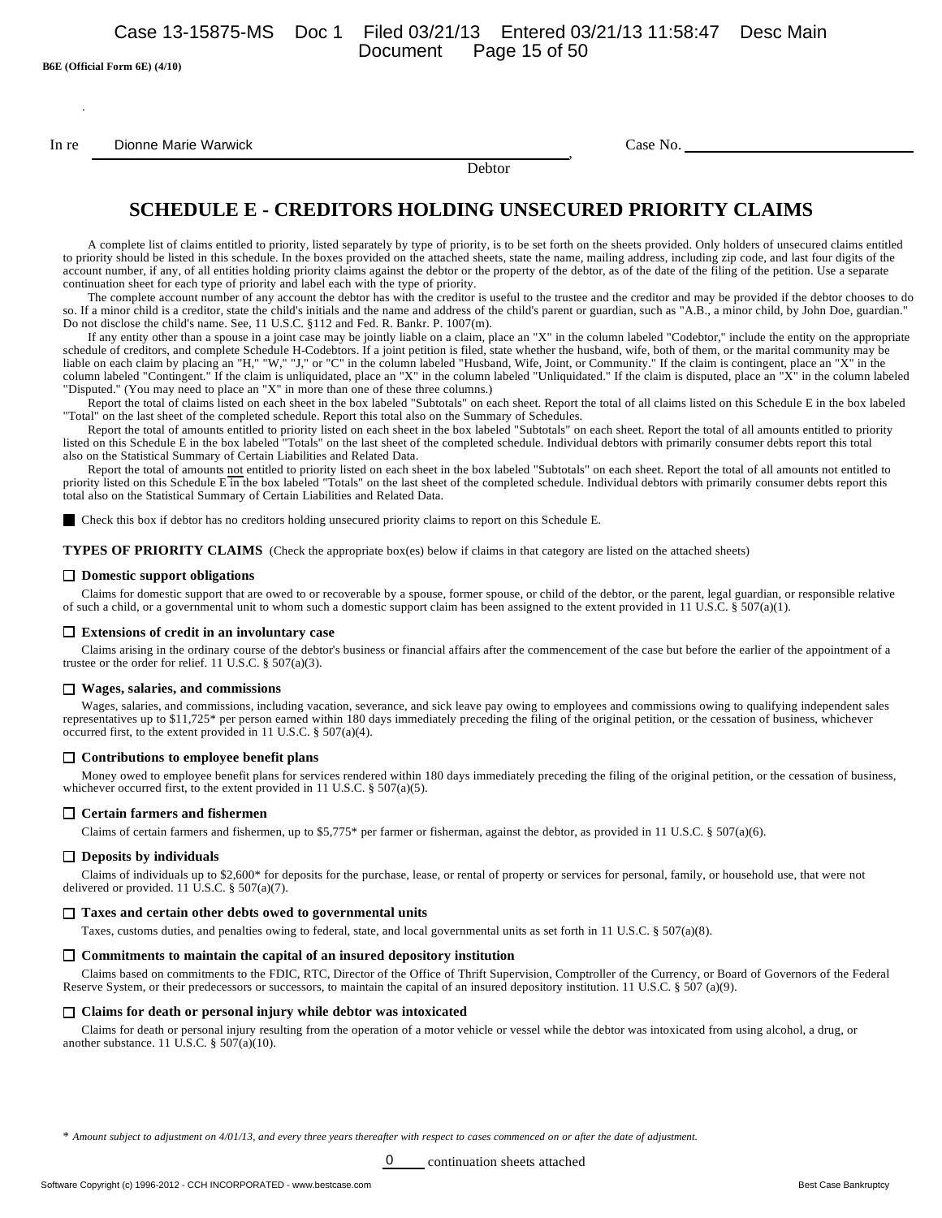**B6E (Official Form 6E) (4/10)**

In re

Dionne Marie Warwick **Case No.** 2008 **Case No.** 2008 **Case No.** 2008 **Case No.** 2008 **Case No.** 2014

### Debtor

## **SCHEDULE E - CREDITORS HOLDING UNSECURED PRIORITY CLAIMS**

A complete list of claims entitled to priority, listed separately by type of priority, is to be set forth on the sheets provided. Only holders of unsecured claims entitled to priority should be listed in this schedule. In the boxes provided on the attached sheets, state the name, mailing address, including zip code, and last four digits of the account number, if any, of all entities holding priority claims against the debtor or the property of the debtor, as of the date of the filing of the petition. Use a separate continuation sheet for each type of priority and label each with the type of priority.

The complete account number of any account the debtor has with the creditor is useful to the trustee and the creditor and may be provided if the debtor chooses to do so. If a minor child is a creditor, state the child's initials and the name and address of the child's parent or guardian, such as "A.B., a minor child, by John Doe, guardian." Do not disclose the child's name. See, 11 U.S.C. §112 and Fed. R. Bankr. P. 1007(m).

If any entity other than a spouse in a joint case may be jointly liable on a claim, place an "X" in the column labeled "Codebtor," include the entity on the appropriate schedule of creditors, and complete Schedule H-Codebtors. If a joint petition is filed, state whether the husband, wife, both of them, or the marital community may be liable on each claim by placing an "H," "W," "J," or "C" in the column labeled "Husband, Wife, Joint, or Community." If the claim is contingent, place an "X" in the column labeled "Contingent." If the claim is unliquidated, place an "X" in the column labeled "Unliquidated." If the claim is disputed, place an "X" in the column labeled "Disputed." (You may need to place an "X" in more than one of these three columns.)

Report the total of claims listed on each sheet in the box labeled "Subtotals" on each sheet. Report the total of all claims listed on this Schedule E in the box labeled "Total" on the last sheet of the completed schedule. Report this total also on the Summary of Schedules.

Report the total of amounts entitled to priority listed on each sheet in the box labeled "Subtotals" on each sheet. Report the total of all amounts entitled to priority listed on this Schedule E in the box labeled "Totals" on the last sheet of the completed schedule. Individual debtors with primarily consumer debts report this total also on the Statistical Summary of Certain Liabilities and Related Data.

Report the total of amounts not entitled to priority listed on each sheet in the box labeled "Subtotals" on each sheet. Report the total of all amounts not entitled to priority listed on this Schedule E in the box labeled "Totals" on the last sheet of the completed schedule. Individual debtors with primarily consumer debts report this total also on the Statistical Summary of Certain Liabilities and Related Data.

Check this box if debtor has no creditors holding unsecured priority claims to report on this Schedule E.

**TYPES OF PRIORITY CLAIMS** (Check the appropriate box(es) below if claims in that category are listed on the attached sheets)

#### **Domestic support obligations**

Claims for domestic support that are owed to or recoverable by a spouse, former spouse, or child of the debtor, or the parent, legal guardian, or responsible relative of such a child, or a governmental unit to whom such a domestic support claim has been assigned to the extent provided in 11 U.S.C. § 507(a)(1).

#### **Extensions of credit in an involuntary case**

Claims arising in the ordinary course of the debtor's business or financial affairs after the commencement of the case but before the earlier of the appointment of a trustee or the order for relief. 11 U.S.C.  $\S$  507(a)(3).

#### **Wages, salaries, and commissions**

Wages, salaries, and commissions, including vacation, severance, and sick leave pay owing to employees and commissions owing to qualifying independent sales representatives up to \$11,725\* per person earned within 180 days immediately preceding the filing of the original petition, or the cessation of business, whichever occurred first, to the extent provided in 11 U.S.C. § 507(a)(4).

#### **Contributions to employee benefit plans**

Money owed to employee benefit plans for services rendered within 180 days immediately preceding the filing of the original petition, or the cessation of business, whichever occurred first, to the extent provided in 11 U.S.C. § 507(a)(5).

#### **Certain farmers and fishermen**

Claims of certain farmers and fishermen, up to \$5,775\* per farmer or fisherman, against the debtor, as provided in 11 U.S.C. § 507(a)(6).

#### **Deposits by individuals**

Claims of individuals up to \$2,600\* for deposits for the purchase, lease, or rental of property or services for personal, family, or household use, that were not delivered or provided. 11 U.S.C.  $\S$  507(a)(7).

#### **Taxes and certain other debts owed to governmental units**

Taxes, customs duties, and penalties owing to federal, state, and local governmental units as set forth in 11 U.S.C. § 507(a)(8).

#### **Commitments to maintain the capital of an insured depository institution**

Claims based on commitments to the FDIC, RTC, Director of the Office of Thrift Supervision, Comptroller of the Currency, or Board of Governors of the Federal Reserve System, or their predecessors or successors, to maintain the capital of an insured depository institution. 11 U.S.C. § 507 (a)(9).

#### **Claims for death or personal injury while debtor was intoxicated**

Claims for death or personal injury resulting from the operation of a motor vehicle or vessel while the debtor was intoxicated from using alcohol, a drug, or another substance. 11 U.S.C.  $\S$  507(a)(10).

\* *Amount subject to adjustment on 4/01/13, and every three years thereafter with respect to cases commenced on or after the date of adjustment.*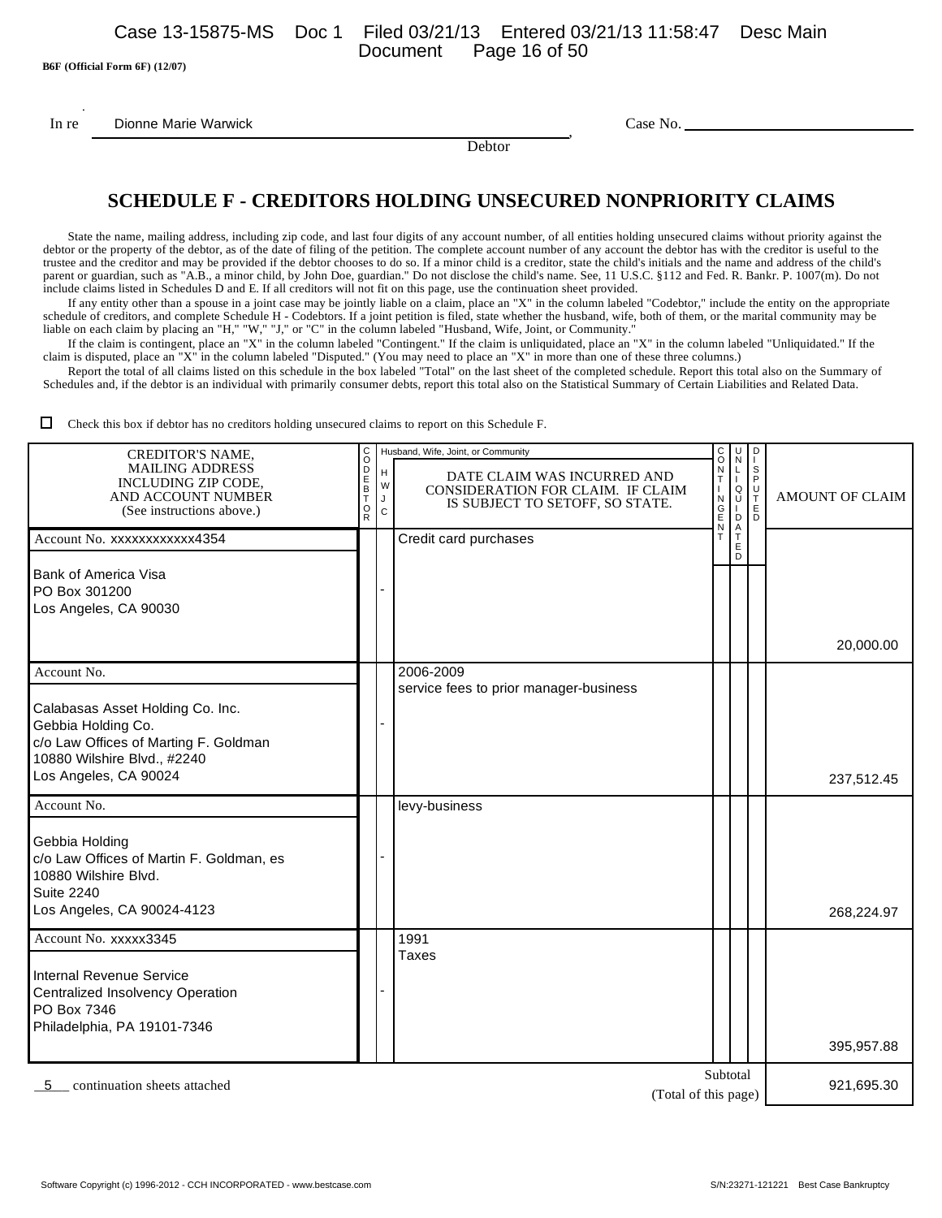**B6F (Official Form 6F) (12/07)**

In re

Dionne Marie Warwick Case No.

## **SCHEDULE F - CREDITORS HOLDING UNSECURED NONPRIORITY CLAIMS**

Debtor

State the name, mailing address, including zip code, and last four digits of any account number, of all entities holding unsecured claims without priority against the debtor or the property of the debtor, as of the date of filing of the petition. The complete account number of any account the debtor has with the creditor is useful to the trustee and the creditor and may be provided if the debtor chooses to do so. If a minor child is a creditor, state the child's initials and the name and address of the child's parent or guardian, such as "A.B., a minor child, by John Doe, guardian." Do not disclose the child's name. See, 11 U.S.C. §112 and Fed. R. Bankr. P. 1007(m). Do not include claims listed in Schedules D and E. If all creditors will not fit on this page, use the continuation sheet provided.

If any entity other than a spouse in a joint case may be jointly liable on a claim, place an "X" in the column labeled "Codebtor," include the entity on the appropriate schedule of creditors, and complete Schedule H - Codebtors. If a joint petition is filed, state whether the husband, wife, both of them, or the marital community may be liable on each claim by placing an "H," "W," "J," or "C" in the column labeled "Husband, Wife, Joint, or Community."

If the claim is contingent, place an "X" in the column labeled "Contingent." If the claim is unliquidated, place an "X" in the column labeled "Unliquidated." If the claim is disputed, place an "X" in the column labeled "Disputed." (You may need to place an "X" in more than one of these three columns.)

Report the total of all claims listed on this schedule in the box labeled "Total" on the last sheet of the completed schedule. Report this total also on the Summary of Schedules and, if the debtor is an individual with primarily consumer debts, report this total also on the Statistical Summary of Certain Liabilities and Related Data.

 $\Box$ Check this box if debtor has no creditors holding unsecured claims to report on this Schedule F.

| CREDITOR'S NAME,<br><b>MAILING ADDRESS</b><br><b>INCLUDING ZIP CODE,</b><br>AND ACCOUNT NUMBER<br>(See instructions above.)<br>Account No. XXXXXXXXXXX4354<br>Bank of America Visa<br>PO Box 301200<br>Los Angeles, CA 90030 | C<br>O<br>D<br>E<br>B<br>T<br>$\circ$<br>$\mathsf{R}$ | Н.<br>W<br>J<br>$\mathsf{C}$ | Husband, Wife, Joint, or Community<br>DATE CLAIM WAS INCURRED AND<br>CONSIDERATION FOR CLAIM. IF CLAIM<br>IS SUBJECT TO SETOFF, SO STATE.<br>Credit card purchases | $_{\rm O}^{\rm C}$<br>N<br>T.<br>200Z<br>T. | U<br>$-\frac{1}{2}$<br>$\overline{a}$<br>$\mathbf{I}$<br>$\overline{R}$<br>$\overline{R}$<br>$\overline{T}$<br>$_{\rm D}^{\rm E}$ | D<br>$\mathbf{I}$<br>$\blacksquare \blacksquare \blacksquare \blacksquare$<br>D | AMOUNT OF CLAIM |
|------------------------------------------------------------------------------------------------------------------------------------------------------------------------------------------------------------------------------|-------------------------------------------------------|------------------------------|--------------------------------------------------------------------------------------------------------------------------------------------------------------------|---------------------------------------------|-----------------------------------------------------------------------------------------------------------------------------------|---------------------------------------------------------------------------------|-----------------|
|                                                                                                                                                                                                                              |                                                       |                              |                                                                                                                                                                    |                                             |                                                                                                                                   |                                                                                 | 20,000.00       |
| Account No.<br>Calabasas Asset Holding Co. Inc.<br>Gebbia Holding Co.<br>c/o Law Offices of Marting F. Goldman<br>10880 Wilshire Blvd., #2240<br>Los Angeles, CA 90024                                                       |                                                       |                              | 2006-2009<br>service fees to prior manager-business                                                                                                                |                                             |                                                                                                                                   |                                                                                 | 237,512.45      |
| Account No.<br>Gebbia Holding<br>c/o Law Offices of Martin F. Goldman, es<br>10880 Wilshire Blvd.<br><b>Suite 2240</b><br>Los Angeles, CA 90024-4123                                                                         |                                                       |                              | levy-business                                                                                                                                                      |                                             |                                                                                                                                   |                                                                                 | 268,224.97      |
| Account No. xxxxx3345<br><b>Internal Revenue Service</b><br><b>Centralized Insolvency Operation</b><br>PO Box 7346<br>Philadelphia, PA 19101-7346                                                                            |                                                       |                              | 1991<br><b>Taxes</b>                                                                                                                                               |                                             |                                                                                                                                   |                                                                                 | 395,957.88      |
| 5 continuation sheets attached                                                                                                                                                                                               |                                                       |                              | (Total of this page)                                                                                                                                               |                                             | Subtotal                                                                                                                          |                                                                                 | 921,695.30      |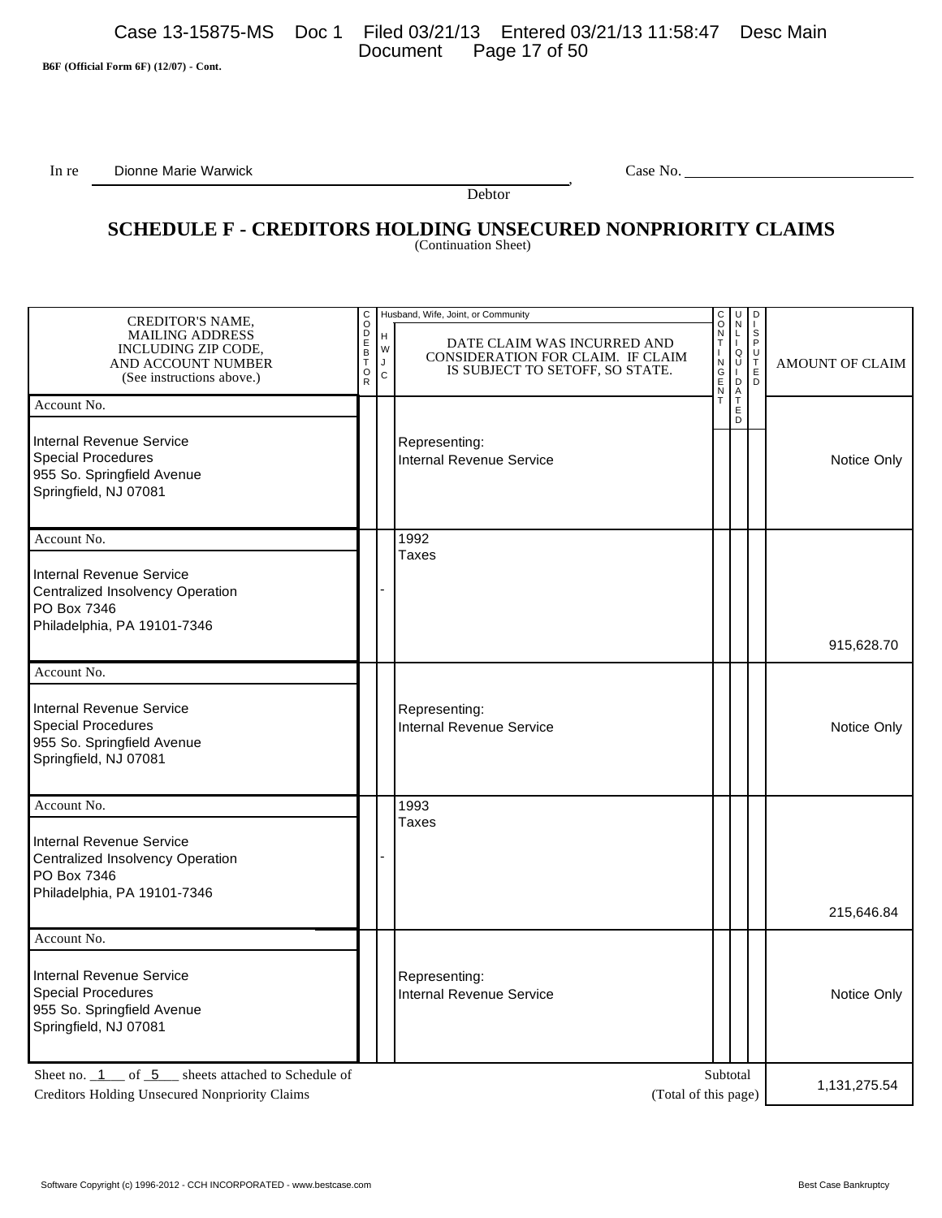**B6F (Official Form 6F) (12/07) - Cont.**

In re

Dionne Marie Warwick Case No.

Debtor

#### **SCHEDULE F - CREDITORS HOLDING UNSECURED NONPRIORITY CLAIMS** (Continuation Sheet)

C O D E B T O R CONT INGENT U N L I Q U I D A T E D D I S P U T E D Husband, Wife, Joint, or Community H W J C CREDITOR'S NAME, MAILING ADDRESS INCLUDING ZIP CODE, AND ACCOUNT NUMBER (See instructions above.) Account No. Account No. Account No. Account No. Account No. Sheet no. <u>1 of 5</u> sheets attached to Schedule of Subtotal Subtotal Subtotal DATE CLAIM WAS INCURRED AND CONSIDERATION FOR CLAIM. IF CLAIM **IS SUBJECT TO SETOFF, SO STATE.**  $\begin{bmatrix} \cdot & \cdot & \cdot \\ \cdot & \cdot & \cdot \\ \cdot & \cdot & \cdot \end{bmatrix} \begin{bmatrix} \cdot & \cdot \\ \cdot & \cdot \\ \cdot & \cdot \end{bmatrix} \begin{bmatrix} \cdot & \cdot \\ \cdot & \cdot \\ \cdot & \cdot \end{bmatrix}$  AMOUNT OF CLAIM Representing: Internal Revenue Service Notice Only Notice Only Internal Revenue Service Special Procedures 955 So. Springfield Avenue Springfield, NJ 07081 1992 Taxes Internal Revenue Service Centralized Insolvency Operation PO Box 7346 Philadelphia, PA 19101-7346 - 915,628.70 Representing: Internal Revenue Service Notice Only Notice Only Internal Revenue Service Special Procedures 955 So. Springfield Avenue Springfield, NJ 07081 1993 Taxes Internal Revenue Service Centralized Insolvency Operation PO Box 7346 Philadelphia, PA 19101-7346 - 215,646.84 Representing: Internal Revenue Service Notice Notice Only Internal Revenue Service Special Procedures 955 So. Springfield Avenue Springfield, NJ 07081 1,131,275.54

Creditors Holding Unsecured Nonpriority Claims (Total of this page)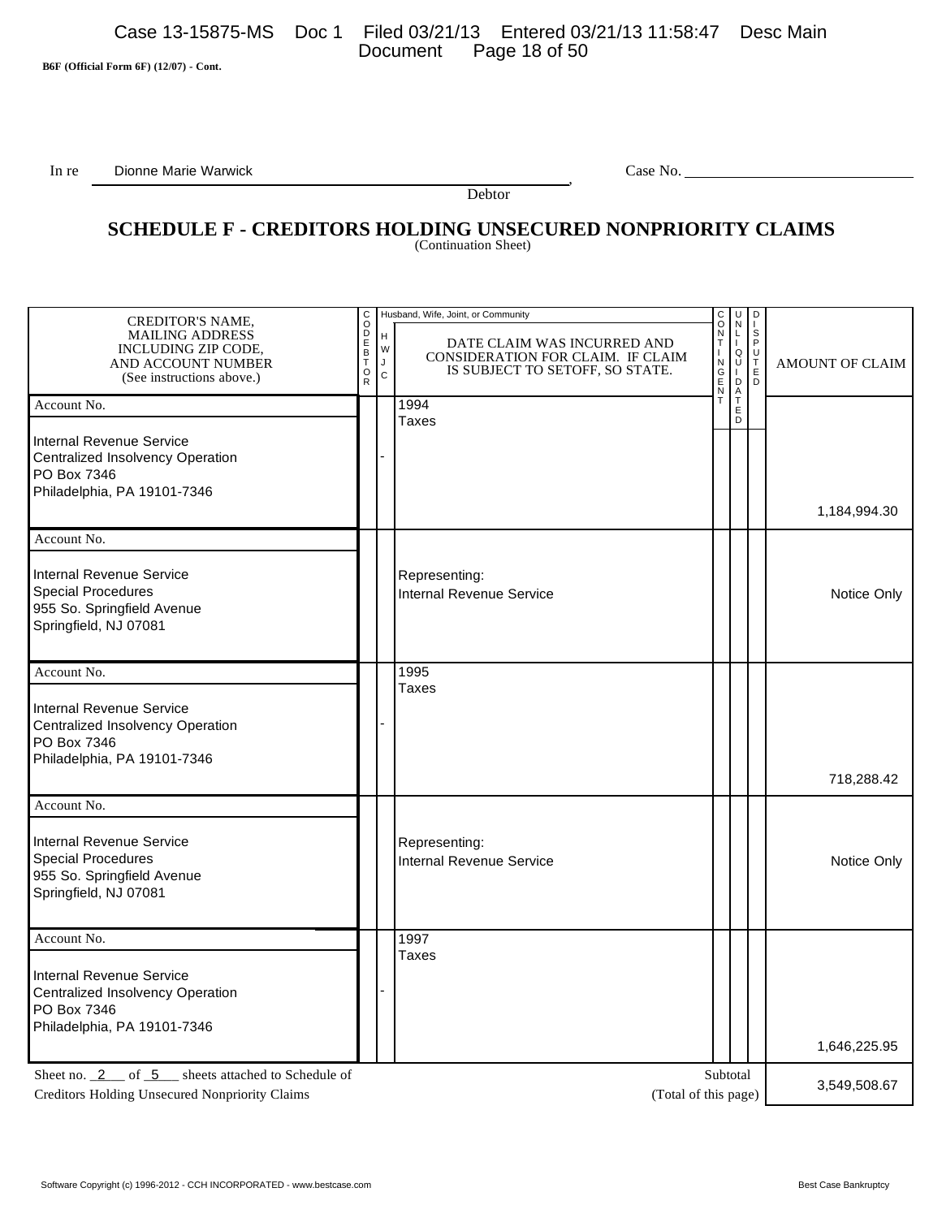**B6F (Official Form 6F) (12/07) - Cont.**

In re

Dionne Marie Warwick Case No.

Debtor

,

#### **SCHEDULE F - CREDITORS HOLDING UNSECURED NONPRIORITY CLAIMS** (Continuation Sheet)

| CREDITOR'S NAME,<br><b>MAILING ADDRESS</b><br>INCLUDING ZIP CODE,<br>AND ACCOUNT NUMBER<br>(See instructions above.)                     | CODEBTOR | H<br>W<br>J<br>$\mathbf C$ | Husband, Wife, Joint, or Community<br>DATE CLAIM WAS INCURRED AND<br>CONSIDERATION FOR CLAIM. IF CLAIM<br>IS SUBJECT TO SETOFF, SO STATE. | $\begin{array}{c}\nC \\ O \\ T\n\end{array}$<br>N<br>G<br>T<br>T | $\mathbf{L}$   | $\begin{array}{c c}\n-\mathsf{r}\mathsf{z}\mathsf{c}\n\end{array}$<br>$\begin{array}{c} 0 \\ 0 \\ T \end{array}$<br>E<br>$\begin{array}{c c}\n\mathbf{b} & \mathbf{b} \\ \mathbf{c} & \mathbf{d} \\ \mathbf{c} & \mathbf{d} \\ \mathbf{c} & \mathbf{d} \\ \mathbf{d} & \mathbf{d} \\ \mathbf{e} & \mathbf{d} \\ \mathbf{e} & \mathbf{d} \\ \mathbf{e} & \mathbf{d} \\ \mathbf{e} & \mathbf{d} \\ \mathbf{e} & \mathbf{d} \\ \mathbf{e} & \mathbf{d} \\ \mathbf{e} & \mathbf{d} \\ \mathbf{e} & \mathbf{e} \\ \mathbf{e} & \mathbf{e} \\ \mathbf{e} & \mathbf{e} \\ $ | <b>AMOUNT OF CLAIM</b> |
|------------------------------------------------------------------------------------------------------------------------------------------|----------|----------------------------|-------------------------------------------------------------------------------------------------------------------------------------------|------------------------------------------------------------------|----------------|----------------------------------------------------------------------------------------------------------------------------------------------------------------------------------------------------------------------------------------------------------------------------------------------------------------------------------------------------------------------------------------------------------------------------------------------------------------------------------------------------------------------------------------------------------------------|------------------------|
| Account No.                                                                                                                              |          |                            | 1994                                                                                                                                      |                                                                  | $\overline{E}$ |                                                                                                                                                                                                                                                                                                                                                                                                                                                                                                                                                                      |                        |
| Internal Revenue Service<br>Centralized Insolvency Operation<br>PO Box 7346<br>Philadelphia, PA 19101-7346                               |          |                            | Taxes                                                                                                                                     |                                                                  |                |                                                                                                                                                                                                                                                                                                                                                                                                                                                                                                                                                                      | 1,184,994.30           |
| Account No.                                                                                                                              |          |                            |                                                                                                                                           |                                                                  |                |                                                                                                                                                                                                                                                                                                                                                                                                                                                                                                                                                                      |                        |
| Internal Revenue Service<br><b>Special Procedures</b><br>955 So. Springfield Avenue<br>Springfield, NJ 07081                             |          |                            | Representing:<br><b>Internal Revenue Service</b>                                                                                          |                                                                  |                |                                                                                                                                                                                                                                                                                                                                                                                                                                                                                                                                                                      | Notice Only            |
| Account No.                                                                                                                              |          |                            | 1995                                                                                                                                      |                                                                  |                |                                                                                                                                                                                                                                                                                                                                                                                                                                                                                                                                                                      |                        |
| Internal Revenue Service<br><b>Centralized Insolvency Operation</b><br>PO Box 7346<br>Philadelphia, PA 19101-7346                        |          |                            | <b>Taxes</b>                                                                                                                              |                                                                  |                |                                                                                                                                                                                                                                                                                                                                                                                                                                                                                                                                                                      | 718,288.42             |
| Account No.                                                                                                                              |          |                            |                                                                                                                                           |                                                                  |                |                                                                                                                                                                                                                                                                                                                                                                                                                                                                                                                                                                      |                        |
| Internal Revenue Service<br><b>Special Procedures</b><br>955 So. Springfield Avenue<br>Springfield, NJ 07081                             |          |                            | Representing:<br><b>Internal Revenue Service</b>                                                                                          |                                                                  |                |                                                                                                                                                                                                                                                                                                                                                                                                                                                                                                                                                                      | Notice Only            |
| Account No.                                                                                                                              |          |                            | 1997                                                                                                                                      |                                                                  |                |                                                                                                                                                                                                                                                                                                                                                                                                                                                                                                                                                                      |                        |
| Internal Revenue Service<br><b>Centralized Insolvency Operation</b><br>PO Box 7346<br>Philadelphia, PA 19101-7346                        |          |                            | Taxes                                                                                                                                     |                                                                  |                |                                                                                                                                                                                                                                                                                                                                                                                                                                                                                                                                                                      |                        |
|                                                                                                                                          |          |                            |                                                                                                                                           |                                                                  |                |                                                                                                                                                                                                                                                                                                                                                                                                                                                                                                                                                                      | 1,646,225.95           |
| Sheet no. 2 of 5 sheets attached to Schedule of<br>$\mathbf{r}$<br>$\mathbf{r}$ , and $\mathbf{r}$ , and $\mathbf{r}$ , and $\mathbf{r}$ |          |                            | $\sim$ $\sim$ $\sim$                                                                                                                      | Subtotal                                                         |                |                                                                                                                                                                                                                                                                                                                                                                                                                                                                                                                                                                      | 3,549,508.67           |

Creditors Holding Unsecured Nonpriority Claims (Total of this page)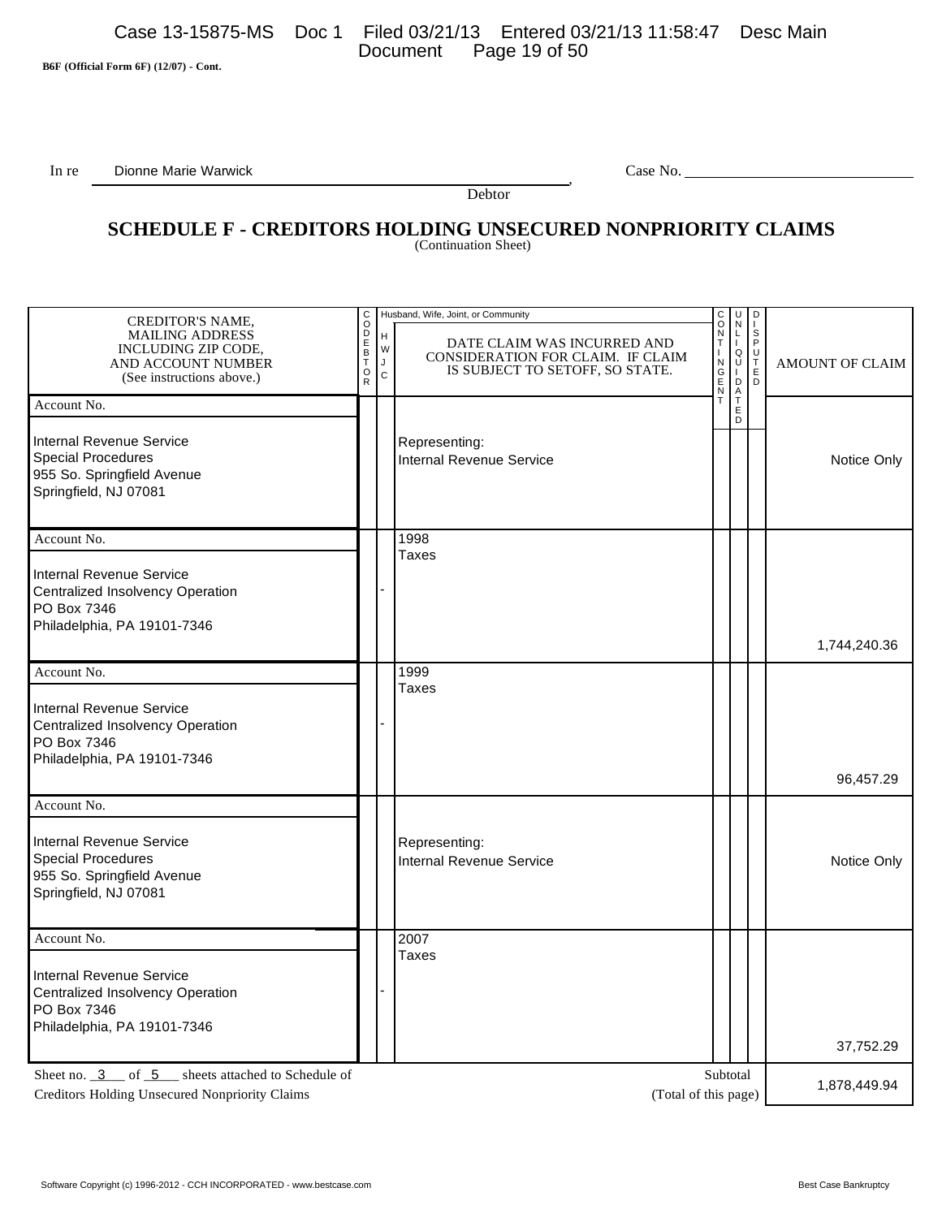**B6F (Official Form 6F) (12/07) - Cont.**

In re

Dionne Marie Warwick Case No.

Debtor

#### **SCHEDULE F - CREDITORS HOLDING UNSECURED NONPRIORITY CLAIMS** (Continuation Sheet)

C O D E B T O R CONT INGENT U N L I Q U I D A T E D D I S P U T E D Husband, Wife, Joint, or Community H W J C CREDITOR'S NAME, MAILING ADDRESS INCLUDING ZIP CODE, AND ACCOUNT NUMBER (See instructions above.) Account No. Account No. Account No. Account No. Account No. DATE CLAIM WAS INCURRED AND CONSIDERATION FOR CLAIM. IF CLAIM **IS SUBJECT TO SETOFF, SO STATE.**  $\begin{bmatrix} \cdot & \cdot & \cdot \\ \cdot & \cdot & \cdot \\ \cdot & \cdot & \cdot \end{bmatrix} \begin{bmatrix} \cdot & \cdot \\ \cdot & \cdot \\ \cdot & \cdot \end{bmatrix} \begin{bmatrix} \cdot & \cdot \\ \cdot & \cdot \\ \cdot & \cdot \end{bmatrix}$  AMOUNT OF CLAIM Representing: Internal Revenue Service Notice Only Notice Only Internal Revenue Service Special Procedures 955 So. Springfield Avenue Springfield, NJ 07081 1998 Taxes Internal Revenue Service Centralized Insolvency Operation PO Box 7346 Philadelphia, PA 19101-7346 - 1,744,240.36 1999 Taxes Internal Revenue Service Centralized Insolvency Operation PO Box 7346 Philadelphia, PA 19101-7346 - 96,457.29 Representing: Internal Revenue Service Notice Notice Only Internal Revenue Service Special Procedures 955 So. Springfield Avenue Springfield, NJ 07081 2007 Taxes Internal Revenue Service Centralized Insolvency Operation PO Box 7346 Philadelphia, PA 19101-7346 - 37,752.29

Sheet no. <u>3 of 5</u> sheets attached to Schedule of Subtotal Subtotal Subtotal

Creditors Holding Unsecured Nonpriority Claims (Total of this page)

1,878,449.94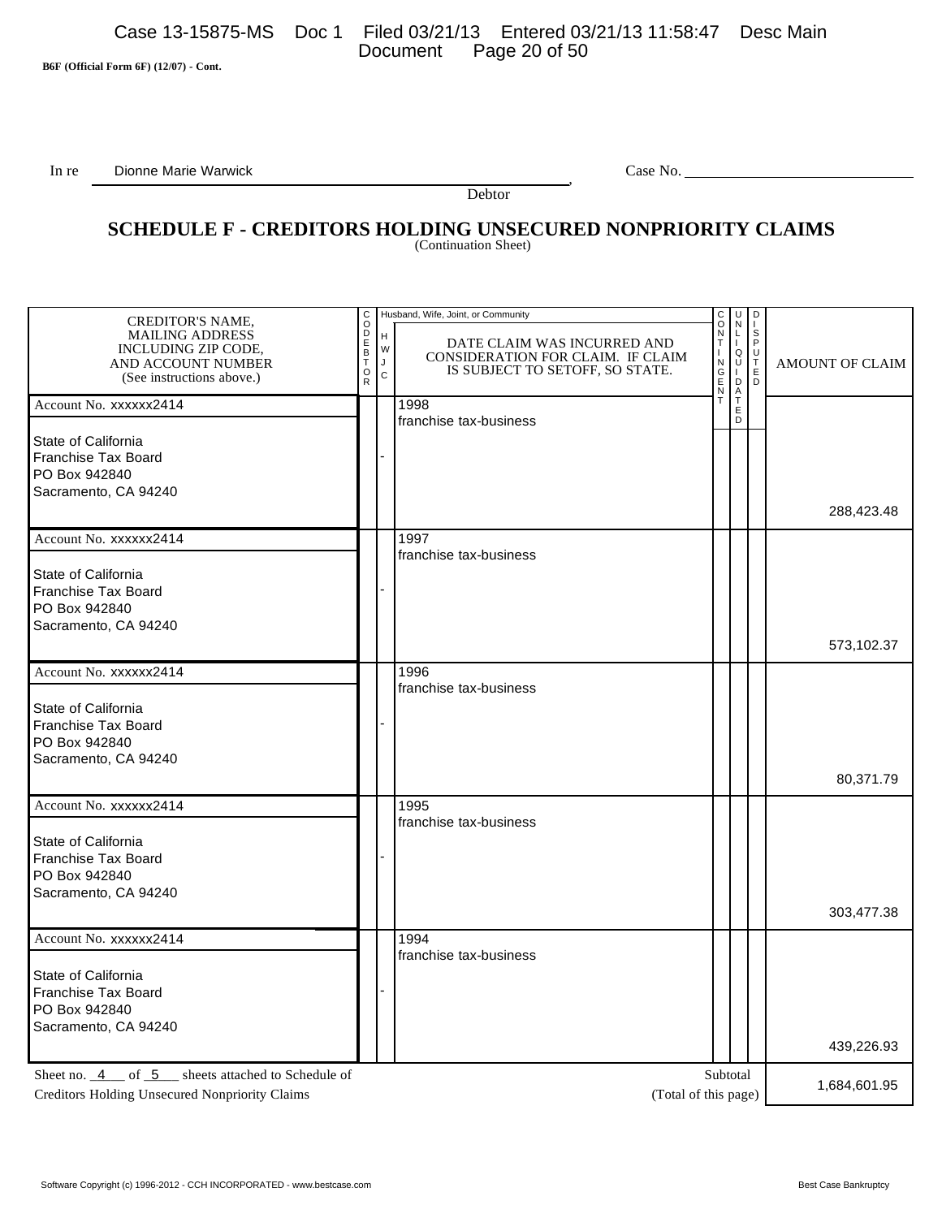**B6F (Official Form 6F) (12/07) - Cont.**

In re

Dionne Marie Warwick **Case No.** 2008. The Case No. 2008. Case No. 2008. The Case No. 2008. The Case No. 2008. The Case No. 2008. The Case No. 2008. The Case No. 2008. The Case No. 2008. The Case No. 2008. The Case No. 2008

,

#### **SCHEDULE F - CREDITORS HOLDING UNSECURED NONPRIORITY CLAIMS** (Continuation Sheet)

Debtor

C O D E B T O R CONT INGENT U N L I Q U I D A T E D D I S P U T E D Husband, Wife, Joint, or Community H W J C CREDITOR'S NAME, MAILING ADDRESS INCLUDING ZIP CODE, AND ACCOUNT NUMBER (See instructions above.) Account No. xxxxxx2414 1998 Account No. xxxxxx2414 1997 Account No. xxxxxx2414 1996 Account No. xxxxxx2414 1995 Account No. xxxxxx2414 1994 DATE CLAIM WAS INCURRED AND CONSIDERATION FOR CLAIM. IF CLAIM **IS SUBJECT TO SETOFF, SO STATE.**  $\begin{bmatrix} \cdot & \cdot & \cdot \\ \cdot & \cdot & \cdot \\ \cdot & \cdot & \cdot \end{bmatrix} \begin{bmatrix} \cdot & \cdot \\ \cdot & \cdot \\ \cdot & \cdot \end{bmatrix} \begin{bmatrix} \cdot & \cdot \\ \cdot & \cdot \\ \cdot & \cdot \end{bmatrix}$  AMOUNT OF CLAIM franchise tax-business State of California Franchise Tax Board PO Box 942840 Sacramento, CA 94240 - 288,423.48 franchise tax-business State of California Franchise Tax Board PO Box 942840 Sacramento, CA 94240 - 573,102.37 franchise tax-business State of California Franchise Tax Board PO Box 942840 Sacramento, CA 94240 - 80,371.79 franchise tax-business State of California Franchise Tax Board PO Box 942840 Sacramento, CA 94240 - 303,477.38 franchise tax-business State of California Franchise Tax Board PO Box 942840 Sacramento, CA 94240 - 439,226.93

Sheet no. <u>4 of 5</u> sheets attached to Schedule of Subtotal Subtotal Subtotal

Creditors Holding Unsecured Nonpriority Claims (Total of this page)

1,684,601.95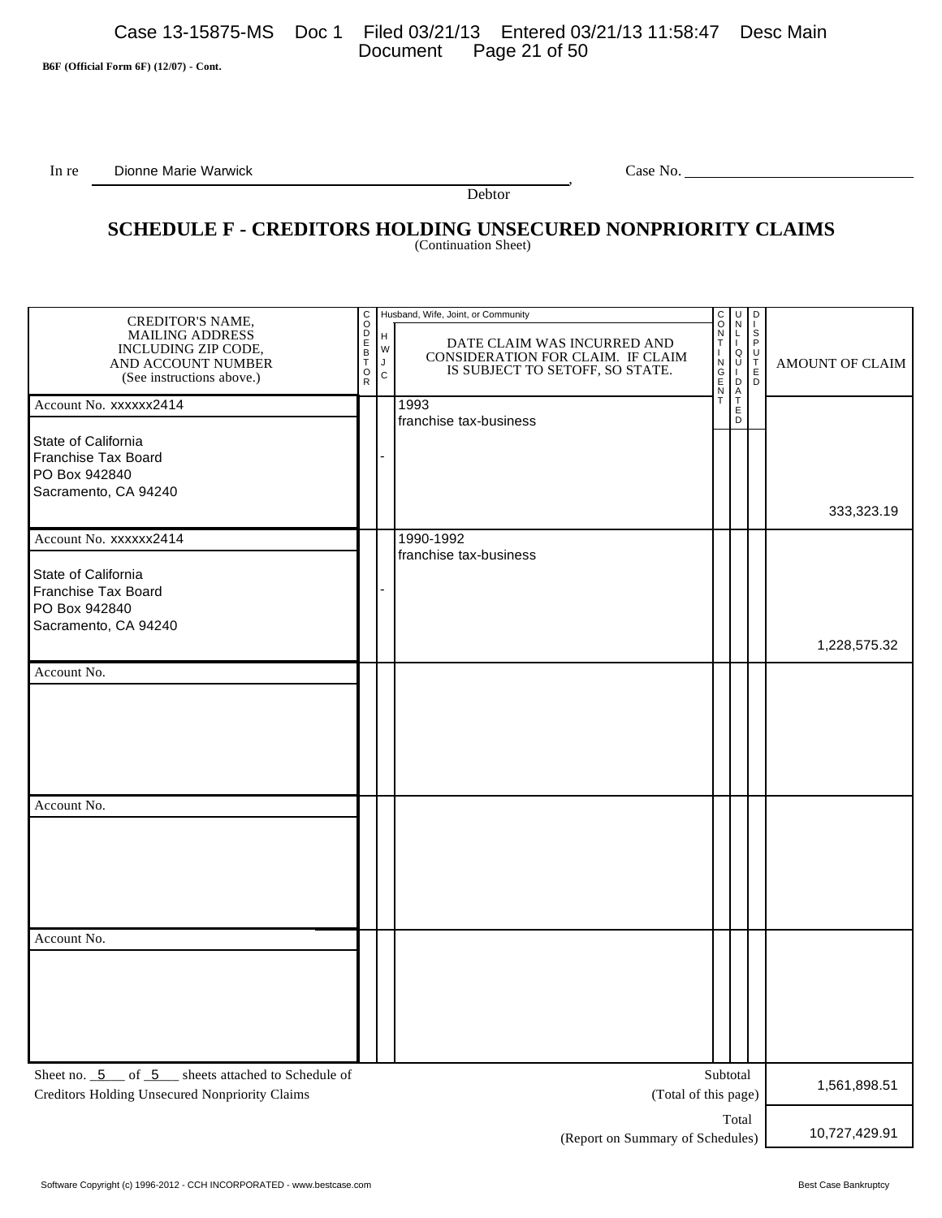**B6F (Official Form 6F) (12/07) - Cont.**

In re

Dionne Marie Warwick Case No.

Debtor

#### **SCHEDULE F - CREDITORS HOLDING UNSECURED NONPRIORITY CLAIMS** (Continuation Sheet)

C O D E B T O R CONTINGENT U N L I Q U I D A T E D D I S P U T E D Husband, Wife, Joint, or Community H W J C CREDITOR'S NAME, MAILING ADDRESS INCLUDING ZIP CODE, AND ACCOUNT NUMBER (See instructions above.) Account No. xxxxxx2414 1993 Account No. xxxxxx2414 1990-1992 Account No. Account No. Account No. Sheet no. <u>5 of 5 sheets</u> attached to Schedule of Subtotal Subtotal Creditors Holding Unsecured Nonpriority Claims (Total of this page) DATE CLAIM WAS INCURRED AND CONSIDERATION FOR CLAIM. IF CLAIM **IS SUBJECT TO SETOFF, SO STATE.**  $\begin{bmatrix} \vdots \\ \vdots \\ \vdots \end{bmatrix} \begin{bmatrix} 1 \\ \vdots \\ \vdots \end{bmatrix}$  AMOUNT OF CLAIM IS SUBJECT TO SETOFF, SO STATE. franchise tax-business State of California Franchise Tax Board PO Box 942840 Sacramento, CA 94240 - 333,323.19 franchise tax-business State of California Franchise Tax Board PO Box 942840 Sacramento, CA 94240 - 1,228,575.32 1,561,898.51 10,727,429.91 Total

(Report on Summary of Schedules)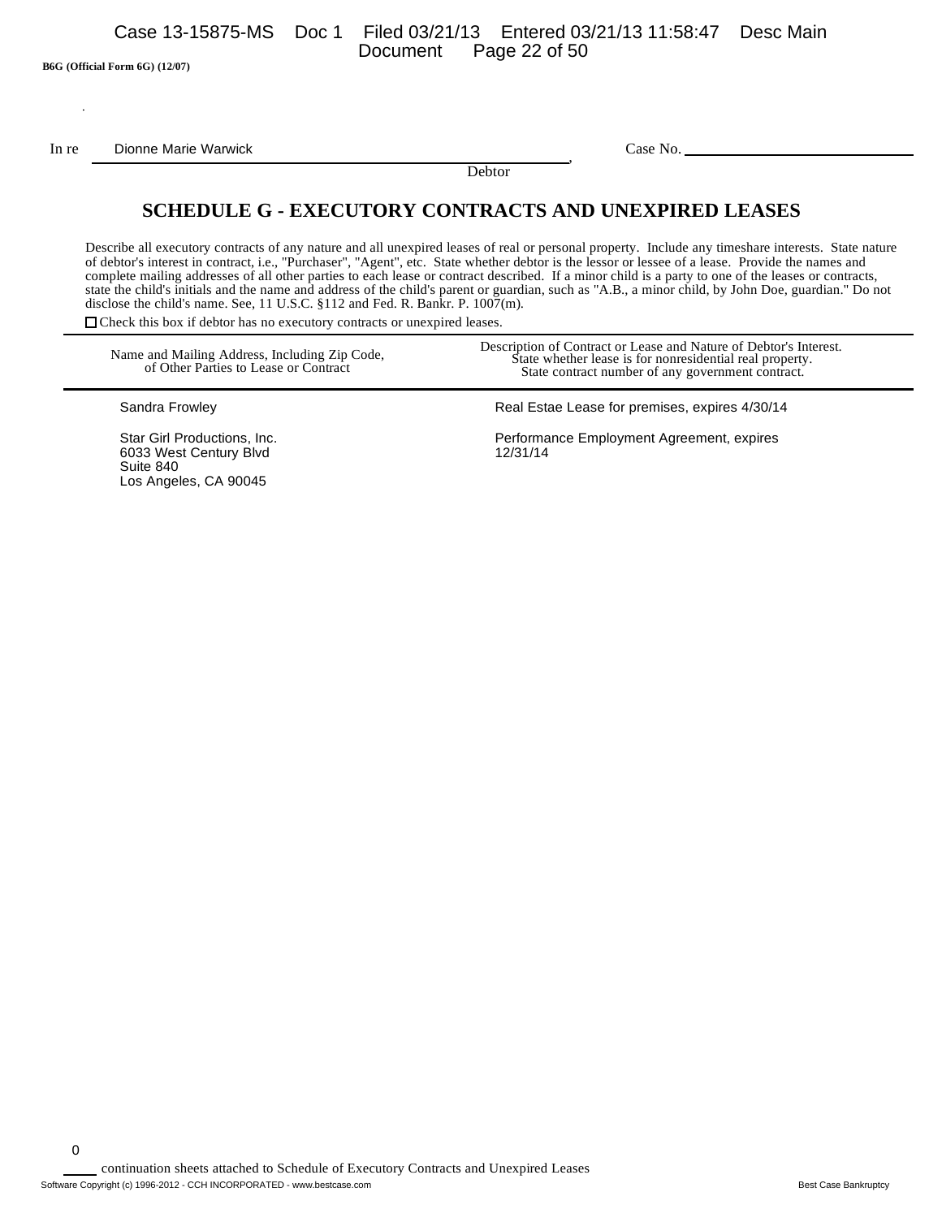**B6G (Official Form 6G) (12/07)**

In re

0

Dionne Marie Warwick **Case No.** 2008. The Case No. 2008. The Case No. 2008. The Case No. 2014. The Case No. 2014. The Case No. 2014. The Case No. 2014. The Case No. 2014. The Case No. 2014. The Case No. 2014. The Case No.

Debtor

## **SCHEDULE G - EXECUTORY CONTRACTS AND UNEXPIRED LEASES**

Describe all executory contracts of any nature and all unexpired leases of real or personal property. Include any timeshare interests. State nature of debtor's interest in contract, i.e., "Purchaser", "Agent", etc. State whether debtor is the lessor or lessee of a lease. Provide the names and complete mailing addresses of all other parties to each lease or contract described. If a minor child is a party to one of the leases or contracts, state the child's initials and the name and address of the child's parent or guardian, such as "A.B., a minor child, by John Doe, guardian." Do not disclose the child's name. See, 11 U.S.C. §112 and Fed. R. Bankr. P. 1007(m). Check this box if debtor has no executory contracts or unexpired leases.

Name and Mailing Address, Including Zip Code, of Other Parties to Lease or Contract Description of Contract or Lease and Nature of Debtor's Interest. State whether lease is for nonresidential real property. State contract number of any government contract. Sandra Frowley **Real Estae Lease for premises, expires 4/30/14** Star Girl Productions, Inc. 6033 West Century Blvd Suite 840 Los Angeles, CA 90045 Performance Employment Agreement, expires 12/31/14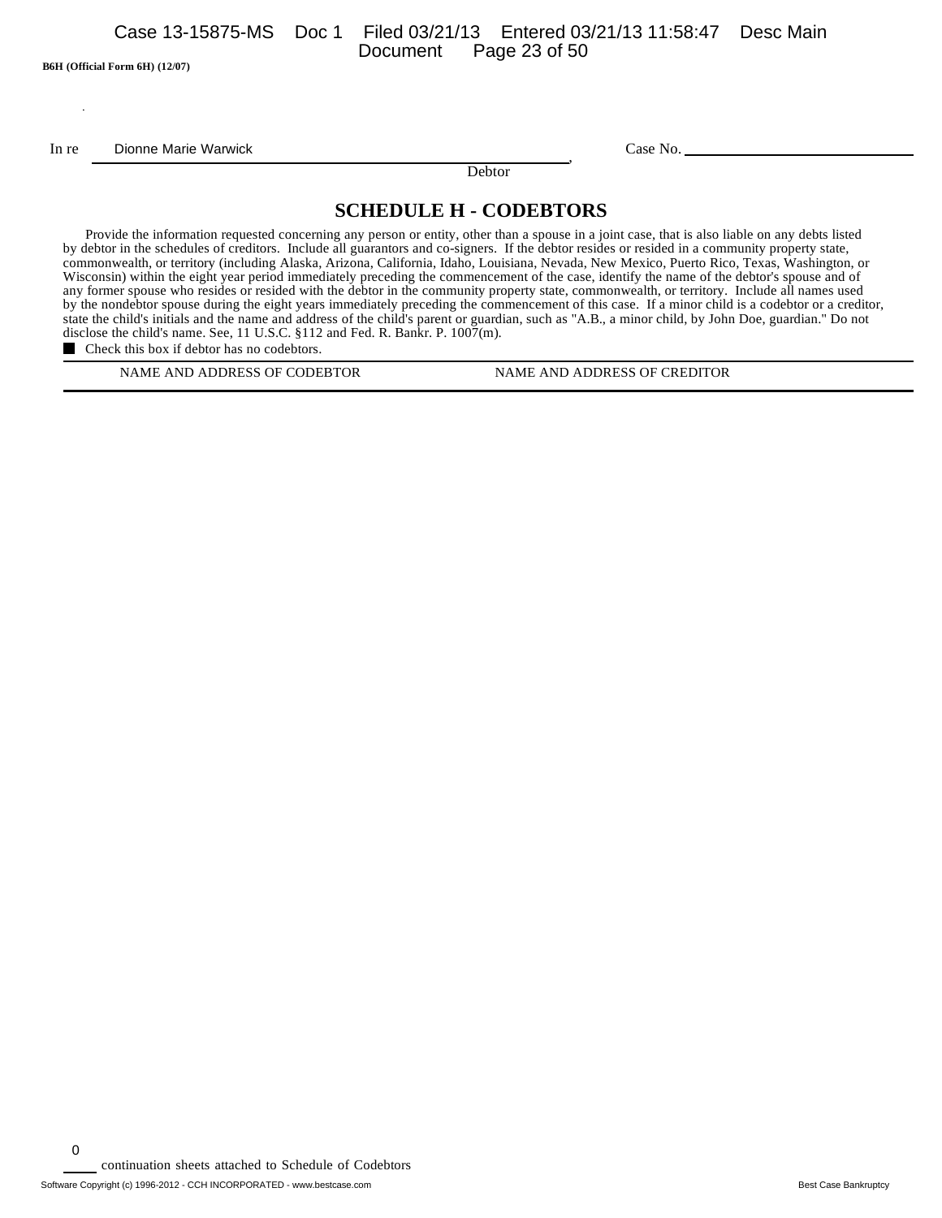**B6H (Official Form 6H) (12/07)**

In re Dionne Marie Warwick **Case No.** 2008. The Case No. 2008. The Case No. 2008. The Case No. 2008. The Case No. 2014. The Case No. 2014. The Case No. 2014. The Case No. 2014. The Case No. 2014. The Case No. 2014. The Case No.

Debtor

## **SCHEDULE H - CODEBTORS**

Provide the information requested concerning any person or entity, other than a spouse in a joint case, that is also liable on any debts listed by debtor in the schedules of creditors. Include all guarantors and co-signers. If the debtor resides or resided in a community property state, commonwealth, or territory (including Alaska, Arizona, California, Idaho, Louisiana, Nevada, New Mexico, Puerto Rico, Texas, Washington, or Wisconsin) within the eight year period immediately preceding the commencement of the case, identify the name of the debtor's spouse and of any former spouse who resides or resided with the debtor in the community property state, commonwealth, or territory. Include all names used by the nondebtor spouse during the eight years immediately preceding the commencement of this case. If a minor child is a codebtor or a creditor, state the child's initials and the name and address of the child's parent or guardian, such as "A.B., a minor child, by John Doe, guardian." Do not disclose the child's name. See, 11 U.S.C. §112 and Fed. R. Bankr. P. 1007(m).

Check this box if debtor has no codebtors.

NAME AND ADDRESS OF CODEBTOR NAME AND ADDRESS OF CREDITOR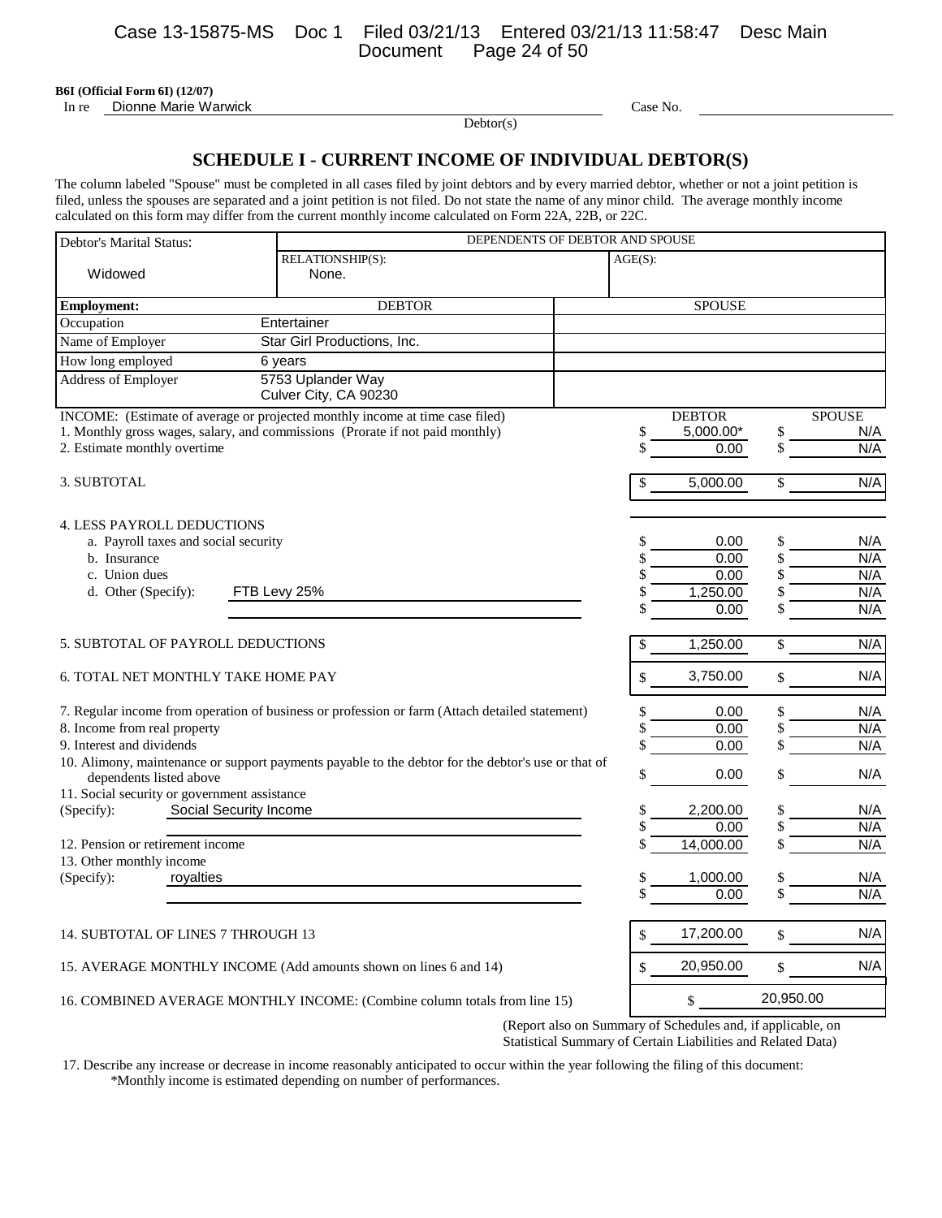Case 13-15875-MS Doc 1

| Filed 03/21/13 | Entered 03/21/13 11:58:47 | Desc Main |
|----------------|---------------------------|-----------|
| Document       | Page 24 of 50             |           |

**B6I (Official Form 6I) (12/07)**

In re Dionne Marie Warwick Case No. **Case No.** Case No.

### **SCHEDULE I - CURRENT INCOME OF INDIVIDUAL DEBTOR(S)**

Debtor(s)

The column labeled "Spouse" must be completed in all cases filed by joint debtors and by every married debtor, whether or not a joint petition is filed, unless the spouses are separated and a joint petition is not filed. Do not state the name of any minor child. The average monthly income calculated on this form may differ from the current monthly income calculated on Form 22A, 22B, or 22C.

| Debtor's Marital Status:                     | DEPENDENTS OF DEBTOR AND SPOUSE<br>RELATIONSHIP(S):                                                |    |               |           |               |
|----------------------------------------------|----------------------------------------------------------------------------------------------------|----|---------------|-----------|---------------|
|                                              | $AGE(S)$ :                                                                                         |    |               |           |               |
| Widowed                                      | None.                                                                                              |    |               |           |               |
|                                              |                                                                                                    |    |               |           |               |
| <b>Employment:</b>                           | <b>DEBTOR</b>                                                                                      |    | <b>SPOUSE</b> |           |               |
| Occupation                                   | Entertainer                                                                                        |    |               |           |               |
| Name of Employer                             | Star Girl Productions, Inc.                                                                        |    |               |           |               |
| How long employed                            | 6 years                                                                                            |    |               |           |               |
| Address of Employer                          | 5753 Uplander Way                                                                                  |    |               |           |               |
|                                              | Culver City, CA 90230                                                                              |    |               |           |               |
|                                              | INCOME: (Estimate of average or projected monthly income at time case filed)                       |    | <b>DEBTOR</b> |           | <b>SPOUSE</b> |
|                                              | 1. Monthly gross wages, salary, and commissions (Prorate if not paid monthly)                      | \$ | 5,000.00*     | \$        | N/A           |
| 2. Estimate monthly overtime                 |                                                                                                    | \$ | 0.00          | \$        | N/A           |
|                                              |                                                                                                    |    |               |           |               |
| 3. SUBTOTAL                                  |                                                                                                    |    | 5,000.00      | \$        | N/A           |
|                                              |                                                                                                    |    |               |           |               |
|                                              |                                                                                                    |    |               |           |               |
| <b>4. LESS PAYROLL DEDUCTIONS</b>            |                                                                                                    |    |               |           |               |
| a. Payroll taxes and social security         |                                                                                                    | S  | 0.00          | \$        | N/A           |
| b. Insurance                                 |                                                                                                    |    | 0.00          |           | N/A           |
| c. Union dues                                |                                                                                                    | S  | 0.00          | \$        | N/A           |
| d. Other (Specify):                          | FTB Levy 25%                                                                                       |    | 1,250.00      | \$        | N/A           |
|                                              |                                                                                                    |    | 0.00          | \$        | N/A           |
|                                              |                                                                                                    |    |               |           |               |
| 5. SUBTOTAL OF PAYROLL DEDUCTIONS            |                                                                                                    | \$ | 1,250.00      | \$        | N/A           |
| 6. TOTAL NET MONTHLY TAKE HOME PAY           |                                                                                                    | \$ | 3,750.00      | \$        | N/A           |
|                                              |                                                                                                    |    |               |           |               |
|                                              | 7. Regular income from operation of business or profession or farm (Attach detailed statement)     | \$ | 0.00          | \$        | N/A           |
| 8. Income from real property                 |                                                                                                    | S  | 0.00          |           | N/A           |
| 9. Interest and dividends                    |                                                                                                    |    | 0.00          |           | N/A           |
|                                              | 10. Alimony, maintenance or support payments payable to the debtor for the debtor's use or that of |    |               |           |               |
| dependents listed above                      |                                                                                                    | \$ | 0.00          | S         | N/A           |
| 11. Social security or government assistance |                                                                                                    |    |               |           |               |
| Social Security Income<br>(Specify):         |                                                                                                    |    | 2,200.00      |           | N/A           |
|                                              |                                                                                                    |    | 0.00          |           | N/A           |
| 12. Pension or retirement income             |                                                                                                    | \$ | 14,000.00     |           | N/A           |
| 13. Other monthly income                     |                                                                                                    |    |               |           |               |
| (Specify):<br>royalties                      |                                                                                                    |    | 1,000.00      |           | N/A           |
|                                              |                                                                                                    |    | 0.00          |           | N/A           |
|                                              |                                                                                                    |    |               |           |               |
|                                              |                                                                                                    |    | 17,200.00     |           | N/A           |
| 14. SUBTOTAL OF LINES 7 THROUGH 13           |                                                                                                    | \$ |               | \$        |               |
|                                              | 15. AVERAGE MONTHLY INCOME (Add amounts shown on lines 6 and 14)                                   | \$ | 20,950.00     | \$        | N/A           |
|                                              |                                                                                                    |    |               |           |               |
|                                              | 16. COMBINED AVERAGE MONTHLY INCOME: (Combine column totals from line 15)                          |    | \$            | 20,950.00 |               |
|                                              |                                                                                                    |    |               |           |               |

(Report also on Summary of Schedules and, if applicable, on Statistical Summary of Certain Liabilities and Related Data)

17. Describe any increase or decrease in income reasonably anticipated to occur within the year following the filing of this document: \*Monthly income is estimated depending on number of performances.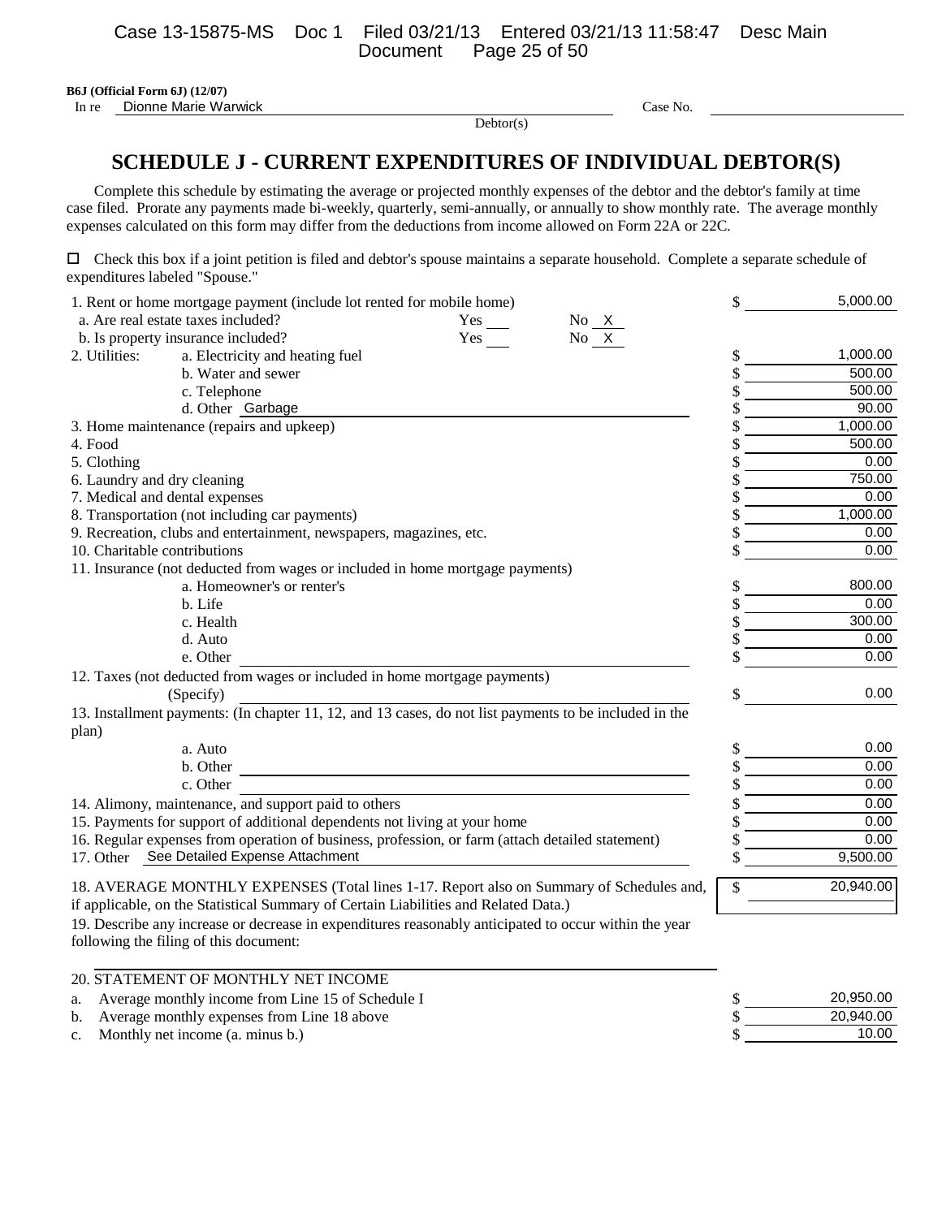|  |                        | Case 13-15875-MS Doc 1 Filed 03/21/13 Entered 03/21/13 11:58:47 Desc Main |  |
|--|------------------------|---------------------------------------------------------------------------|--|
|  | Document Page 25 of 50 |                                                                           |  |

| <b>B6J (Official Form 6J) (12/07)</b> |                      |           |          |  |
|---------------------------------------|----------------------|-----------|----------|--|
| In re                                 | Dionne Marie Warwick |           | Case No. |  |
|                                       |                      | Dektor(s) |          |  |

## **SCHEDULE J - CURRENT EXPENDITURES OF INDIVIDUAL DEBTOR(S)**

Complete this schedule by estimating the average or projected monthly expenses of the debtor and the debtor's family at time case filed. Prorate any payments made bi-weekly, quarterly, semi-annually, or annually to show monthly rate. The average monthly expenses calculated on this form may differ from the deductions from income allowed on Form 22A or 22C.

 $\Box$  Check this box if a joint petition is filed and debtor's spouse maintains a separate household. Complete a separate schedule of expenditures labeled "Spouse."

| 1. Rent or home mortgage payment (include lot rented for mobile home)                                                                                                           | \$<br>5,000.00  |
|---------------------------------------------------------------------------------------------------------------------------------------------------------------------------------|-----------------|
| a. Are real estate taxes included?<br>$Yes$ <sub>---</sub><br>No X                                                                                                              |                 |
| b. Is property insurance included?<br>Yes<br>No X                                                                                                                               |                 |
| 2. Utilities:<br>a. Electricity and heating fuel                                                                                                                                | \$<br>1,000.00  |
| b. Water and sewer                                                                                                                                                              | 500.00          |
| c. Telephone                                                                                                                                                                    | 500.00          |
| d. Other Garbage                                                                                                                                                                | 90.00           |
| 3. Home maintenance (repairs and upkeep)                                                                                                                                        | 1,000.00        |
| 4. Food                                                                                                                                                                         | 500.00          |
| 5. Clothing                                                                                                                                                                     | 0.00            |
| 6. Laundry and dry cleaning                                                                                                                                                     | 750.00          |
| 7. Medical and dental expenses                                                                                                                                                  | 0.00            |
| 8. Transportation (not including car payments)                                                                                                                                  | 1,000.00        |
| 9. Recreation, clubs and entertainment, newspapers, magazines, etc.                                                                                                             | 0.00            |
| 10. Charitable contributions                                                                                                                                                    | \$<br>0.00      |
| 11. Insurance (not deducted from wages or included in home mortgage payments)                                                                                                   |                 |
| a. Homeowner's or renter's                                                                                                                                                      | \$<br>800.00    |
| b. Life                                                                                                                                                                         | 0.00            |
| c. Health                                                                                                                                                                       | 300.00          |
| d. Auto                                                                                                                                                                         | \$<br>0.00      |
| e. Other                                                                                                                                                                        | 0.00            |
| 12. Taxes (not deducted from wages or included in home mortgage payments)                                                                                                       |                 |
| (Specify)                                                                                                                                                                       | \$<br>0.00      |
| 13. Installment payments: (In chapter 11, 12, and 13 cases, do not list payments to be included in the                                                                          |                 |
| plan)                                                                                                                                                                           |                 |
| a. Auto                                                                                                                                                                         | \$<br>0.00      |
| b. Other                                                                                                                                                                        | 0.00            |
| c. Other                                                                                                                                                                        | \$<br>0.00      |
| 14. Alimony, maintenance, and support paid to others                                                                                                                            | 0.00            |
| 15. Payments for support of additional dependents not living at your home                                                                                                       | 0.00            |
| 16. Regular expenses from operation of business, profession, or farm (attach detailed statement)                                                                                | \$<br>0.00      |
| 17. Other See Detailed Expense Attachment                                                                                                                                       | 9,500.00        |
| 18. AVERAGE MONTHLY EXPENSES (Total lines 1-17. Report also on Summary of Schedules and,<br>if applicable, on the Statistical Summary of Certain Liabilities and Related Data.) | \$<br>20,940.00 |
| 19. Describe any increase or decrease in expenditures reasonably anticipated to occur within the year<br>following the filing of this document:                                 |                 |

| 20. STATEMENT OF MONTHLY NET INCOME                  |  |           |  |  |
|------------------------------------------------------|--|-----------|--|--|
| a. Average monthly income from Line 15 of Schedule I |  | 20,950.00 |  |  |
| b. Average monthly expenses from Line 18 above       |  | 20.940.00 |  |  |
| c. Monthly net income (a. minus b.)                  |  | 10.00     |  |  |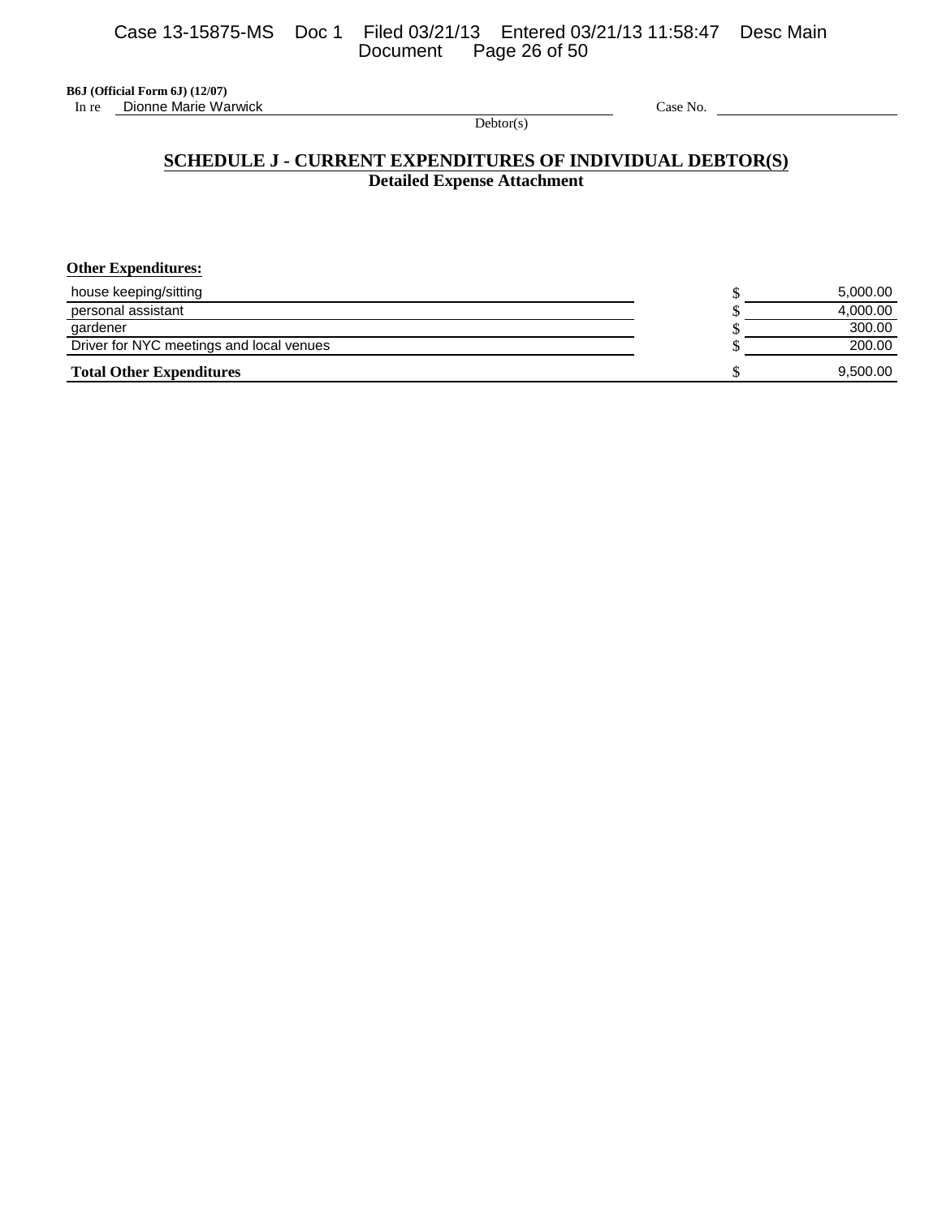Case 13-15875-MS Doc 1 Filed 03/21/13 Entered 03/21/13 11:58:47 Desc Main Document Page 26 of 50

**B6J (Official Form 6J) (12/07)** In re Dionne Marie Warwick Case No.

Debtor(s)

### **SCHEDULE J - CURRENT EXPENDITURES OF INDIVIDUAL DEBTOR(S) Detailed Expense Attachment**

**Other Expenditures:**

| house keeping/sitting                    | 5.000.00 |
|------------------------------------------|----------|
| personal assistant                       | 4.000.00 |
| gardener                                 | 300.00   |
| Driver for NYC meetings and local venues | 200.00   |
| <b>Total Other Expenditures</b>          | 9.500.00 |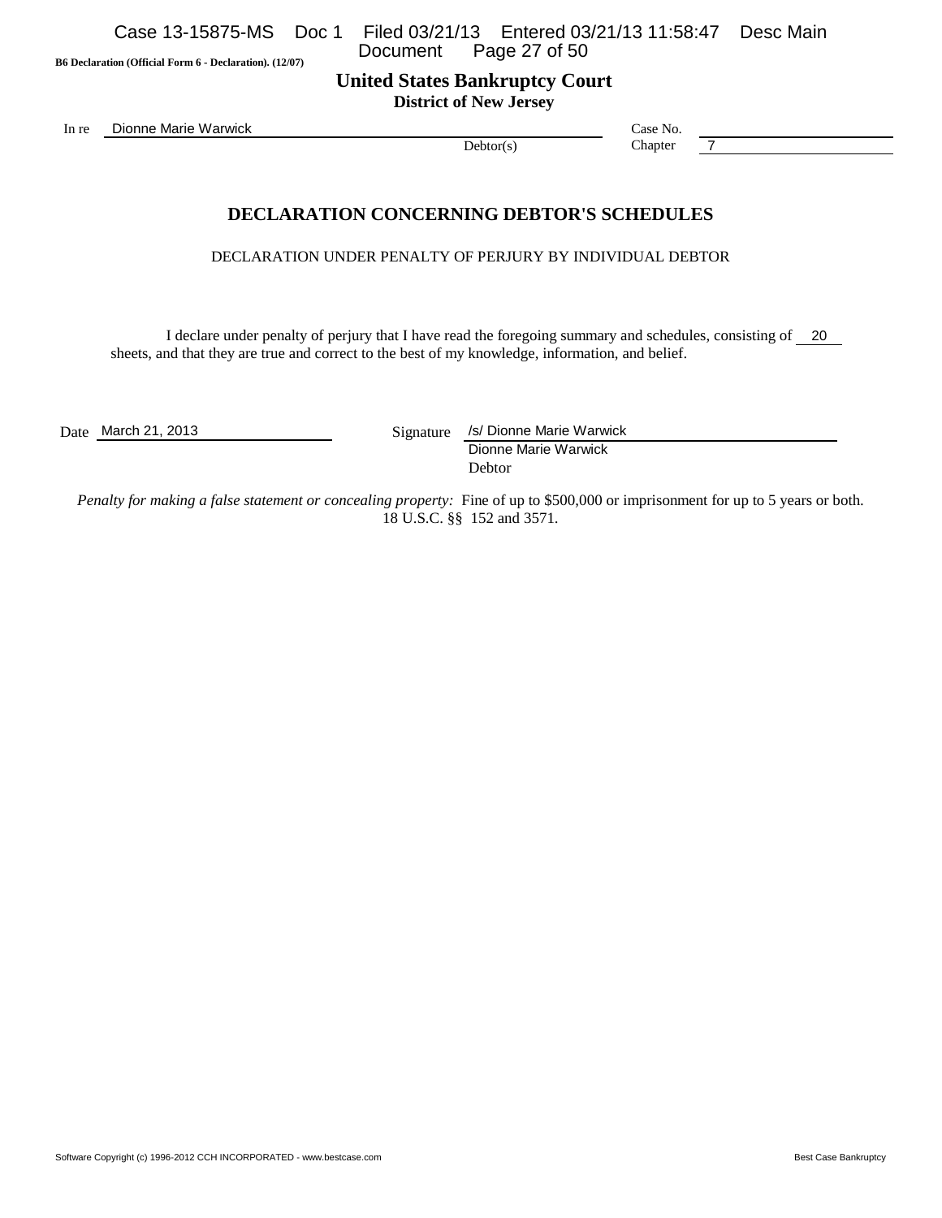Case 13-15875-MS Doc 1 Filed 03/21/13 Entered 03/21/13 11:58:47 Desc Main Page 27 of 50

**B6 Declaration (Official Form 6 - Declaration). (12/07)**

**United States Bankruptcy Court District of New Jersey**

In re Dionne Marie Warwick Case No.

Debtor(s) Chapter 7

### **DECLARATION CONCERNING DEBTOR'S SCHEDULES**

DECLARATION UNDER PENALTY OF PERJURY BY INDIVIDUAL DEBTOR

I declare under penalty of perjury that I have read the foregoing summary and schedules, consisting of 20 sheets, and that they are true and correct to the best of my knowledge, information, and belief.

Date March 21, 2013 **Signature /s/ Dionne Marie Warwick** Dionne Marie Warwick Debtor

*Penalty for making a false statement or concealing property:* Fine of up to \$500,000 or imprisonment for up to 5 years or both. 18 U.S.C. §§ 152 and 3571.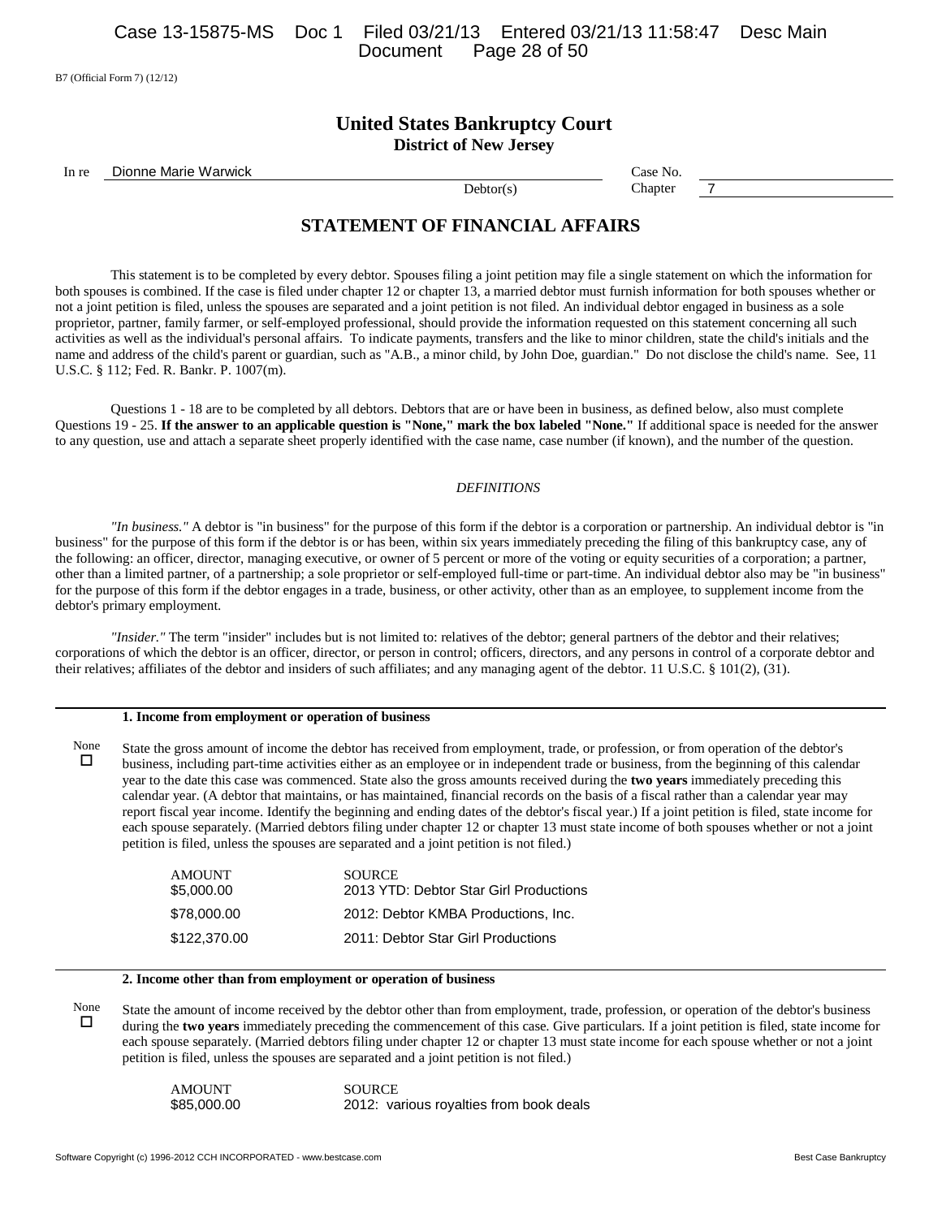Case 13-15875-MS Doc 1 Filed 03/21/13 Entered 03/21/13 11:58:47 Desc Main Page 28 of 50

B7 (Official Form 7) (12/12)

### **United States Bankruptcy Court District of New Jersey**

In re Dionne Marie Warwick Case No. 2008. The Case No. 2008. Case No. 2008. Case No. 2008. Case No. 2009. Case No. 2009. Case No. 2009. Case No. 2009. Case No. 2009. Case No. 2009. Case No. 2009. Case No. 2009. Case No. 20

Debtor(s) Chapter

### **STATEMENT OF FINANCIAL AFFAIRS**

This statement is to be completed by every debtor. Spouses filing a joint petition may file a single statement on which the information for both spouses is combined. If the case is filed under chapter 12 or chapter 13, a married debtor must furnish information for both spouses whether or not a joint petition is filed, unless the spouses are separated and a joint petition is not filed. An individual debtor engaged in business as a sole proprietor, partner, family farmer, or self-employed professional, should provide the information requested on this statement concerning all such activities as well as the individual's personal affairs. To indicate payments, transfers and the like to minor children, state the child's initials and the name and address of the child's parent or guardian, such as "A.B., a minor child, by John Doe, guardian." Do not disclose the child's name. See, 11 U.S.C. § 112; Fed. R. Bankr. P. 1007(m).

Questions 1 - 18 are to be completed by all debtors. Debtors that are or have been in business, as defined below, also must complete Questions 19 - 25. **If the answer to an applicable question is "None," mark the box labeled "None."** If additional space is needed for the answer to any question, use and attach a separate sheet properly identified with the case name, case number (if known), and the number of the question.

#### *DEFINITIONS*

*"In business."* A debtor is "in business" for the purpose of this form if the debtor is a corporation or partnership. An individual debtor is "in business" for the purpose of this form if the debtor is or has been, within six years immediately preceding the filing of this bankruptcy case, any of the following: an officer, director, managing executive, or owner of 5 percent or more of the voting or equity securities of a corporation; a partner, other than a limited partner, of a partnership; a sole proprietor or self-employed full-time or part-time. An individual debtor also may be "in business" for the purpose of this form if the debtor engages in a trade, business, or other activity, other than as an employee, to supplement income from the debtor's primary employment.

*"Insider."* The term "insider" includes but is not limited to: relatives of the debtor; general partners of the debtor and their relatives; corporations of which the debtor is an officer, director, or person in control; officers, directors, and any persons in control of a corporate debtor and their relatives; affiliates of the debtor and insiders of such affiliates; and any managing agent of the debtor. 11 U.S.C. § 101(2), (31).

#### **1. Income from employment or operation of business**

None  $\Box$ State the gross amount of income the debtor has received from employment, trade, or profession, or from operation of the debtor's business, including part-time activities either as an employee or in independent trade or business, from the beginning of this calendar year to the date this case was commenced. State also the gross amounts received during the **two years** immediately preceding this calendar year. (A debtor that maintains, or has maintained, financial records on the basis of a fiscal rather than a calendar year may report fiscal year income. Identify the beginning and ending dates of the debtor's fiscal year.) If a joint petition is filed, state income for each spouse separately. (Married debtors filing under chapter 12 or chapter 13 must state income of both spouses whether or not a joint petition is filed, unless the spouses are separated and a joint petition is not filed.)

| <b>AMOUNT</b><br>\$5,000,00 | <b>SOURCE</b><br>2013 YTD: Debtor Star Girl Productions |
|-----------------------------|---------------------------------------------------------|
| \$78,000,00                 | 2012: Debtor KMBA Productions, Inc.                     |
| \$122,370,00                | 2011: Debtor Star Girl Productions                      |

#### **2. Income other than from employment or operation of business**

None П State the amount of income received by the debtor other than from employment, trade, profession, or operation of the debtor's business during the **two years** immediately preceding the commencement of this case. Give particulars. If a joint petition is filed, state income for each spouse separately. (Married debtors filing under chapter 12 or chapter 13 must state income for each spouse whether or not a joint petition is filed, unless the spouses are separated and a joint petition is not filed.)

| <b>AMOUNT</b> | <b>SOURCE</b>                           |
|---------------|-----------------------------------------|
| \$85,000.00   | 2012: various royalties from book deals |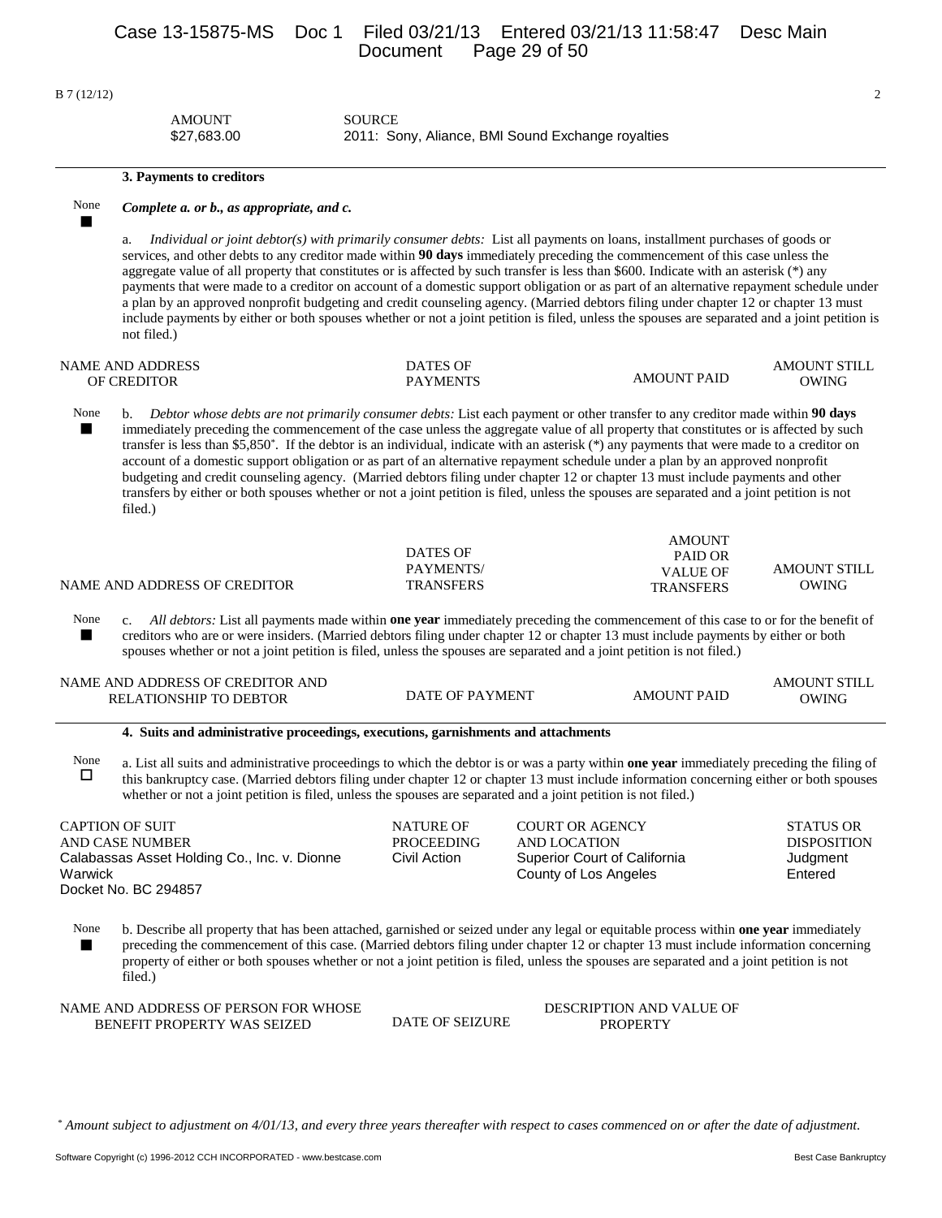|           | Case 13-15875-MS<br>Doc 1                                                                                                | <b>Document</b>                                       | Filed 03/21/13 Entered 03/21/13 11:58:47<br>Page 29 of 50                                                                                                                                                                                                                                                                                                                                                                                                                                                                                                                                                                                                                                                                                                                                                                                      | Desc Main                                                     |
|-----------|--------------------------------------------------------------------------------------------------------------------------|-------------------------------------------------------|------------------------------------------------------------------------------------------------------------------------------------------------------------------------------------------------------------------------------------------------------------------------------------------------------------------------------------------------------------------------------------------------------------------------------------------------------------------------------------------------------------------------------------------------------------------------------------------------------------------------------------------------------------------------------------------------------------------------------------------------------------------------------------------------------------------------------------------------|---------------------------------------------------------------|
| B7(12/12) |                                                                                                                          |                                                       |                                                                                                                                                                                                                                                                                                                                                                                                                                                                                                                                                                                                                                                                                                                                                                                                                                                | 2                                                             |
|           | <b>AMOUNT</b><br>\$27,683.00                                                                                             | <b>SOURCE</b>                                         | 2011: Sony, Aliance, BMI Sound Exchange royalties                                                                                                                                                                                                                                                                                                                                                                                                                                                                                                                                                                                                                                                                                                                                                                                              |                                                               |
|           | 3. Payments to creditors                                                                                                 |                                                       |                                                                                                                                                                                                                                                                                                                                                                                                                                                                                                                                                                                                                                                                                                                                                                                                                                                |                                                               |
| None      | Complete a. or b., as appropriate, and c.                                                                                |                                                       |                                                                                                                                                                                                                                                                                                                                                                                                                                                                                                                                                                                                                                                                                                                                                                                                                                                |                                                               |
| ■         | a.<br>not filed.)                                                                                                        |                                                       | Individual or joint $debtor(s)$ with primarily consumer $debts$ : List all payments on loans, installment purchases of goods or<br>services, and other debts to any creditor made within 90 days immediately preceding the commencement of this case unless the<br>aggregate value of all property that constitutes or is affected by such transfer is less than \$600. Indicate with an asterisk $(*)$ any<br>payments that were made to a creditor on account of a domestic support obligation or as part of an alternative repayment schedule under<br>a plan by an approved nonprofit budgeting and credit counseling agency. (Married debtors filing under chapter 12 or chapter 13 must<br>include payments by either or both spouses whether or not a joint petition is filed, unless the spouses are separated and a joint petition is |                                                               |
|           | <b>NAME AND ADDRESS</b><br>OF CREDITOR                                                                                   | <b>DATES OF</b><br><b>PAYMENTS</b>                    | <b>AMOUNT PAID</b>                                                                                                                                                                                                                                                                                                                                                                                                                                                                                                                                                                                                                                                                                                                                                                                                                             | <b>AMOUNT STILL</b><br><b>OWING</b>                           |
| None<br>■ | b.<br>filed.)                                                                                                            |                                                       | Debtor whose debts are not primarily consumer debts: List each payment or other transfer to any creditor made within 90 days<br>immediately preceding the commencement of the case unless the aggregate value of all property that constitutes or is affected by such<br>transfer is less than \$5,850°. If the debtor is an individual, indicate with an asterisk (*) any payments that were made to a creditor on<br>account of a domestic support obligation or as part of an alternative repayment schedule under a plan by an approved nonprofit<br>budgeting and credit counseling agency. (Married debtors filing under chapter 12 or chapter 13 must include payments and other<br>transfers by either or both spouses whether or not a joint petition is filed, unless the spouses are separated and a joint petition is not          |                                                               |
|           | NAME AND ADDRESS OF CREDITOR                                                                                             | DATES OF<br>PAYMENTS/<br><b>TRANSFERS</b>             | <b>AMOUNT</b><br><b>PAID OR</b><br><b>VALUE OF</b>                                                                                                                                                                                                                                                                                                                                                                                                                                                                                                                                                                                                                                                                                                                                                                                             | <b>AMOUNT STILL</b><br><b>OWING</b>                           |
| None<br>■ | $c_{\rm c}$                                                                                                              |                                                       | <b>TRANSFERS</b><br>All debtors: List all payments made within one year immediately preceding the commencement of this case to or for the benefit of<br>creditors who are or were insiders. (Married debtors filing under chapter 12 or chapter 13 must include payments by either or both<br>spouses whether or not a joint petition is filed, unless the spouses are separated and a joint petition is not filed.)                                                                                                                                                                                                                                                                                                                                                                                                                           |                                                               |
|           | NAME AND ADDRESS OF CREDITOR AND<br><b>RELATIONSHIP TO DEBTOR</b>                                                        | <b>DATE OF PAYMENT</b>                                | <b>AMOUNT PAID</b>                                                                                                                                                                                                                                                                                                                                                                                                                                                                                                                                                                                                                                                                                                                                                                                                                             | <b>AMOUNT STILL</b><br>OWING                                  |
|           | 4. Suits and administrative proceedings, executions, garnishments and attachments                                        |                                                       |                                                                                                                                                                                                                                                                                                                                                                                                                                                                                                                                                                                                                                                                                                                                                                                                                                                |                                                               |
| None<br>0 | whether or not a joint petition is filed, unless the spouses are separated and a joint petition is not filed.)           |                                                       | a. List all suits and administrative proceedings to which the debtor is or was a party within one year immediately preceding the filing of<br>this bankruptcy case. (Married debtors filing under chapter 12 or chapter 13 must include information concerning either or both spouses                                                                                                                                                                                                                                                                                                                                                                                                                                                                                                                                                          |                                                               |
| Warwick   | <b>CAPTION OF SUIT</b><br><b>AND CASE NUMBER</b><br>Calabassas Asset Holding Co., Inc. v. Dionne<br>Docket No. BC 294857 | <b>NATURE OF</b><br><b>PROCEEDING</b><br>Civil Action | <b>COURT OR AGENCY</b><br><b>AND LOCATION</b><br>Superior Court of California<br>County of Los Angeles                                                                                                                                                                                                                                                                                                                                                                                                                                                                                                                                                                                                                                                                                                                                         | <b>STATUS OR</b><br><b>DISPOSITION</b><br>Judgment<br>Entered |
| None<br>ш | filed.)                                                                                                                  |                                                       | b. Describe all property that has been attached, garnished or seized under any legal or equitable process within one year immediately<br>preceding the commencement of this case. (Married debtors filing under chapter 12 or chapter 13 must include information concerning<br>property of either or both spouses whether or not a joint petition is filed, unless the spouses are separated and a joint petition is not                                                                                                                                                                                                                                                                                                                                                                                                                      |                                                               |
|           | NAME AND ADDRESS OF PERSON FOR WHOSE<br>BENEFIT PROPERTY WAS SEIZED                                                      | <b>DATE OF SEIZURE</b>                                | DESCRIPTION AND VALUE OF<br><b>PROPERTY</b>                                                                                                                                                                                                                                                                                                                                                                                                                                                                                                                                                                                                                                                                                                                                                                                                    |                                                               |
|           |                                                                                                                          |                                                       |                                                                                                                                                                                                                                                                                                                                                                                                                                                                                                                                                                                                                                                                                                                                                                                                                                                |                                                               |

 *\* Amount subject to adjustment on 4/01/13, and every three years thereafter with respect to cases commenced on or after the date of adjustment.*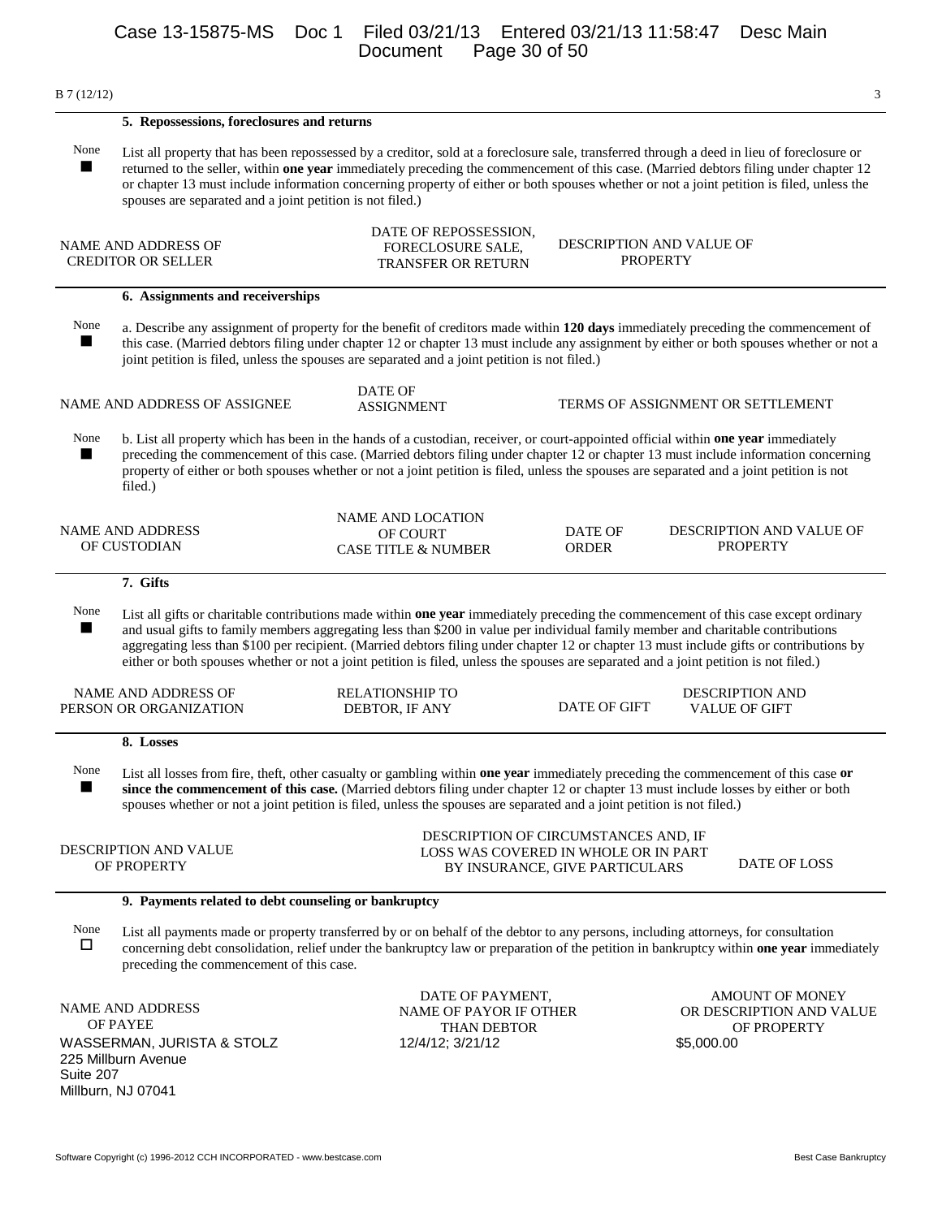| B 7 (12/12) |                                                                                                                |                                                                                                                                                                                                                                                                                                                                                                                                                                                                                                                                                              |                                             | 3                                                                               |
|-------------|----------------------------------------------------------------------------------------------------------------|--------------------------------------------------------------------------------------------------------------------------------------------------------------------------------------------------------------------------------------------------------------------------------------------------------------------------------------------------------------------------------------------------------------------------------------------------------------------------------------------------------------------------------------------------------------|---------------------------------------------|---------------------------------------------------------------------------------|
|             | 5. Repossessions, foreclosures and returns                                                                     |                                                                                                                                                                                                                                                                                                                                                                                                                                                                                                                                                              |                                             |                                                                                 |
| None        | spouses are separated and a joint petition is not filed.)                                                      | List all property that has been repossessed by a creditor, sold at a foreclosure sale, transferred through a deed in lieu of foreclosure or<br>returned to the seller, within one year immediately preceding the commencement of this case. (Married debtors filing under chapter 12<br>or chapter 13 must include information concerning property of either or both spouses whether or not a joint petition is filed, unless the                                                                                                                            |                                             |                                                                                 |
|             | <b>NAME AND ADDRESS OF</b><br><b>CREDITOR OR SELLER</b>                                                        | DATE OF REPOSSESSION,<br>FORECLOSURE SALE,<br><b>TRANSFER OR RETURN</b>                                                                                                                                                                                                                                                                                                                                                                                                                                                                                      | DESCRIPTION AND VALUE OF<br><b>PROPERTY</b> |                                                                                 |
|             | 6. Assignments and receiverships                                                                               |                                                                                                                                                                                                                                                                                                                                                                                                                                                                                                                                                              |                                             |                                                                                 |
| None        |                                                                                                                | a. Describe any assignment of property for the benefit of creditors made within 120 days immediately preceding the commencement of<br>this case. (Married debtors filing under chapter 12 or chapter 13 must include any assignment by either or both spouses whether or not a<br>joint petition is filed, unless the spouses are separated and a joint petition is not filed.)                                                                                                                                                                              |                                             |                                                                                 |
|             | NAME AND ADDRESS OF ASSIGNEE                                                                                   | <b>DATE OF</b><br><b>ASSIGNMENT</b>                                                                                                                                                                                                                                                                                                                                                                                                                                                                                                                          |                                             | TERMS OF ASSIGNMENT OR SETTLEMENT                                               |
| None<br>■   | filed.)                                                                                                        | b. List all property which has been in the hands of a custodian, receiver, or court-appointed official within one year immediately<br>preceding the commencement of this case. (Married debtors filing under chapter 12 or chapter 13 must include information concerning<br>property of either or both spouses whether or not a joint petition is filed, unless the spouses are separated and a joint petition is not                                                                                                                                       |                                             |                                                                                 |
|             | <b>NAME AND ADDRESS</b><br>OF CUSTODIAN                                                                        | <b>NAME AND LOCATION</b><br>OF COURT<br><b>CASE TITLE &amp; NUMBER</b>                                                                                                                                                                                                                                                                                                                                                                                                                                                                                       | DATE OF<br><b>ORDER</b>                     | DESCRIPTION AND VALUE OF<br><b>PROPERTY</b>                                     |
|             | 7. Gifts                                                                                                       |                                                                                                                                                                                                                                                                                                                                                                                                                                                                                                                                                              |                                             |                                                                                 |
| None<br>■   |                                                                                                                | List all gifts or charitable contributions made within one year immediately preceding the commencement of this case except ordinary<br>and usual gifts to family members aggregating less than \$200 in value per individual family member and charitable contributions<br>aggregating less than \$100 per recipient. (Married debtors filing under chapter 12 or chapter 13 must include gifts or contributions by<br>either or both spouses whether or not a joint petition is filed, unless the spouses are separated and a joint petition is not filed.) |                                             |                                                                                 |
|             | <b>NAME AND ADDRESS OF</b><br>PERSON OR ORGANIZATION                                                           | <b>RELATIONSHIP TO</b><br>DEBTOR, IF ANY                                                                                                                                                                                                                                                                                                                                                                                                                                                                                                                     | DATE OF GIFT                                | <b>DESCRIPTION AND</b><br><b>VALUE OF GIFT</b>                                  |
|             | 8. Losses                                                                                                      |                                                                                                                                                                                                                                                                                                                                                                                                                                                                                                                                                              |                                             |                                                                                 |
| ■           |                                                                                                                | None List all losses from fire, theft, other casualty or gambling within one year immediately preceding the commencement of this case or<br>since the commencement of this case. (Married debtors filing under chapter 12 or chapter 13 must include losses by either or both<br>spouses whether or not a joint petition is filed, unless the spouses are separated and a joint petition is not filed.)                                                                                                                                                      |                                             |                                                                                 |
|             | <b>DESCRIPTION AND VALUE</b><br>OF PROPERTY                                                                    | DESCRIPTION OF CIRCUMSTANCES AND, IF<br>LOSS WAS COVERED IN WHOLE OR IN PART                                                                                                                                                                                                                                                                                                                                                                                                                                                                                 | BY INSURANCE, GIVE PARTICULARS              | <b>DATE OF LOSS</b>                                                             |
|             | 9. Payments related to debt counseling or bankruptcy                                                           |                                                                                                                                                                                                                                                                                                                                                                                                                                                                                                                                                              |                                             |                                                                                 |
| None<br>□   | preceding the commencement of this case.                                                                       | List all payments made or property transferred by or on behalf of the debtor to any persons, including attorneys, for consultation<br>concerning debt consolidation, relief under the bankruptcy law or preparation of the petition in bankruptcy within one year immediately                                                                                                                                                                                                                                                                                |                                             |                                                                                 |
| Suite 207   | <b>NAME AND ADDRESS</b><br>OF PAYEE<br>WASSERMAN, JURISTA & STOLZ<br>225 Millburn Avenue<br>Millburn, NJ 07041 | DATE OF PAYMENT,<br>NAME OF PAYOR IF OTHER<br>THAN DEBTOR<br>12/4/12; 3/21/12                                                                                                                                                                                                                                                                                                                                                                                                                                                                                |                                             | <b>AMOUNT OF MONEY</b><br>OR DESCRIPTION AND VALUE<br>OF PROPERTY<br>\$5,000.00 |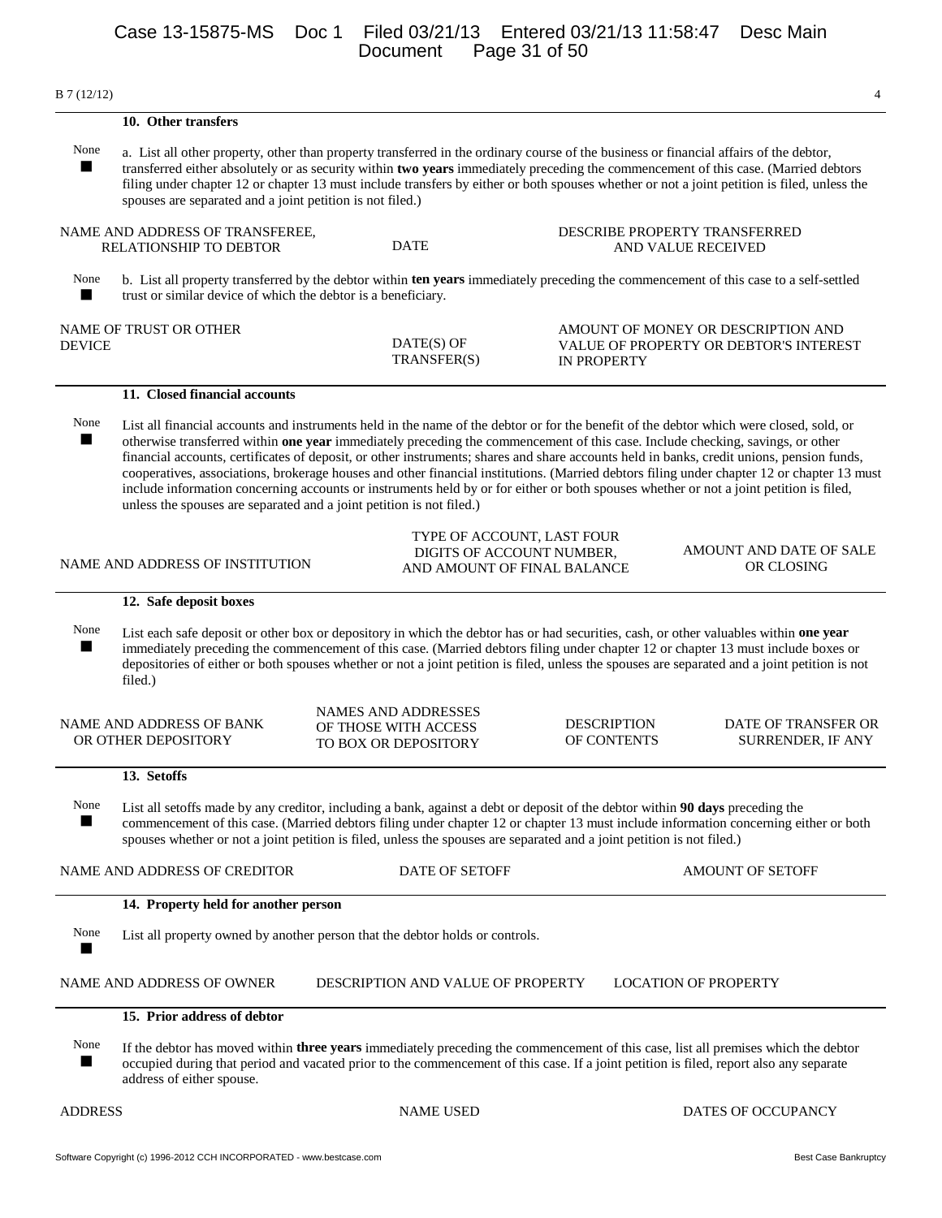|                | 10. Other transfers                                                  |                                                                                                                                                                                                                                                                                                                                                                                                                                                                                                                                                                                                                                                                                                                |                                   |                                                                              |
|----------------|----------------------------------------------------------------------|----------------------------------------------------------------------------------------------------------------------------------------------------------------------------------------------------------------------------------------------------------------------------------------------------------------------------------------------------------------------------------------------------------------------------------------------------------------------------------------------------------------------------------------------------------------------------------------------------------------------------------------------------------------------------------------------------------------|-----------------------------------|------------------------------------------------------------------------------|
| None<br>ш      | spouses are separated and a joint petition is not filed.)            | a. List all other property, other than property transferred in the ordinary course of the business or financial affairs of the debtor,<br>transferred either absolutely or as security within two years immediately preceding the commencement of this case. (Married debtors<br>filing under chapter 12 or chapter 13 must include transfers by either or both spouses whether or not a joint petition is filed, unless the                                                                                                                                                                                                                                                                                   |                                   |                                                                              |
|                | NAME AND ADDRESS OF TRANSFEREE,<br>RELATIONSHIP TO DEBTOR            | <b>DATE</b>                                                                                                                                                                                                                                                                                                                                                                                                                                                                                                                                                                                                                                                                                                    | DESCRIBE PROPERTY TRANSFERRED     | AND VALUE RECEIVED                                                           |
| None<br>ш      | trust or similar device of which the debtor is a beneficiary.        | b. List all property transferred by the debtor within ten years immediately preceding the commencement of this case to a self-settled                                                                                                                                                                                                                                                                                                                                                                                                                                                                                                                                                                          |                                   |                                                                              |
| <b>DEVICE</b>  | NAME OF TRUST OR OTHER                                               | $DATE(S)$ OF<br>TRANSFER(S)                                                                                                                                                                                                                                                                                                                                                                                                                                                                                                                                                                                                                                                                                    | <b>IN PROPERTY</b>                | AMOUNT OF MONEY OR DESCRIPTION AND<br>VALUE OF PROPERTY OR DEBTOR'S INTEREST |
|                | 11. Closed financial accounts                                        |                                                                                                                                                                                                                                                                                                                                                                                                                                                                                                                                                                                                                                                                                                                |                                   |                                                                              |
| None<br>ш      | unless the spouses are separated and a joint petition is not filed.) | List all financial accounts and instruments held in the name of the debtor or for the benefit of the debtor which were closed, sold, or<br>otherwise transferred within one year immediately preceding the commencement of this case. Include checking, savings, or other<br>financial accounts, certificates of deposit, or other instruments; shares and share accounts held in banks, credit unions, pension funds,<br>cooperatives, associations, brokerage houses and other financial institutions. (Married debtors filing under chapter 12 or chapter 13 must<br>include information concerning accounts or instruments held by or for either or both spouses whether or not a joint petition is filed, |                                   |                                                                              |
|                | NAME AND ADDRESS OF INSTITUTION                                      | TYPE OF ACCOUNT, LAST FOUR<br>DIGITS OF ACCOUNT NUMBER,<br>AND AMOUNT OF FINAL BALANCE                                                                                                                                                                                                                                                                                                                                                                                                                                                                                                                                                                                                                         |                                   | AMOUNT AND DATE OF SALE<br>OR CLOSING                                        |
|                | 12. Safe deposit boxes                                               |                                                                                                                                                                                                                                                                                                                                                                                                                                                                                                                                                                                                                                                                                                                |                                   |                                                                              |
| None<br>ш      | filed.)                                                              | List each safe deposit or other box or depository in which the debtor has or had securities, cash, or other valuables within one year<br>immediately preceding the commencement of this case. (Married debtors filing under chapter 12 or chapter 13 must include boxes or<br>depositories of either or both spouses whether or not a joint petition is filed, unless the spouses are separated and a joint petition is not                                                                                                                                                                                                                                                                                    |                                   |                                                                              |
|                | NAME AND ADDRESS OF BANK<br>OR OTHER DEPOSITORY                      | <b>NAMES AND ADDRESSES</b><br>OF THOSE WITH ACCESS<br>TO BOX OR DEPOSITORY                                                                                                                                                                                                                                                                                                                                                                                                                                                                                                                                                                                                                                     | <b>DESCRIPTION</b><br>OF CONTENTS | DATE OF TRANSFER OR<br>SURRENDER, IF ANY                                     |
|                | 13. Setoffs                                                          |                                                                                                                                                                                                                                                                                                                                                                                                                                                                                                                                                                                                                                                                                                                |                                   |                                                                              |
|                |                                                                      | None List all setoffs made by any creditor, including a bank, against a debt or deposit of the debtor within 90 days preceding the<br>commencement of this case. (Married debtors filing under chapter 12 or chapter 13 must include information concerning either or both<br>spouses whether or not a joint petition is filed, unless the spouses are separated and a joint petition is not filed.)                                                                                                                                                                                                                                                                                                           |                                   |                                                                              |
|                | NAME AND ADDRESS OF CREDITOR                                         | <b>DATE OF SETOFF</b>                                                                                                                                                                                                                                                                                                                                                                                                                                                                                                                                                                                                                                                                                          |                                   | <b>AMOUNT OF SETOFF</b>                                                      |
|                | 14. Property held for another person                                 |                                                                                                                                                                                                                                                                                                                                                                                                                                                                                                                                                                                                                                                                                                                |                                   |                                                                              |
| None           |                                                                      | List all property owned by another person that the debtor holds or controls.                                                                                                                                                                                                                                                                                                                                                                                                                                                                                                                                                                                                                                   |                                   |                                                                              |
|                | NAME AND ADDRESS OF OWNER                                            | DESCRIPTION AND VALUE OF PROPERTY                                                                                                                                                                                                                                                                                                                                                                                                                                                                                                                                                                                                                                                                              |                                   | <b>LOCATION OF PROPERTY</b>                                                  |
|                | 15. Prior address of debtor                                          |                                                                                                                                                                                                                                                                                                                                                                                                                                                                                                                                                                                                                                                                                                                |                                   |                                                                              |
| None<br>ш      | address of either spouse.                                            | If the debtor has moved within <b>three years</b> immediately preceding the commencement of this case, list all premises which the debtor<br>occupied during that period and vacated prior to the commencement of this case. If a joint petition is filed, report also any separate                                                                                                                                                                                                                                                                                                                                                                                                                            |                                   |                                                                              |
| <b>ADDRESS</b> |                                                                      | <b>NAME USED</b>                                                                                                                                                                                                                                                                                                                                                                                                                                                                                                                                                                                                                                                                                               |                                   | DATES OF OCCUPANCY                                                           |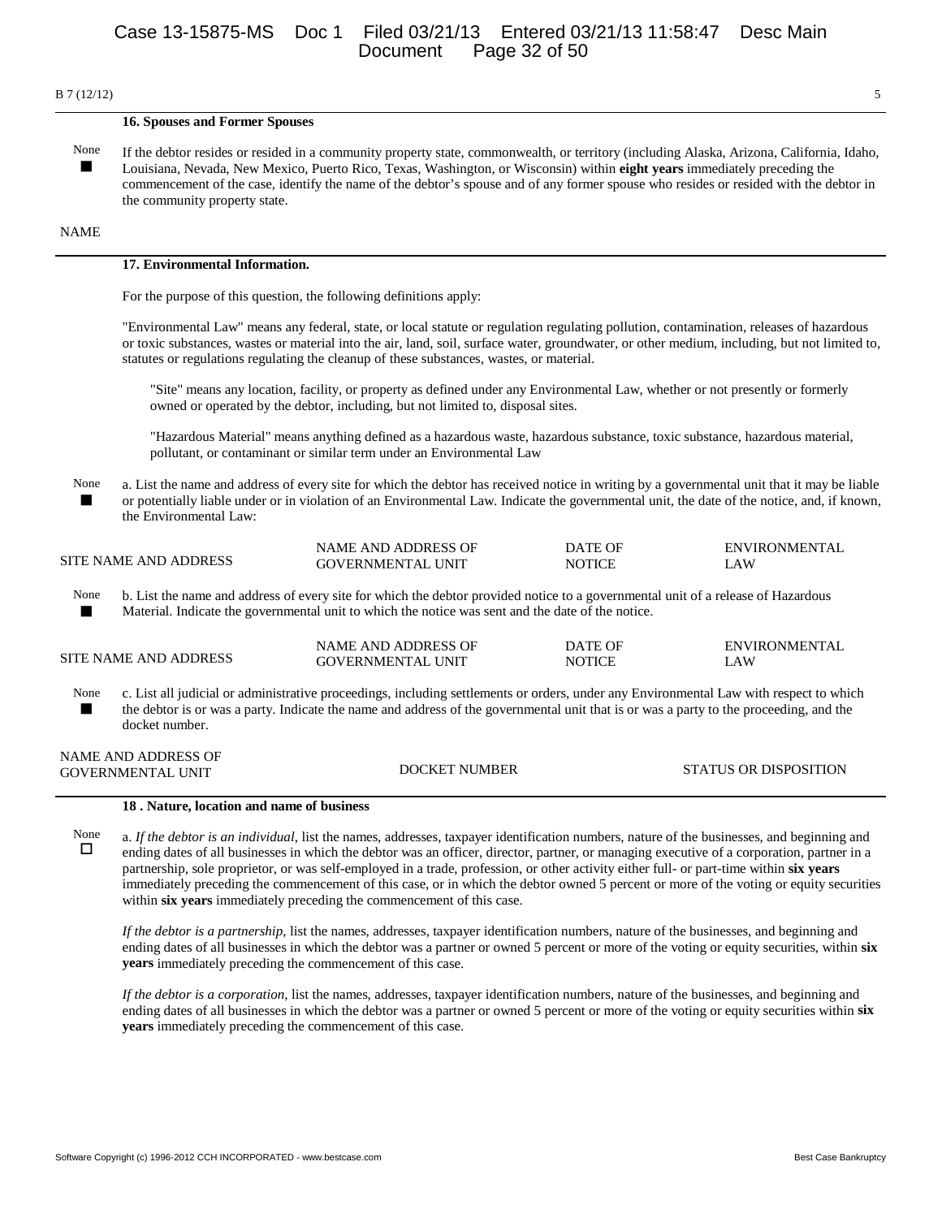**16. Spouses and Former Spouses**

None If the debtor resides or resided in a community property state, commonwealth, or territory (including Alaska, Arizona, California, Idaho, Louisiana, Nevada, New Mexico, Puerto Rico, Texas, Washington, or Wisconsin) within **eight years** immediately preceding the commencement of the case, identify the name of the debtor's spouse and of any former spouse who resides or resided with the debtor in the community property state.

#### NAME

#### **17. Environmental Information.**

For the purpose of this question, the following definitions apply:

"Environmental Law" means any federal, state, or local statute or regulation regulating pollution, contamination, releases of hazardous or toxic substances, wastes or material into the air, land, soil, surface water, groundwater, or other medium, including, but not limited to, statutes or regulations regulating the cleanup of these substances, wastes, or material.

"Site" means any location, facility, or property as defined under any Environmental Law, whether or not presently or formerly owned or operated by the debtor, including, but not limited to, disposal sites.

"Hazardous Material" means anything defined as a hazardous waste, hazardous substance, toxic substance, hazardous material, pollutant, or contaminant or similar term under an Environmental Law

None a. List the name and address of every site for which the debtor has received notice in writing by a governmental unit that it may be liable or potentially liable under or in violation of an Environmental Law. Indicate the governmental unit, the date of the notice, and, if known, the Environmental Law:

|                       | NAME AND ADDRESS OF | DATE | ENVIRONMENTAL |
|-----------------------|---------------------|------|---------------|
|                       |                     |      |               |
| SITE NAME AND ADDRESS | GOVERNMENTAL UNIT   | NO   | _AW           |

None b. List the name and address of every site for which the debtor provided notice to a governmental unit of a release of Hazardous Material. Indicate the governmental unit to which the notice was sent and the date of the notice.

|                       | NAME AND ADDRESS OF<br>the contract of the contract of | <b>DATE</b><br>OF | ENVIRONMENTAL |
|-----------------------|--------------------------------------------------------|-------------------|---------------|
| SITE NAME AND ADDRESS | INIT<br><b>TOVERNMENTAL</b>                            | NC                | ٩W            |

None c. List all judicial or administrative proceedings, including settlements or orders, under any Environmental Law with respect to which the debtor is or was a party. Indicate the name and address of the governmental unit that is or was a party to the proceeding, and the docket number.

#### NAME AND ADDRESS OF GOVERNMENTAL UNIT DOCKET NUMBER STATUS OR DISPOSITION

#### **18 . Nature, location and name of business**

None  $\Box$ a. *If the debtor is an individual*, list the names, addresses, taxpayer identification numbers, nature of the businesses, and beginning and ending dates of all businesses in which the debtor was an officer, director, partner, or managing executive of a corporation, partner in a partnership, sole proprietor, or was self-employed in a trade, profession, or other activity either full- or part-time within **six years** immediately preceding the commencement of this case, or in which the debtor owned 5 percent or more of the voting or equity securities within **six years** immediately preceding the commencement of this case.

*If the debtor is a partnership*, list the names, addresses, taxpayer identification numbers, nature of the businesses, and beginning and ending dates of all businesses in which the debtor was a partner or owned 5 percent or more of the voting or equity securities, within **six years** immediately preceding the commencement of this case.

*If the debtor is a corporation*, list the names, addresses, taxpayer identification numbers, nature of the businesses, and beginning and ending dates of all businesses in which the debtor was a partner or owned 5 percent or more of the voting or equity securities within **six years** immediately preceding the commencement of this case.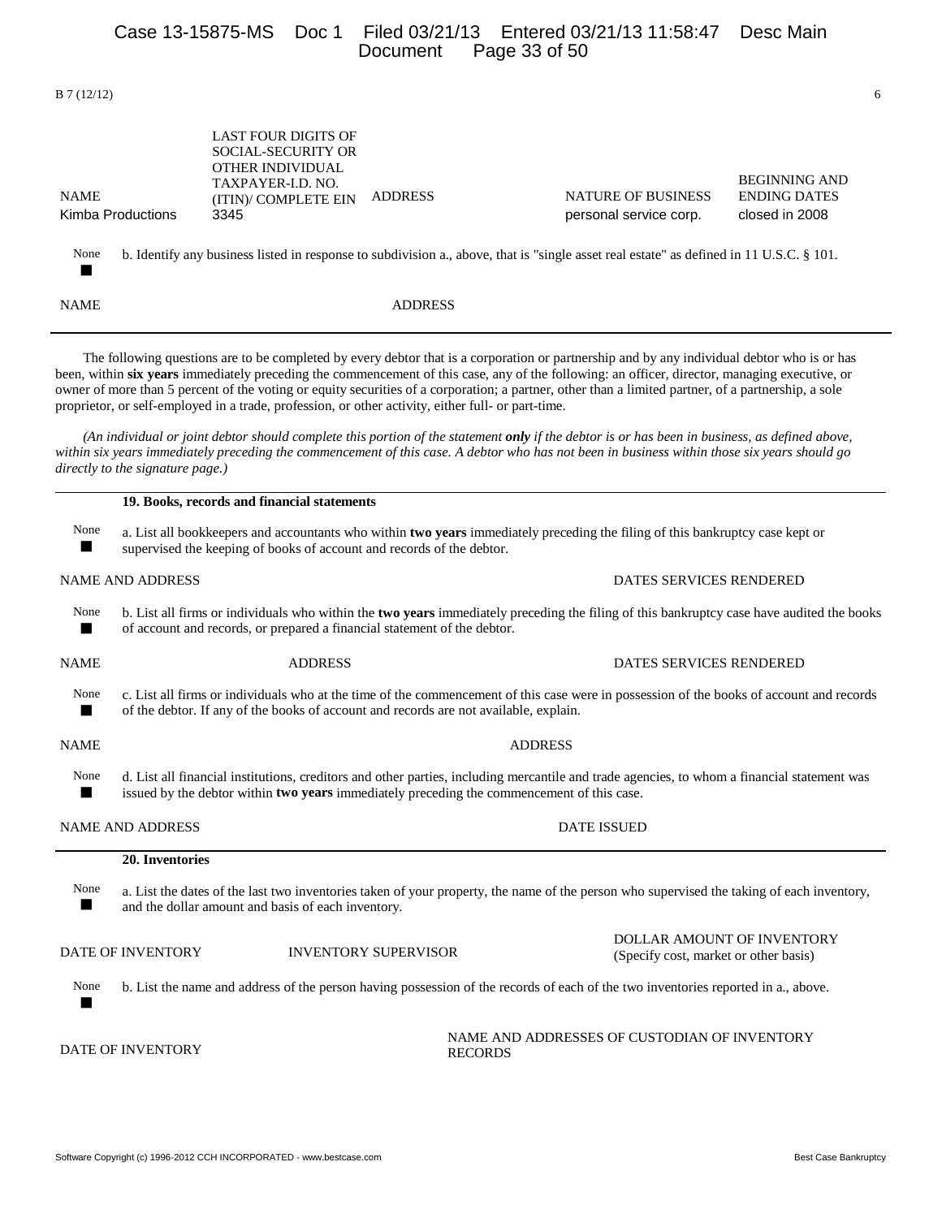| <b>NAME</b><br>Kimba Productions<br>None | LAST FOUR DIGITS OF<br>SOCIAL-SECURITY OR<br>OTHER INDIVIDUAL<br>TAXPAYER-LD. NO.<br>(ITIN)/ COMPLETE EIN<br>3345 | <b>ADDRESS</b> | NATURE OF BUSINESS<br>personal service corp.<br>b. Identify any business listed in response to subdivision a., above, that is "single asset real estate" as defined in 11 U.S.C. § 101. | <b>BEGINNING AND</b><br><b>ENDING DATES</b><br>closed in 2008 |
|------------------------------------------|-------------------------------------------------------------------------------------------------------------------|----------------|-----------------------------------------------------------------------------------------------------------------------------------------------------------------------------------------|---------------------------------------------------------------|
| <b>NAME</b>                              |                                                                                                                   | <b>ADDRESS</b> |                                                                                                                                                                                         |                                                               |

The following questions are to be completed by every debtor that is a corporation or partnership and by any individual debtor who is or has been, within **six years** immediately preceding the commencement of this case, any of the following: an officer, director, managing executive, or owner of more than 5 percent of the voting or equity securities of a corporation; a partner, other than a limited partner, of a partnership, a sole proprietor, or self-employed in a trade, profession, or other activity, either full- or part-time.

(An individual or joint debtor should complete this portion of the statement **only** if the debtor is or has been in business, as defined above, *within six years immediately preceding the commencement of this case. A debtor who has not been in business within those six years should go directly to the signature page.)*

|             | 19. Books, records and financial statements                                                                                                                                                                                               |                                                                                       |                                                                                                                                                  |  |  |  |  |
|-------------|-------------------------------------------------------------------------------------------------------------------------------------------------------------------------------------------------------------------------------------------|---------------------------------------------------------------------------------------|--------------------------------------------------------------------------------------------------------------------------------------------------|--|--|--|--|
| None        |                                                                                                                                                                                                                                           | supervised the keeping of books of account and records of the debtor.                 | a. List all bookkeepers and accountants who within two years immediately preceding the filing of this bankruptcy case kept or                    |  |  |  |  |
|             | <b>NAME AND ADDRESS</b>                                                                                                                                                                                                                   |                                                                                       | <b>DATES SERVICES RENDERED</b>                                                                                                                   |  |  |  |  |
| None        |                                                                                                                                                                                                                                           | of account and records, or prepared a financial statement of the debtor.              | b. List all firms or individuals who within the <b>two years</b> immediately preceding the filing of this bankruptcy case have audited the books |  |  |  |  |
| <b>NAME</b> |                                                                                                                                                                                                                                           | <b>ADDRESS</b>                                                                        | DATES SERVICES RENDERED                                                                                                                          |  |  |  |  |
| None        |                                                                                                                                                                                                                                           | of the debtor. If any of the books of account and records are not available, explain. | c. List all firms or individuals who at the time of the commencement of this case were in possession of the books of account and records         |  |  |  |  |
| <b>NAME</b> |                                                                                                                                                                                                                                           |                                                                                       | <b>ADDRESS</b>                                                                                                                                   |  |  |  |  |
| None        | d. List all financial institutions, creditors and other parties, including mercantile and trade agencies, to whom a financial statement was<br>issued by the debtor within two years immediately preceding the commencement of this case. |                                                                                       |                                                                                                                                                  |  |  |  |  |
|             | <b>NAME AND ADDRESS</b>                                                                                                                                                                                                                   |                                                                                       | <b>DATE ISSUED</b>                                                                                                                               |  |  |  |  |
|             | 20. Inventories                                                                                                                                                                                                                           |                                                                                       |                                                                                                                                                  |  |  |  |  |
| None        | and the dollar amount and basis of each inventory.                                                                                                                                                                                        |                                                                                       | a. List the dates of the last two inventories taken of your property, the name of the person who supervised the taking of each inventory,        |  |  |  |  |
|             | DATE OF INVENTORY                                                                                                                                                                                                                         | <b>INVENTORY SUPERVISOR</b>                                                           | DOLLAR AMOUNT OF INVENTORY<br>(Specify cost, market or other basis)                                                                              |  |  |  |  |
| None        |                                                                                                                                                                                                                                           |                                                                                       | b. List the name and address of the person having possession of the records of each of the two inventories reported in a., above.                |  |  |  |  |
|             | <b>DATE OF INVENTORY</b>                                                                                                                                                                                                                  | <b>RECORDS</b>                                                                        | NAME AND ADDRESSES OF CUSTODIAN OF INVENTORY                                                                                                     |  |  |  |  |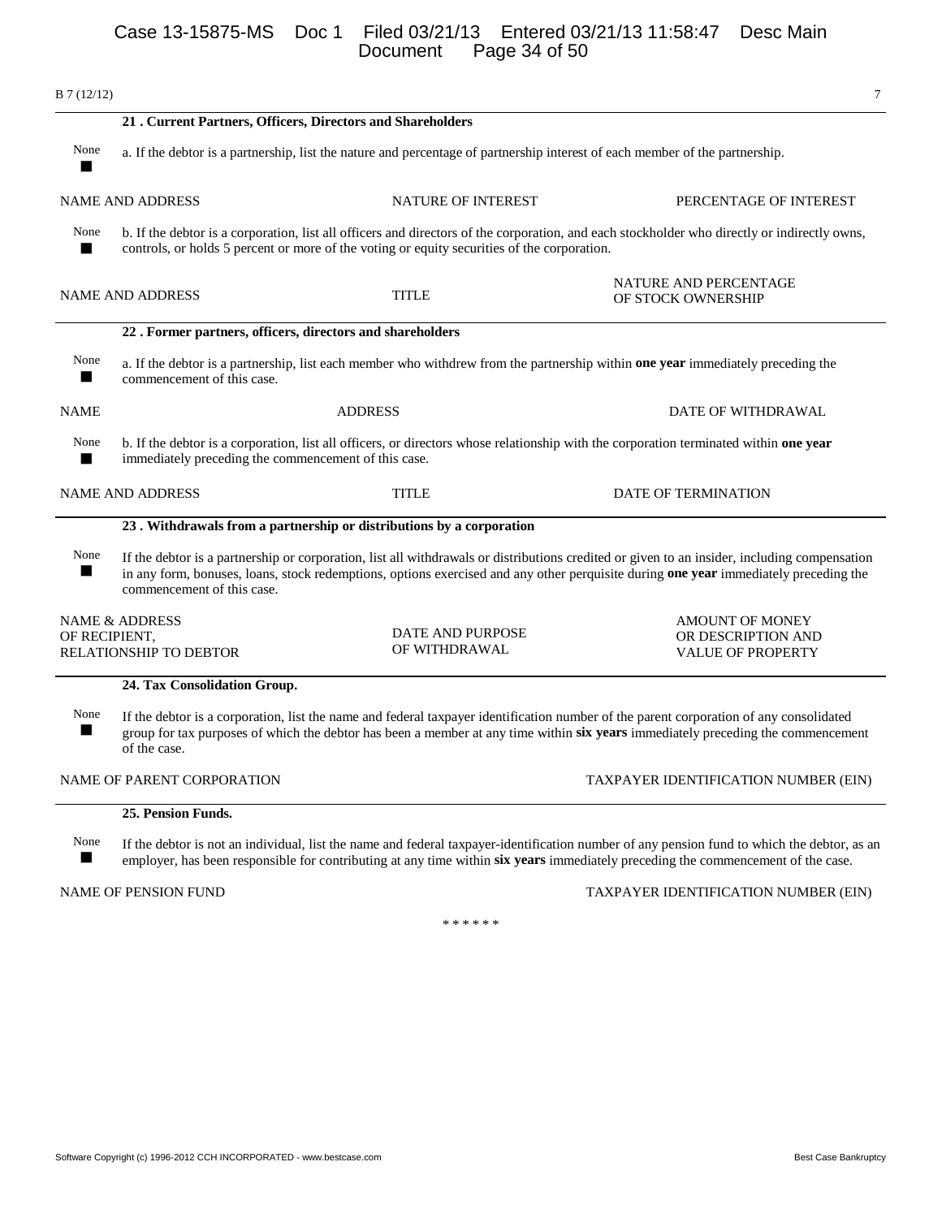| B7(12/12)     |                                                      |                                                                                                                                              | $\tau$                                                                                                                                                                                                                                                                               |
|---------------|------------------------------------------------------|----------------------------------------------------------------------------------------------------------------------------------------------|--------------------------------------------------------------------------------------------------------------------------------------------------------------------------------------------------------------------------------------------------------------------------------------|
|               |                                                      | 21. Current Partners, Officers, Directors and Shareholders                                                                                   |                                                                                                                                                                                                                                                                                      |
| None          |                                                      | a. If the debtor is a partnership, list the nature and percentage of partnership interest of each member of the partnership.                 |                                                                                                                                                                                                                                                                                      |
|               | <b>NAME AND ADDRESS</b>                              | NATURE OF INTEREST                                                                                                                           | PERCENTAGE OF INTEREST                                                                                                                                                                                                                                                               |
| None<br>H     |                                                      | controls, or holds 5 percent or more of the voting or equity securities of the corporation.                                                  | b. If the debtor is a corporation, list all officers and directors of the corporation, and each stockholder who directly or indirectly owns,                                                                                                                                         |
|               | <b>NAME AND ADDRESS</b>                              | <b>TITLE</b>                                                                                                                                 | NATURE AND PERCENTAGE<br>OF STOCK OWNERSHIP                                                                                                                                                                                                                                          |
|               |                                                      | 22. Former partners, officers, directors and shareholders                                                                                    |                                                                                                                                                                                                                                                                                      |
| None<br>ш     | commencement of this case.                           |                                                                                                                                              | a. If the debtor is a partnership, list each member who withdrew from the partnership within one year immediately preceding the                                                                                                                                                      |
| <b>NAME</b>   |                                                      | <b>ADDRESS</b>                                                                                                                               | DATE OF WITHDRAWAL                                                                                                                                                                                                                                                                   |
| None<br>H     | immediately preceding the commencement of this case. | b. If the debtor is a corporation, list all officers, or directors whose relationship with the corporation terminated within <b>one year</b> |                                                                                                                                                                                                                                                                                      |
|               | <b>NAME AND ADDRESS</b>                              | <b>TITLE</b>                                                                                                                                 | <b>DATE OF TERMINATION</b>                                                                                                                                                                                                                                                           |
|               |                                                      | 23 . Withdrawals from a partnership or distributions by a corporation                                                                        |                                                                                                                                                                                                                                                                                      |
| None<br>ш     | commencement of this case.                           |                                                                                                                                              | If the debtor is a partnership or corporation, list all withdrawals or distributions credited or given to an insider, including compensation<br>in any form, bonuses, loans, stock redemptions, options exercised and any other perquisite during one year immediately preceding the |
|               | <b>NAME &amp; ADDRESS</b>                            |                                                                                                                                              | <b>AMOUNT OF MONEY</b>                                                                                                                                                                                                                                                               |
| OF RECIPIENT, | RELATIONSHIP TO DEBTOR                               | DATE AND PURPOSE<br>OF WITHDRAWAL                                                                                                            | OR DESCRIPTION AND<br><b>VALUE OF PROPERTY</b>                                                                                                                                                                                                                                       |
|               | 24. Tax Consolidation Group.                         |                                                                                                                                              |                                                                                                                                                                                                                                                                                      |
| None<br>ш     | of the case.                                         |                                                                                                                                              | If the debtor is a corporation, list the name and federal taxpayer identification number of the parent corporation of any consolidated<br>group for tax purposes of which the debtor has been a member at any time within six years immediately preceding the commencement           |
|               | NAME OF PARENT CORPORATION                           |                                                                                                                                              | TAXPAYER IDENTIFICATION NUMBER (EIN)                                                                                                                                                                                                                                                 |
|               | 25. Pension Funds.                                   |                                                                                                                                              |                                                                                                                                                                                                                                                                                      |
| None<br>H     |                                                      |                                                                                                                                              | If the debtor is not an individual, list the name and federal taxpayer-identification number of any pension fund to which the debtor, as an<br>employer, has been responsible for contributing at any time within six years immediately preceding the commencement of the case.      |
|               | NAME OF PENSION FUND                                 |                                                                                                                                              | TAXPAYER IDENTIFICATION NUMBER (EIN)                                                                                                                                                                                                                                                 |

\* \* \* \* \* \*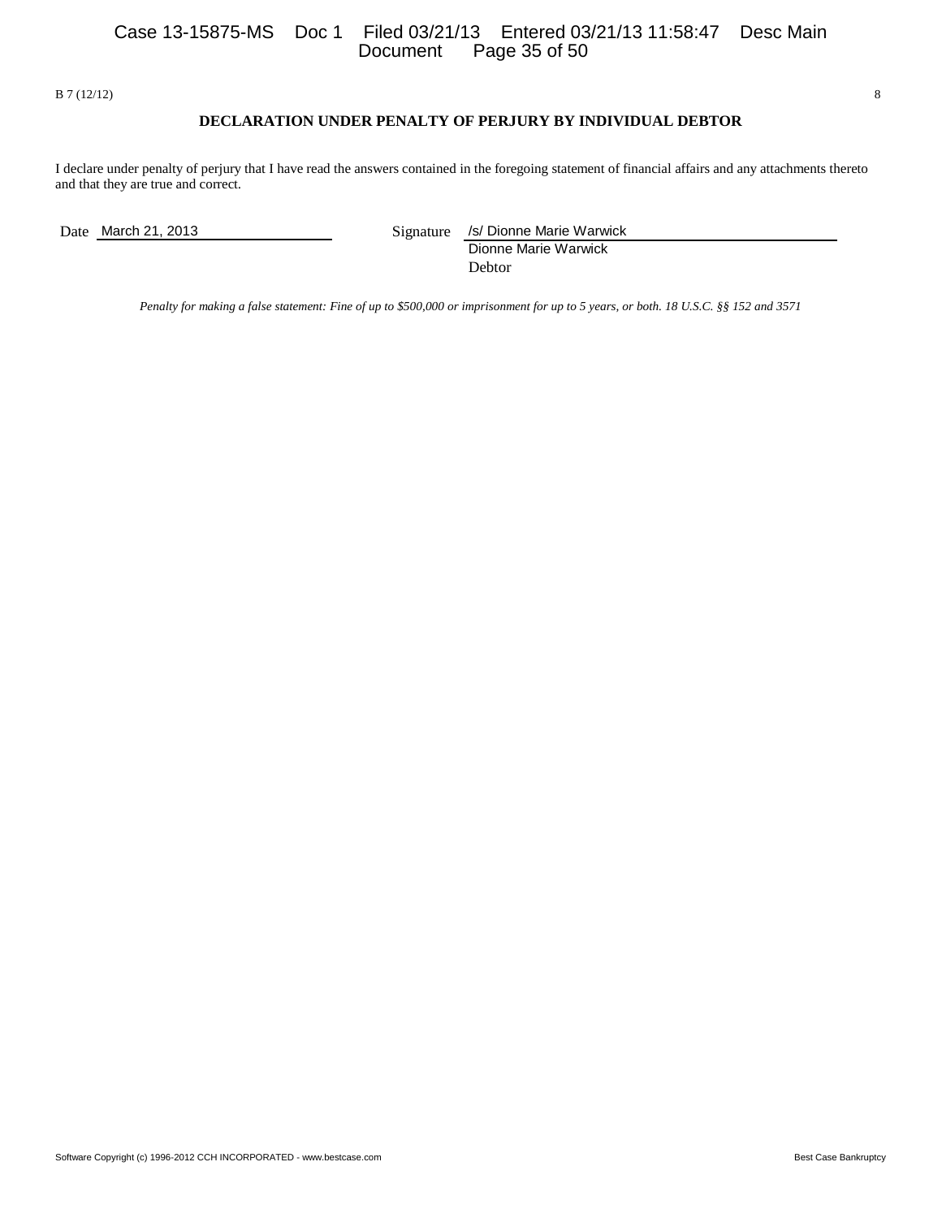### **DECLARATION UNDER PENALTY OF PERJURY BY INDIVIDUAL DEBTOR**

I declare under penalty of perjury that I have read the answers contained in the foregoing statement of financial affairs and any attachments thereto and that they are true and correct.

Date March 21, 2013 Signature /s/ Dionne Marie Warwick

Dionne Marie Warwick Debtor

*Penalty for making a false statement: Fine of up to \$500,000 or imprisonment for up to 5 years, or both. 18 U.S.C. §§ 152 and 3571*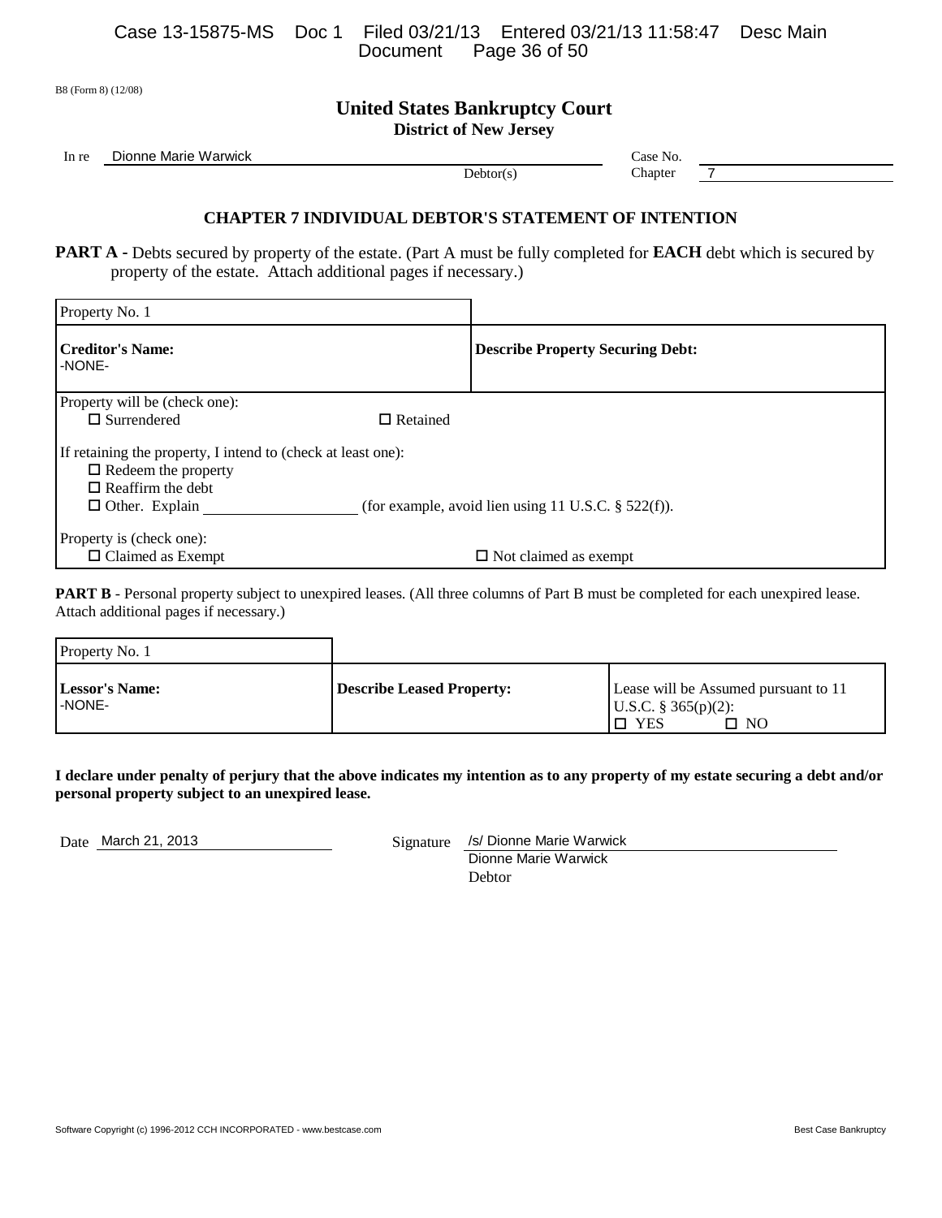Case 13-15875-MS Doc 1 Filed 03/21/13 Entered 03/21/13 11:58:47 Desc Main Page 36 of 50

B8 (Form 8) (12/08)

### **United States Bankruptcy Court District of New Jersey**

| Dionne Marie Warwick<br>In re<br>Case No. |
|-------------------------------------------|
|-------------------------------------------|

Debtor(s) Chapter 7

### **CHAPTER 7 INDIVIDUAL DEBTOR'S STATEMENT OF INTENTION**

**PART A** - Debts secured by property of the estate. (Part A must be fully completed for **EACH** debt which is secured by property of the estate. Attach additional pages if necessary.)

| Property No. 1                                                                                                                                  |                                                        |
|-------------------------------------------------------------------------------------------------------------------------------------------------|--------------------------------------------------------|
| <b>Creditor's Name:</b><br>-NONE-                                                                                                               | <b>Describe Property Securing Debt:</b>                |
| Property will be (check one):                                                                                                                   |                                                        |
| $\Box$ Surrendered<br>$\Box$ Retained                                                                                                           |                                                        |
| If retaining the property, I intend to (check at least one):<br>$\Box$ Redeem the property<br>$\Box$ Reaffirm the debt<br>$\Box$ Other. Explain | (for example, avoid lien using 11 U.S.C. $\S$ 522(f)). |
| Property is (check one):                                                                                                                        |                                                        |
| $\Box$ Claimed as Exempt                                                                                                                        | $\Box$ Not claimed as exempt                           |

**PART B** - Personal property subject to unexpired leases. (All three columns of Part B must be completed for each unexpired lease. Attach additional pages if necessary.)

| Property No. 1                          |                           |                                                                                                   |
|-----------------------------------------|---------------------------|---------------------------------------------------------------------------------------------------|
| <b>Lessor's Name:</b><br><b>I-NONE-</b> | Describe Leased Property: | Lease will be Assumed pursuant to 11<br>  U.S.C. $\S 365(p)(2)$ :<br><b>YES</b><br>ON C<br>$\Box$ |

**I declare under penalty of perjury that the above indicates my intention as to any property of my estate securing a debt and/or personal property subject to an unexpired lease.**

Date March 21, 2013 Signature /s/ Dionne Marie Warwick

Dionne Marie Warwick Debtor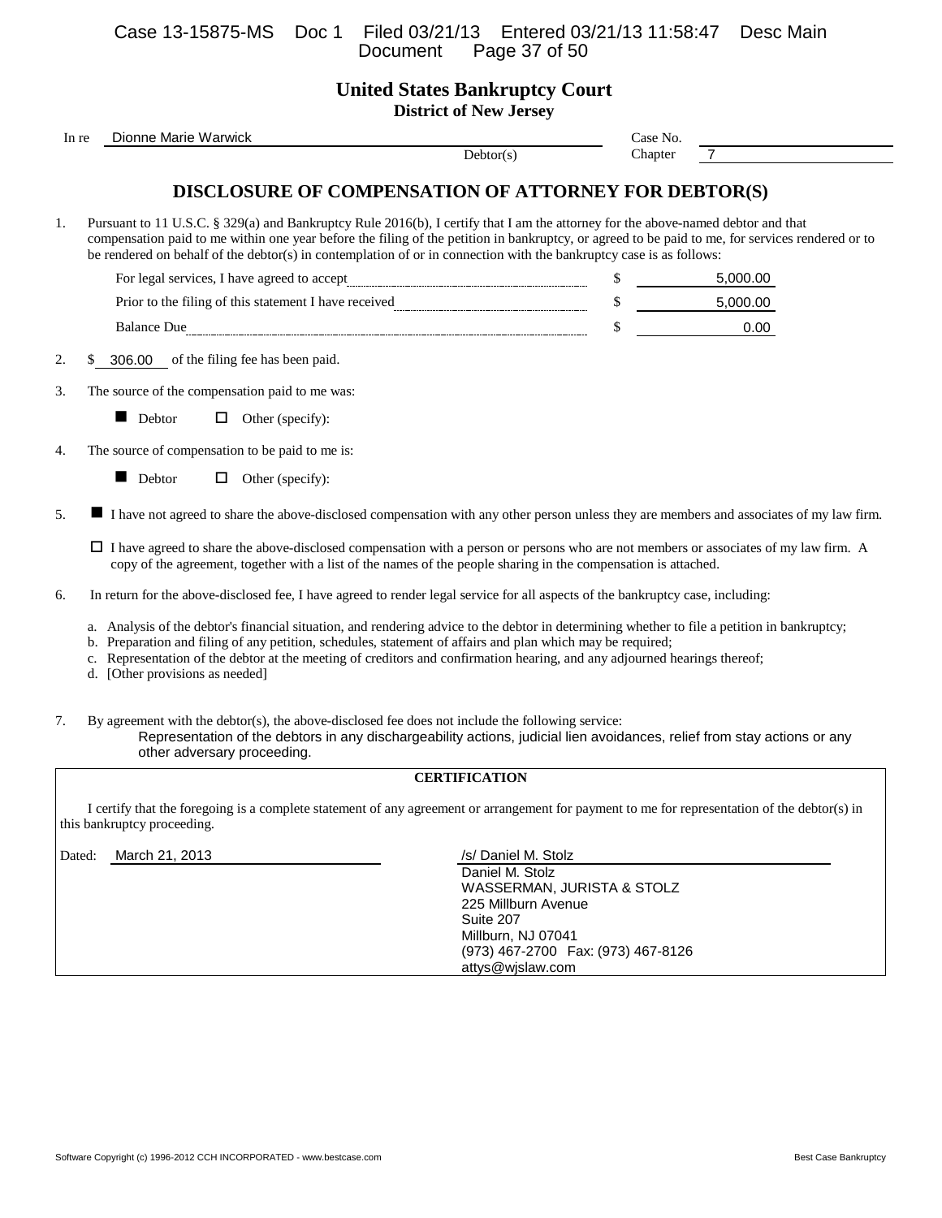|        | Case 13-15875-MS<br>Doc 1                                                                                                                                                                                                                                                                                                                                                                                                  | Filed 03/21/13    Entered 03/21/13    11:58:47    Desc Main<br>Page 37 of 50<br>Document |          |                |
|--------|----------------------------------------------------------------------------------------------------------------------------------------------------------------------------------------------------------------------------------------------------------------------------------------------------------------------------------------------------------------------------------------------------------------------------|------------------------------------------------------------------------------------------|----------|----------------|
|        |                                                                                                                                                                                                                                                                                                                                                                                                                            | <b>United States Bankruptcy Court</b><br><b>District of New Jersey</b>                   |          |                |
| In re  | Dionne Marie Warwick                                                                                                                                                                                                                                                                                                                                                                                                       |                                                                                          | Case No. |                |
|        |                                                                                                                                                                                                                                                                                                                                                                                                                            | Dektor(s)                                                                                | Chapter  | $\overline{7}$ |
|        |                                                                                                                                                                                                                                                                                                                                                                                                                            | DISCLOSURE OF COMPENSATION OF ATTORNEY FOR DEBTOR(S)                                     |          |                |
| 1.     | Pursuant to 11 U.S.C. § 329(a) and Bankruptcy Rule 2016(b), I certify that I am the attorney for the above-named debtor and that<br>compensation paid to me within one year before the filing of the petition in bankruptcy, or agreed to be paid to me, for services rendered or to<br>be rendered on behalf of the debtor(s) in contemplation of or in connection with the bankruptcy case is as follows:                |                                                                                          |          |                |
|        |                                                                                                                                                                                                                                                                                                                                                                                                                            | \$                                                                                       |          | 5,000.00       |
|        |                                                                                                                                                                                                                                                                                                                                                                                                                            | \$                                                                                       |          | 5,000.00       |
|        | Balance Due                                                                                                                                                                                                                                                                                                                                                                                                                | \$                                                                                       |          | 0.00           |
| 2.     | 306.00 of the filing fee has been paid.                                                                                                                                                                                                                                                                                                                                                                                    |                                                                                          |          |                |
| 3.     | The source of the compensation paid to me was:                                                                                                                                                                                                                                                                                                                                                                             |                                                                                          |          |                |
|        | Debtor<br>$\Box$<br>Other (specify):                                                                                                                                                                                                                                                                                                                                                                                       |                                                                                          |          |                |
| 4.     | The source of compensation to be paid to me is:                                                                                                                                                                                                                                                                                                                                                                            |                                                                                          |          |                |
|        |                                                                                                                                                                                                                                                                                                                                                                                                                            |                                                                                          |          |                |
|        | Debtor<br>$\Box$ Other (specify):                                                                                                                                                                                                                                                                                                                                                                                          |                                                                                          |          |                |
| 5.     | I have not agreed to share the above-disclosed compensation with any other person unless they are members and associates of my law firm.                                                                                                                                                                                                                                                                                   |                                                                                          |          |                |
|        | $\Box$ I have agreed to share the above-disclosed compensation with a person or persons who are not members or associates of my law firm. A<br>copy of the agreement, together with a list of the names of the people sharing in the compensation is attached.                                                                                                                                                             |                                                                                          |          |                |
| 6.     | In return for the above-disclosed fee, I have agreed to render legal service for all aspects of the bankruptcy case, including:                                                                                                                                                                                                                                                                                            |                                                                                          |          |                |
|        | a. Analysis of the debtor's financial situation, and rendering advice to the debtor in determining whether to file a petition in bankruptcy;<br>b. Preparation and filing of any petition, schedules, statement of affairs and plan which may be required;<br>c. Representation of the debtor at the meeting of creditors and confirmation hearing, and any adjourned hearings thereof;<br>d. [Other provisions as needed] |                                                                                          |          |                |
| 7.     | By agreement with the debtor(s), the above-disclosed fee does not include the following service:<br>Representation of the debtors in any dischargeability actions, judicial lien avoidances, relief from stay actions or any<br>other adversary proceeding.                                                                                                                                                                |                                                                                          |          |                |
|        |                                                                                                                                                                                                                                                                                                                                                                                                                            | <b>CERTIFICATION</b>                                                                     |          |                |
|        | I certify that the foregoing is a complete statement of any agreement or arrangement for payment to me for representation of the debtor(s) in<br>this bankruptcy proceeding.                                                                                                                                                                                                                                               |                                                                                          |          |                |
| Dated: | March 21, 2013                                                                                                                                                                                                                                                                                                                                                                                                             | /s/ Daniel M. Stolz                                                                      |          |                |
|        |                                                                                                                                                                                                                                                                                                                                                                                                                            | Daniel M. Stolz<br>WASSERMAN, JURISTA & STOLZ                                            |          |                |
|        |                                                                                                                                                                                                                                                                                                                                                                                                                            | 225 Millburn Avenue                                                                      |          |                |
|        |                                                                                                                                                                                                                                                                                                                                                                                                                            | Suite 207<br>Millburn, NJ 07041<br>(973) 467-2700 Fax: (973) 467-8126                    |          |                |

attys@wjslaw.com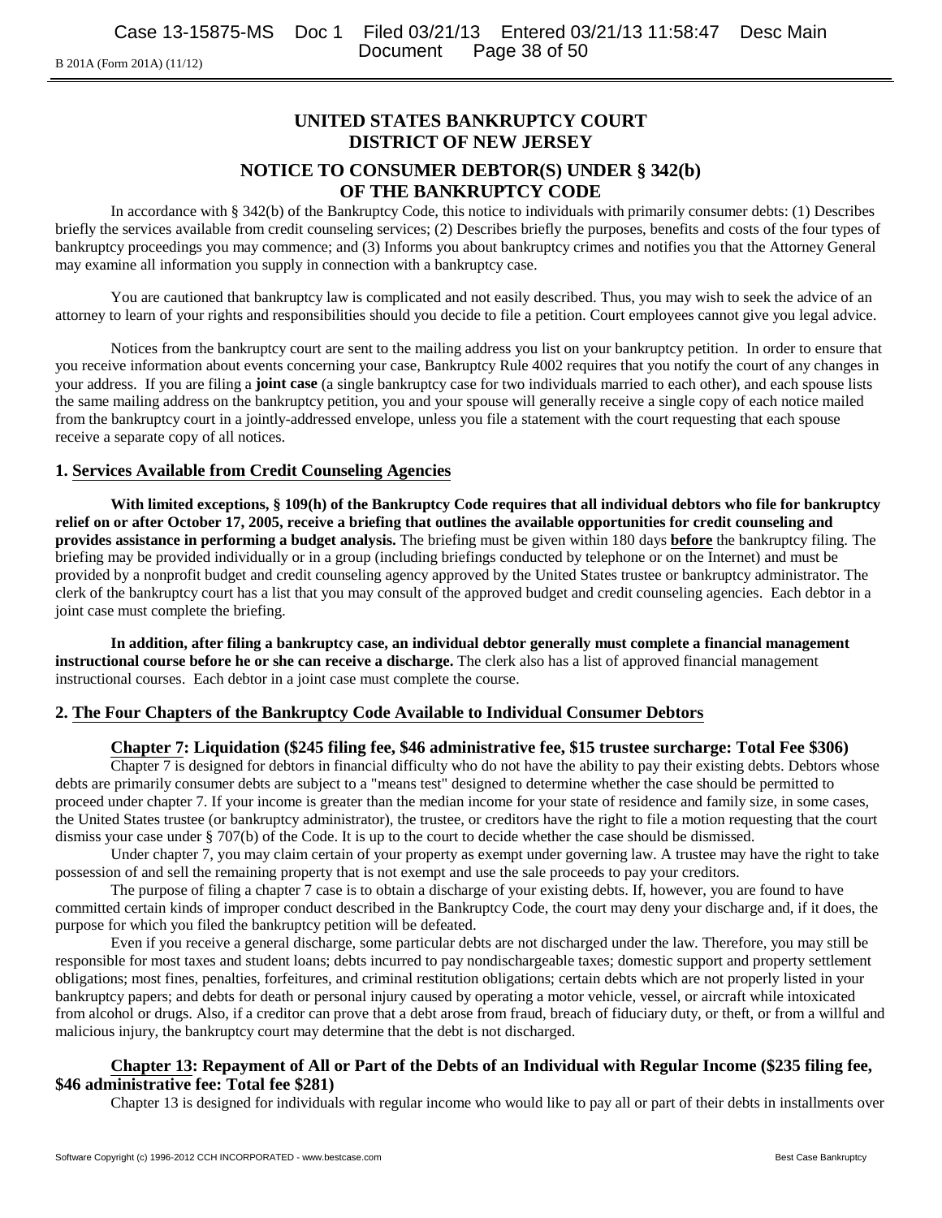B 201A (Form 201A) (11/12)

## **UNITED STATES BANKRUPTCY COURT DISTRICT OF NEW JERSEY**

### **NOTICE TO CONSUMER DEBTOR(S) UNDER § 342(b) OF THE BANKRUPTCY CODE**

In accordance with § 342(b) of the Bankruptcy Code, this notice to individuals with primarily consumer debts: (1) Describes briefly the services available from credit counseling services; (2) Describes briefly the purposes, benefits and costs of the four types of bankruptcy proceedings you may commence; and (3) Informs you about bankruptcy crimes and notifies you that the Attorney General may examine all information you supply in connection with a bankruptcy case.

You are cautioned that bankruptcy law is complicated and not easily described. Thus, you may wish to seek the advice of an attorney to learn of your rights and responsibilities should you decide to file a petition. Court employees cannot give you legal advice.

Notices from the bankruptcy court are sent to the mailing address you list on your bankruptcy petition. In order to ensure that you receive information about events concerning your case, Bankruptcy Rule 4002 requires that you notify the court of any changes in your address. If you are filing a **joint case** (a single bankruptcy case for two individuals married to each other), and each spouse lists the same mailing address on the bankruptcy petition, you and your spouse will generally receive a single copy of each notice mailed from the bankruptcy court in a jointly-addressed envelope, unless you file a statement with the court requesting that each spouse receive a separate copy of all notices.

### **1. Services Available from Credit Counseling Agencies**

**With limited exceptions, § 109(h) of the Bankruptcy Code requires that all individual debtors who file for bankruptcy relief on or after October 17, 2005, receive a briefing that outlines the available opportunities for credit counseling and provides assistance in performing a budget analysis.** The briefing must be given within 180 days **before** the bankruptcy filing. The briefing may be provided individually or in a group (including briefings conducted by telephone or on the Internet) and must be provided by a nonprofit budget and credit counseling agency approved by the United States trustee or bankruptcy administrator. The clerk of the bankruptcy court has a list that you may consult of the approved budget and credit counseling agencies. Each debtor in a joint case must complete the briefing.

**In addition, after filing a bankruptcy case, an individual debtor generally must complete a financial management instructional course before he or she can receive a discharge.** The clerk also has a list of approved financial management instructional courses. Each debtor in a joint case must complete the course.

### **2. The Four Chapters of the Bankruptcy Code Available to Individual Consumer Debtors**

### **Chapter 7: Liquidation (\$245 filing fee, \$46 administrative fee, \$15 trustee surcharge: Total Fee \$306)**

Chapter 7 is designed for debtors in financial difficulty who do not have the ability to pay their existing debts. Debtors whose debts are primarily consumer debts are subject to a "means test" designed to determine whether the case should be permitted to proceed under chapter 7. If your income is greater than the median income for your state of residence and family size, in some cases, the United States trustee (or bankruptcy administrator), the trustee, or creditors have the right to file a motion requesting that the court dismiss your case under § 707(b) of the Code. It is up to the court to decide whether the case should be dismissed.

Under chapter 7, you may claim certain of your property as exempt under governing law. A trustee may have the right to take possession of and sell the remaining property that is not exempt and use the sale proceeds to pay your creditors.

The purpose of filing a chapter 7 case is to obtain a discharge of your existing debts. If, however, you are found to have committed certain kinds of improper conduct described in the Bankruptcy Code, the court may deny your discharge and, if it does, the purpose for which you filed the bankruptcy petition will be defeated.

Even if you receive a general discharge, some particular debts are not discharged under the law. Therefore, you may still be responsible for most taxes and student loans; debts incurred to pay nondischargeable taxes; domestic support and property settlement obligations; most fines, penalties, forfeitures, and criminal restitution obligations; certain debts which are not properly listed in your bankruptcy papers; and debts for death or personal injury caused by operating a motor vehicle, vessel, or aircraft while intoxicated from alcohol or drugs. Also, if a creditor can prove that a debt arose from fraud, breach of fiduciary duty, or theft, or from a willful and malicious injury, the bankruptcy court may determine that the debt is not discharged.

### **Chapter 13: Repayment of All or Part of the Debts of an Individual with Regular Income (\$235 filing fee, \$46 administrative fee: Total fee \$281)**

Chapter 13 is designed for individuals with regular income who would like to pay all or part of their debts in installments over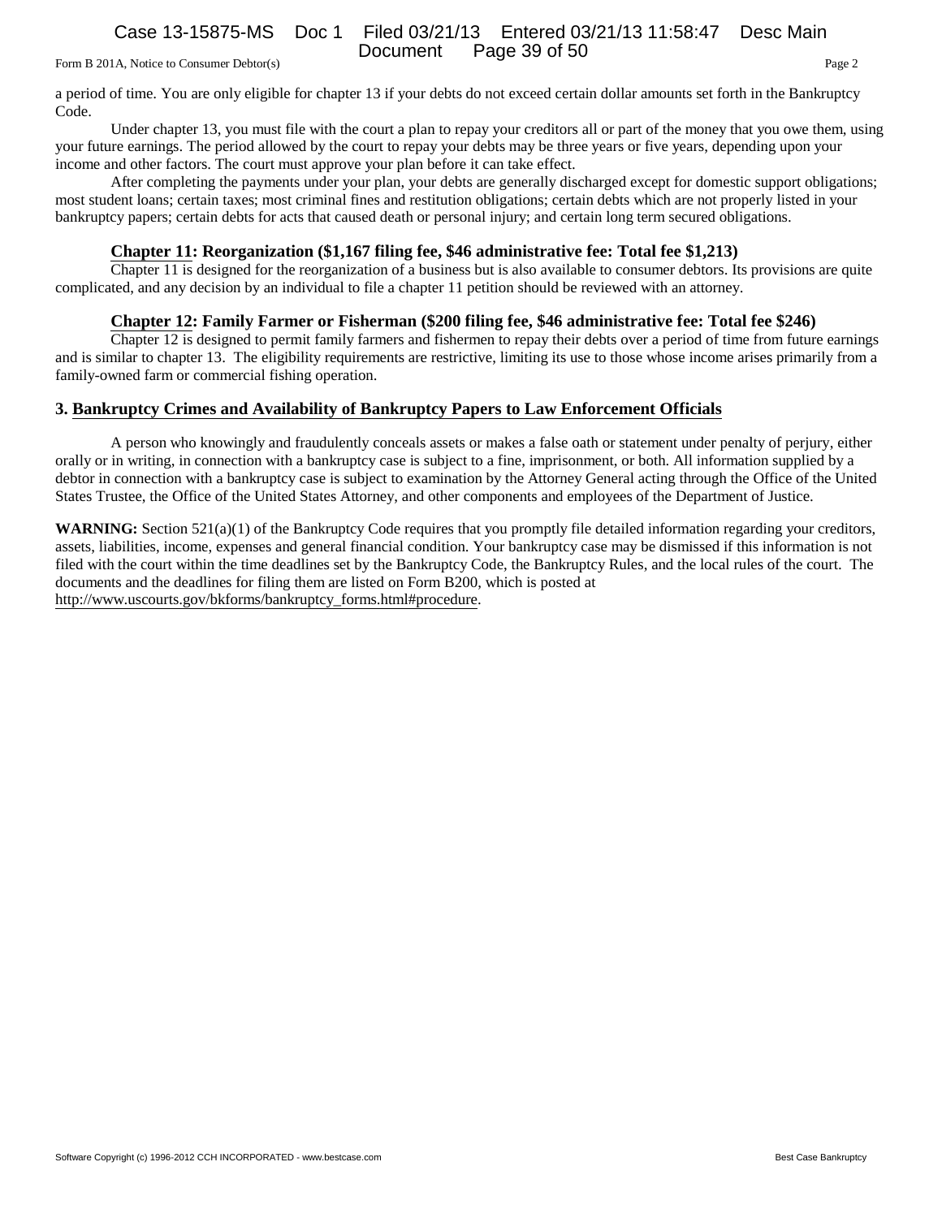Form B 201A, Notice to Consumer Debtor(s) Page 2

a period of time. You are only eligible for chapter 13 if your debts do not exceed certain dollar amounts set forth in the Bankruptcy Code.

Under chapter 13, you must file with the court a plan to repay your creditors all or part of the money that you owe them, using your future earnings. The period allowed by the court to repay your debts may be three years or five years, depending upon your income and other factors. The court must approve your plan before it can take effect.

After completing the payments under your plan, your debts are generally discharged except for domestic support obligations; most student loans; certain taxes; most criminal fines and restitution obligations; certain debts which are not properly listed in your bankruptcy papers; certain debts for acts that caused death or personal injury; and certain long term secured obligations.

### **Chapter 11: Reorganization (\$1,167 filing fee, \$46 administrative fee: Total fee \$1,213)**

Chapter 11 is designed for the reorganization of a business but is also available to consumer debtors. Its provisions are quite complicated, and any decision by an individual to file a chapter 11 petition should be reviewed with an attorney.

### **Chapter 12: Family Farmer or Fisherman (\$200 filing fee, \$46 administrative fee: Total fee \$246)**

Chapter  $12$  is designed to permit family farmers and fishermen to repay their debts over a period of time from future earnings and is similar to chapter 13. The eligibility requirements are restrictive, limiting its use to those whose income arises primarily from a family-owned farm or commercial fishing operation.

### **3. Bankruptcy Crimes and Availability of Bankruptcy Papers to Law Enforcement Officials**

A person who knowingly and fraudulently conceals assets or makes a false oath or statement under penalty of perjury, either orally or in writing, in connection with a bankruptcy case is subject to a fine, imprisonment, or both. All information supplied by a debtor in connection with a bankruptcy case is subject to examination by the Attorney General acting through the Office of the United States Trustee, the Office of the United States Attorney, and other components and employees of the Department of Justice.

**WARNING:** Section 521(a)(1) of the Bankruptcy Code requires that you promptly file detailed information regarding your creditors, assets, liabilities, income, expenses and general financial condition. Your bankruptcy case may be dismissed if this information is not filed with the court within the time deadlines set by the Bankruptcy Code, the Bankruptcy Rules, and the local rules of the court. The documents and the deadlines for filing them are listed on Form B200, which is posted at http://www.uscourts.gov/bkforms/bankruptcy\_forms.html#procedure.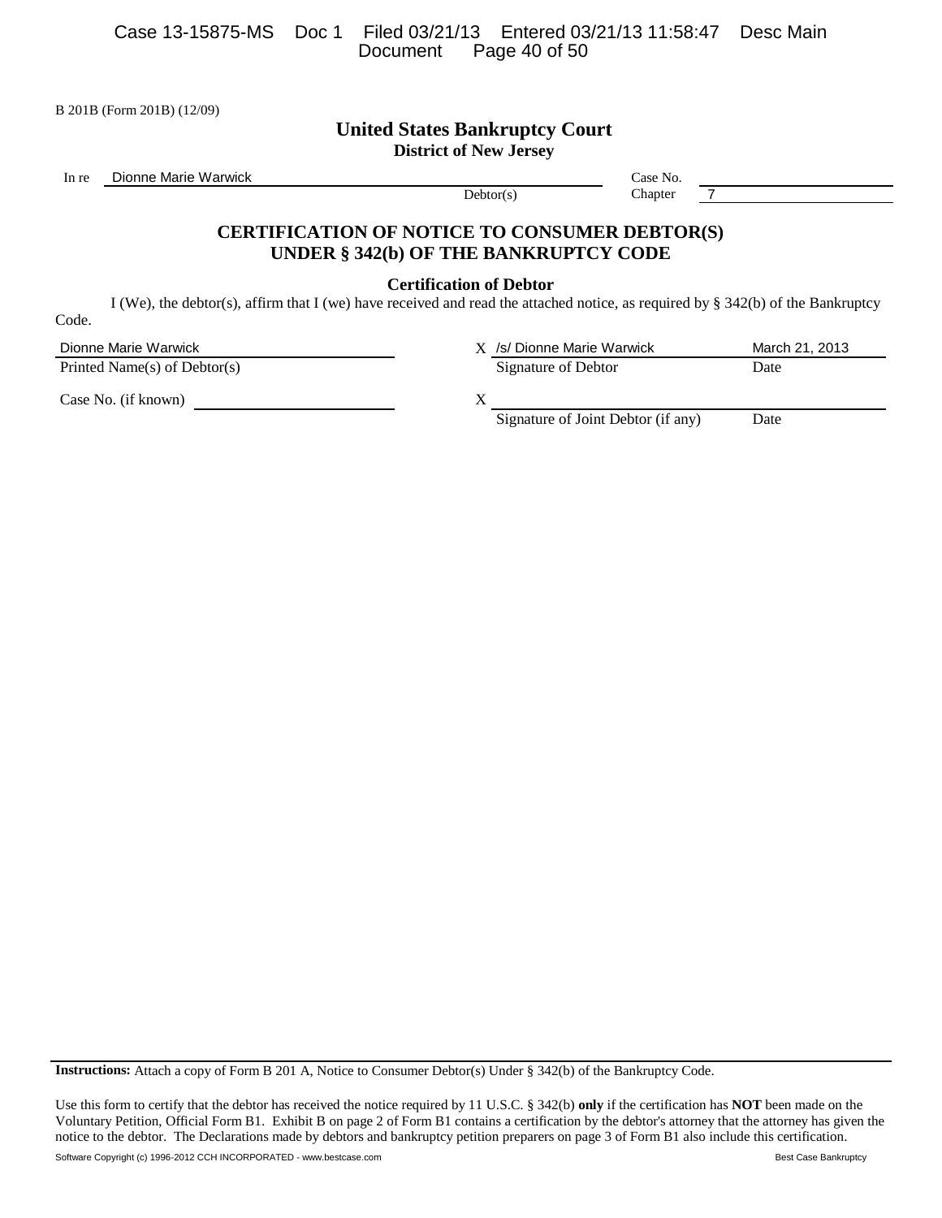Case 13-15875-MS Doc 1 Filed 03/21/13 Entered 03/21/13 11:58:47 Desc Main Page 40 of 50

B 201B (Form 201B) (12/09)

## **United States Bankruptcy Court District of New Jersey**

In re Dionne Marie Warwick Case No. **Case No.** Case No.

Debtor(s) Chapter 7

### **CERTIFICATION OF NOTICE TO CONSUMER DEBTOR(S) UNDER § 342(b) OF THE BANKRUPTCY CODE**

**Certification of Debtor**

I (We), the debtor(s), affirm that I (we) have received and read the attached notice, as required by  $\S 342(b)$  of the Bankruptcy Code.

Dionne Marie Warwick

Printed Name $(s)$  of Debtor $(s)$ 

Case No. (if known)

|   | X /s/ Dionne Marie Warwick | March 21, 2013 |
|---|----------------------------|----------------|
|   | Signature of Debtor        | Date           |
| v |                            |                |

Signature of Joint Debtor (if any) Date

**Instructions:** Attach a copy of Form B 201 A, Notice to Consumer Debtor(s) Under § 342(b) of the Bankruptcy Code.

Use this form to certify that the debtor has received the notice required by 11 U.S.C. § 342(b) **only** if the certification has **NOT** been made on the Voluntary Petition, Official Form B1. Exhibit B on page 2 of Form B1 contains a certification by the debtor's attorney that the attorney has given the notice to the debtor. The Declarations made by debtors and bankruptcy petition preparers on page 3 of Form B1 also include this certification. Software Copyright (c) 1996-2012 CCH INCORPORATED - www.bestcase.com **Best Case Bankruptcy** Best Case Bankruptcy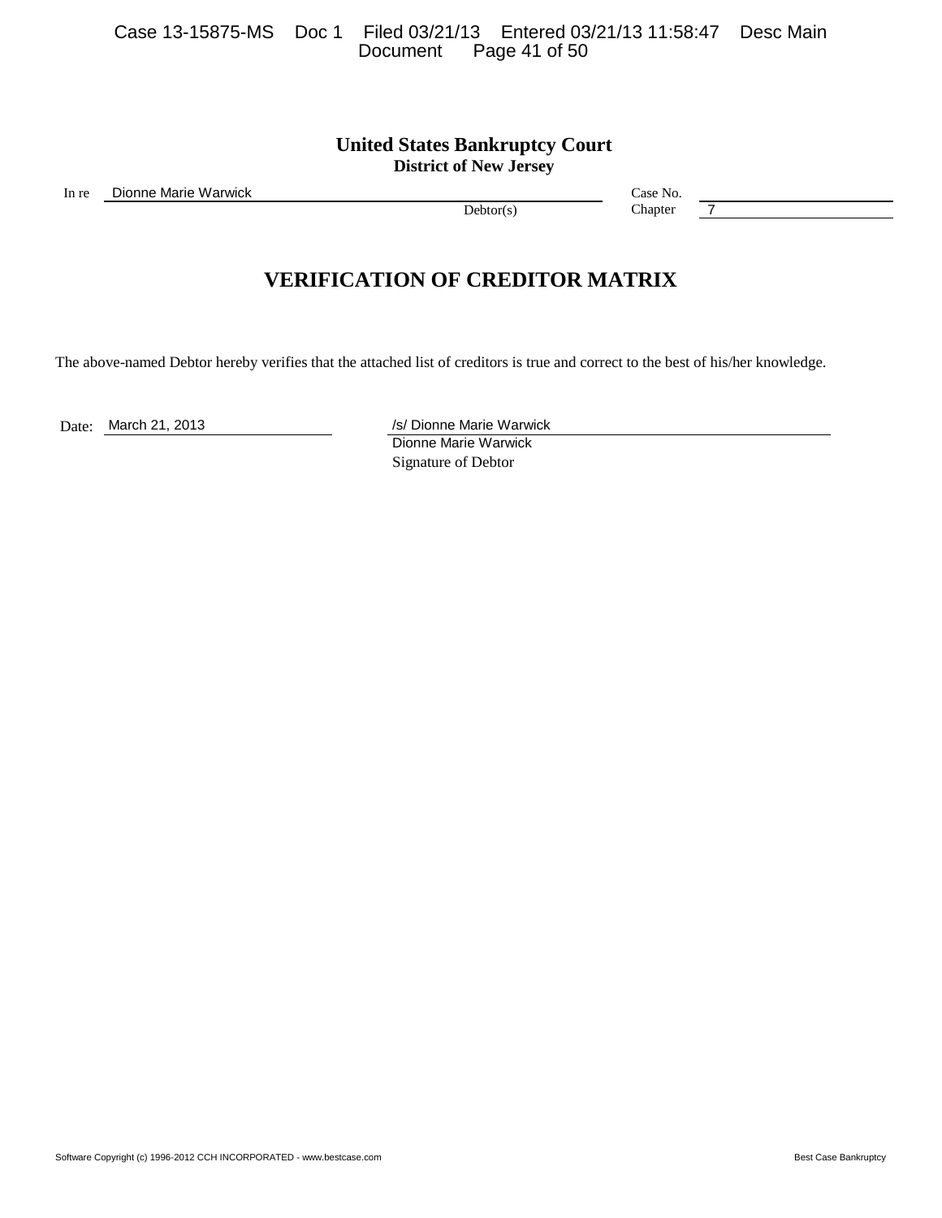### **United States Bankruptcy Court District of New Jersey**

In re Dionne Marie Warwick Case No. 2008 No.

## **VERIFICATION OF CREDITOR MATRIX**

The above-named Debtor hereby verifies that the attached list of creditors is true and correct to the best of his/her knowledge.

Date: March 21, 2013 /s/ Dionne Marie Warwick

Dionne Marie Warwick Signature of Debtor

Debtor(s) Chapter 7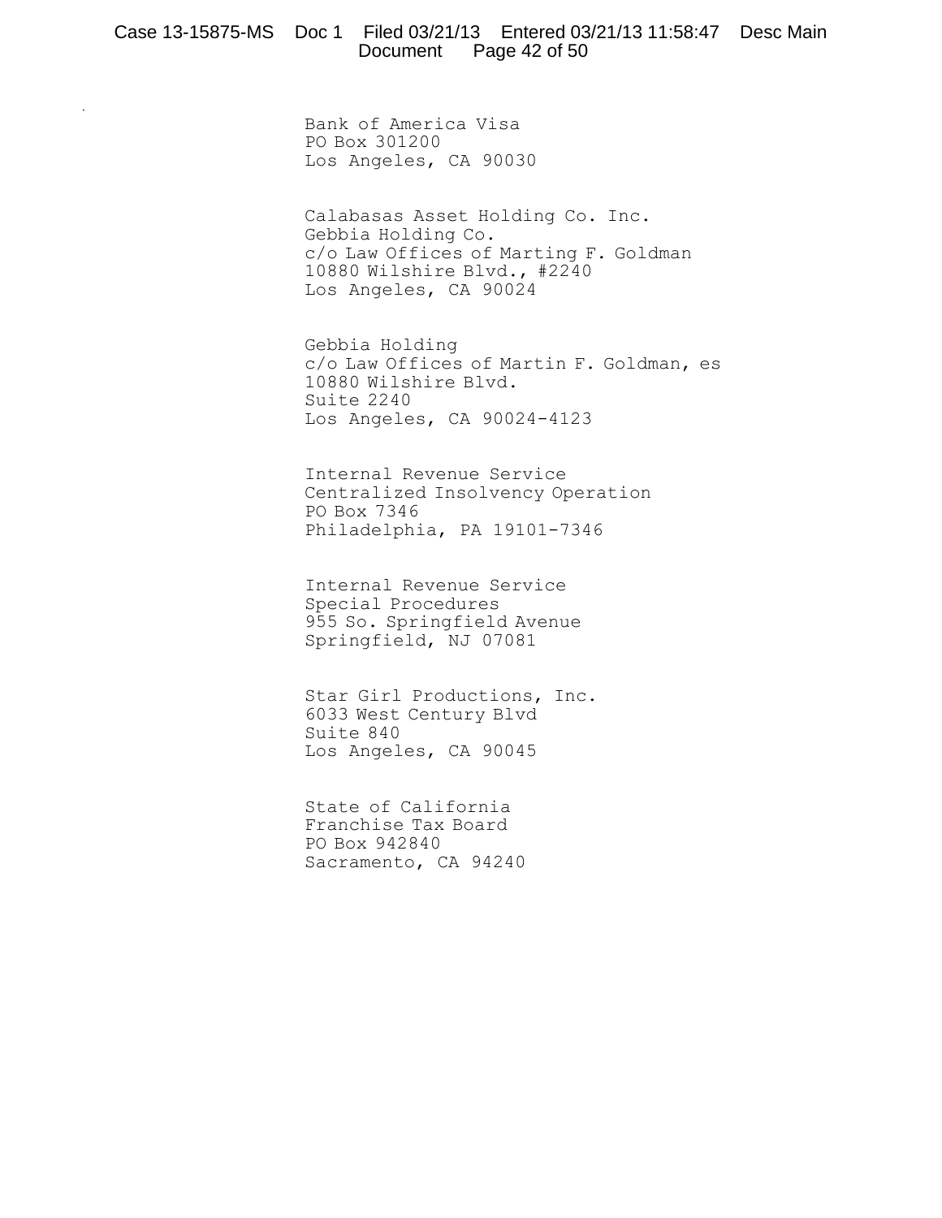### Case 13-15875-MS Doc 1 Filed 03/21/13 Entered 03/21/13 11:58:47 Desc Main Document Page 42 of 50

Bank of America Visa PO Box 301200 Los Angeles, CA 90030

Calabasas Asset Holding Co. Inc. Gebbia Holding Co. c/o Law Offices of Marting F. Goldman 10880 Wilshire Blvd., #2240 Los Angeles, CA 90024

Gebbia Holding c/o Law Offices of Martin F. Goldman, es 10880 Wilshire Blvd. Suite 2240 Los Angeles, CA 90024-4123

Internal Revenue Service Centralized Insolvency Operation PO Box 7346 Philadelphia, PA 19101-7346

Internal Revenue Service Special Procedures 955 So. Springfield Avenue Springfield, NJ 07081

Star Girl Productions, Inc. 6033 West Century Blvd Suite 840 Los Angeles, CA 90045

State of California Franchise Tax Board PO Box 942840 Sacramento, CA 94240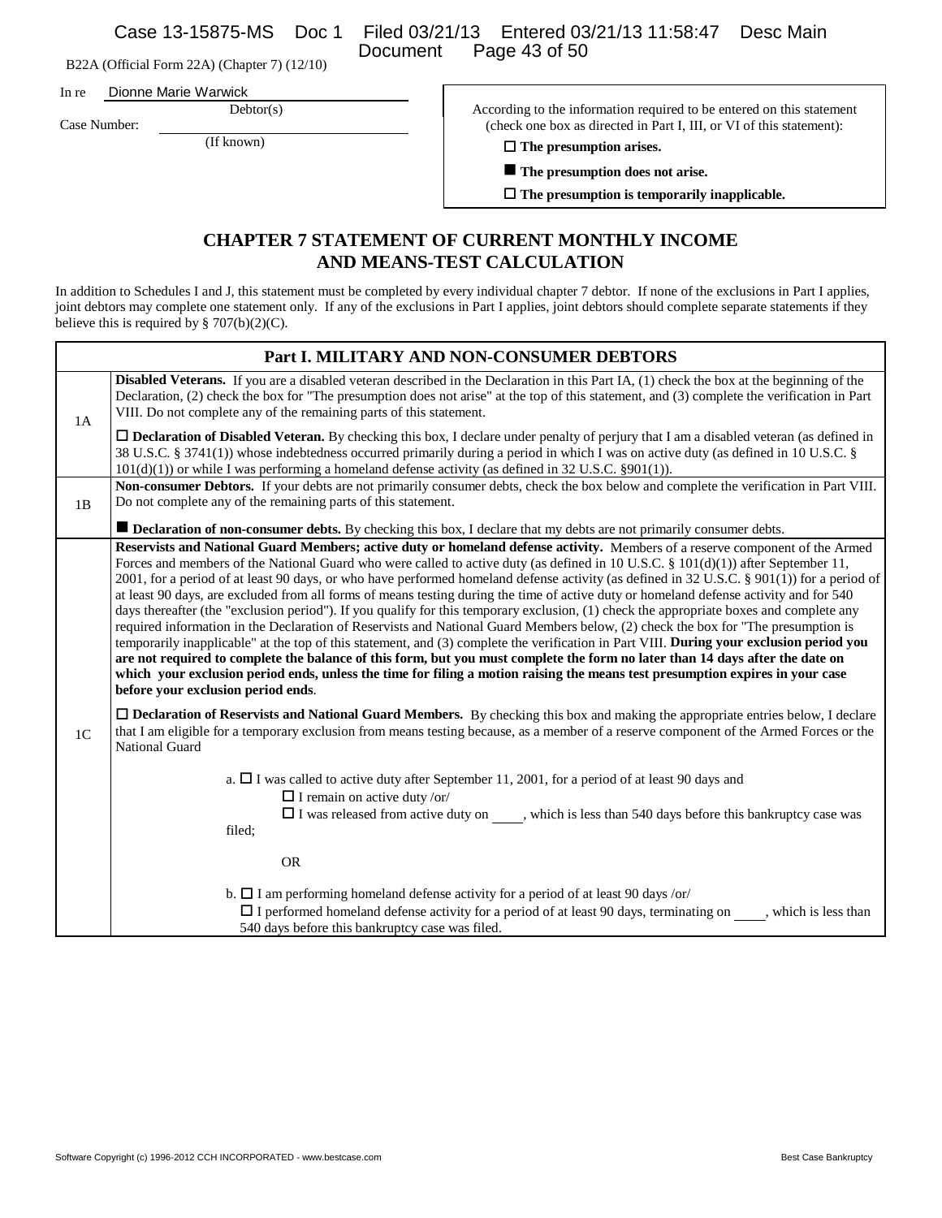Case 13-15875-MS Doc 1 Filed 03/21/13 Entered 03/21/13 11:58:47 Desc Main Page 43 of 50

B22A (Official Form 22A) (Chapter 7) (12/10)

| In re | Dionne Marie Warwick |
|-------|----------------------|
|       | Dektor(s)            |

Case Number:

(If known)

According to the information required to be entered on this statement (check one box as directed in Part I, III, or VI of this statement):

- **The presumption arises.**
- The presumption does not arise.
- **The presumption is temporarily inapplicable.**

### **CHAPTER 7 STATEMENT OF CURRENT MONTHLY INCOME AND MEANS-TEST CALCULATION**

In addition to Schedules I and J, this statement must be completed by every individual chapter 7 debtor. If none of the exclusions in Part I applies, joint debtors may complete one statement only. If any of the exclusions in Part I applies, joint debtors should complete separate statements if they believe this is required by  $\S 707(b)(2)(C)$ .

|                                                                                                                    | Part I. MILITARY AND NON-CONSUMER DEBTORS                                                                                                                                                                                                                                                                                                                                                                                                                                                                                                                                                                                                                                                                                                                                                                                                                                                                                                                                                                                                                                                                                                                                                                                                                                                     |  |  |  |  |  |  |
|--------------------------------------------------------------------------------------------------------------------|-----------------------------------------------------------------------------------------------------------------------------------------------------------------------------------------------------------------------------------------------------------------------------------------------------------------------------------------------------------------------------------------------------------------------------------------------------------------------------------------------------------------------------------------------------------------------------------------------------------------------------------------------------------------------------------------------------------------------------------------------------------------------------------------------------------------------------------------------------------------------------------------------------------------------------------------------------------------------------------------------------------------------------------------------------------------------------------------------------------------------------------------------------------------------------------------------------------------------------------------------------------------------------------------------|--|--|--|--|--|--|
| 1A                                                                                                                 | <b>Disabled Veterans.</b> If you are a disabled veteran described in the Declaration in this Part IA, (1) check the box at the beginning of the<br>Declaration, (2) check the box for "The presumption does not arise" at the top of this statement, and (3) complete the verification in Part<br>VIII. Do not complete any of the remaining parts of this statement.                                                                                                                                                                                                                                                                                                                                                                                                                                                                                                                                                                                                                                                                                                                                                                                                                                                                                                                         |  |  |  |  |  |  |
|                                                                                                                    | $\Box$ <b>Declaration of Disabled Veteran.</b> By checking this box, I declare under penalty of perjury that I am a disabled veteran (as defined in<br>38 U.S.C. § 3741(1)) whose indebtedness occurred primarily during a period in which I was on active duty (as defined in 10 U.S.C. §<br>$101(d)(1)$ ) or while I was performing a homeland defense activity (as defined in 32 U.S.C. §901(1)).                                                                                                                                                                                                                                                                                                                                                                                                                                                                                                                                                                                                                                                                                                                                                                                                                                                                                          |  |  |  |  |  |  |
| 1B                                                                                                                 | Non-consumer Debtors. If your debts are not primarily consumer debts, check the box below and complete the verification in Part VIII.<br>Do not complete any of the remaining parts of this statement.                                                                                                                                                                                                                                                                                                                                                                                                                                                                                                                                                                                                                                                                                                                                                                                                                                                                                                                                                                                                                                                                                        |  |  |  |  |  |  |
| Declaration of non-consumer debts. By checking this box, I declare that my debts are not primarily consumer debts. |                                                                                                                                                                                                                                                                                                                                                                                                                                                                                                                                                                                                                                                                                                                                                                                                                                                                                                                                                                                                                                                                                                                                                                                                                                                                                               |  |  |  |  |  |  |
|                                                                                                                    | Reservists and National Guard Members; active duty or homeland defense activity. Members of a reserve component of the Armed<br>Forces and members of the National Guard who were called to active duty (as defined in 10 U.S.C. § 101(d)(1)) after September 11,<br>2001, for a period of at least 90 days, or who have performed homeland defense activity (as defined in 32 U.S.C. § 901(1)) for a period of<br>at least 90 days, are excluded from all forms of means testing during the time of active duty or homeland defense activity and for 540<br>days thereafter (the "exclusion period"). If you qualify for this temporary exclusion, (1) check the appropriate boxes and complete any<br>required information in the Declaration of Reservists and National Guard Members below, (2) check the box for "The presumption is<br>temporarily inapplicable" at the top of this statement, and (3) complete the verification in Part VIII. During your exclusion period you<br>are not required to complete the balance of this form, but you must complete the form no later than 14 days after the date on<br>which your exclusion period ends, unless the time for filing a motion raising the means test presumption expires in your case<br>before your exclusion period ends. |  |  |  |  |  |  |
| 1 <sup>C</sup>                                                                                                     | $\Box$ <b>Declaration of Reservists and National Guard Members.</b> By checking this box and making the appropriate entries below, I declare<br>that I am eligible for a temporary exclusion from means testing because, as a member of a reserve component of the Armed Forces or the<br><b>National Guard</b>                                                                                                                                                                                                                                                                                                                                                                                                                                                                                                                                                                                                                                                                                                                                                                                                                                                                                                                                                                               |  |  |  |  |  |  |
|                                                                                                                    | a. $\Box$ I was called to active duty after September 11, 2001, for a period of at least 90 days and<br>$\Box$ I remain on active duty /or/<br>$\Box$ I was released from active duty on , which is less than 540 days before this bankruptcy case was<br>filed:                                                                                                                                                                                                                                                                                                                                                                                                                                                                                                                                                                                                                                                                                                                                                                                                                                                                                                                                                                                                                              |  |  |  |  |  |  |
|                                                                                                                    | <b>OR</b>                                                                                                                                                                                                                                                                                                                                                                                                                                                                                                                                                                                                                                                                                                                                                                                                                                                                                                                                                                                                                                                                                                                                                                                                                                                                                     |  |  |  |  |  |  |
|                                                                                                                    | b. $\Box$ I am performing homeland defense activity for a period of at least 90 days /or/<br>$\Box$ I performed homeland defense activity for a period of at least 90 days, terminating on , which is less than<br>540 days before this bankruptcy case was filed.                                                                                                                                                                                                                                                                                                                                                                                                                                                                                                                                                                                                                                                                                                                                                                                                                                                                                                                                                                                                                            |  |  |  |  |  |  |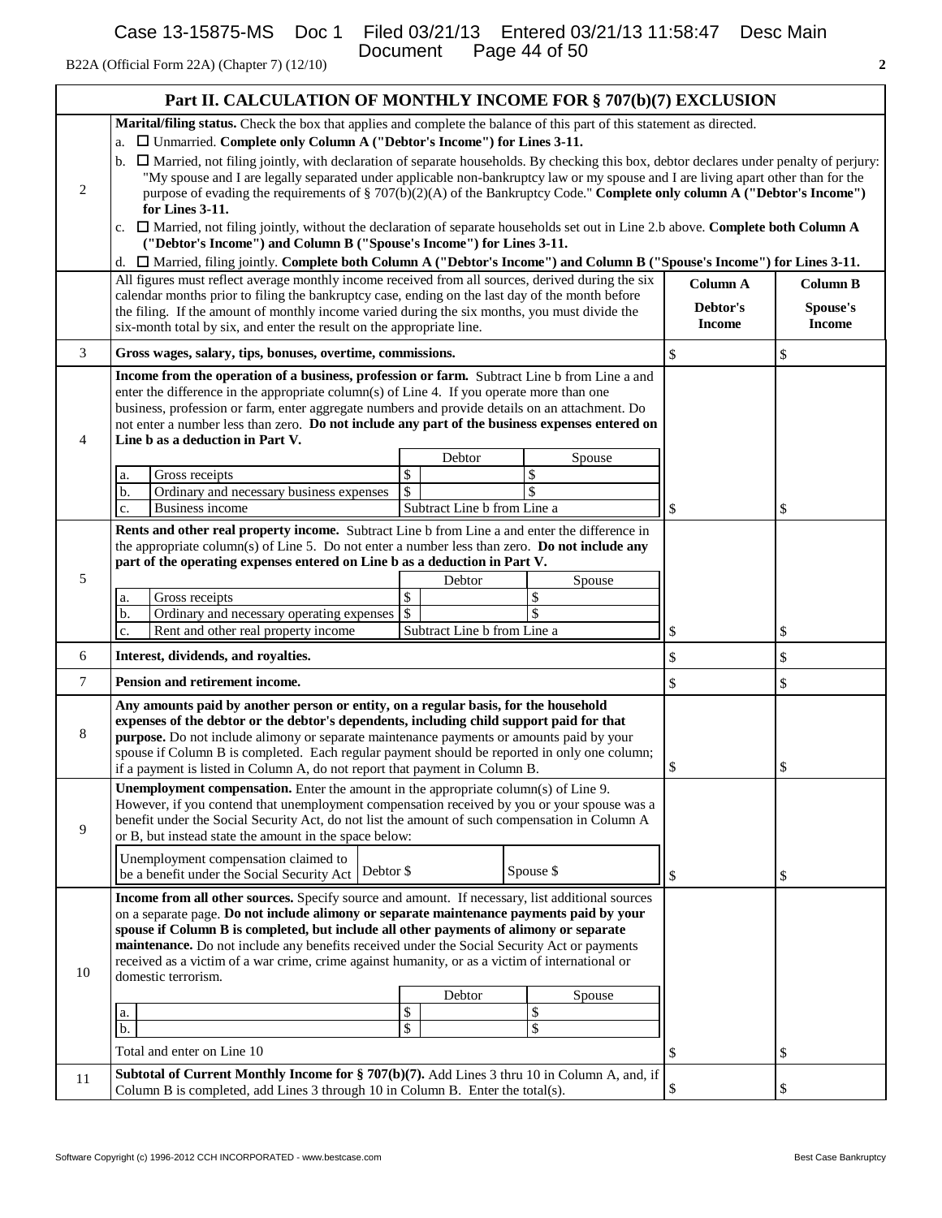|                | Part II. CALCULATION OF MONTHLY INCOME FOR § 707(b)(7) EXCLUSION                                                                                                                                                                                                                                      |                 |                             |  |              |          |                 |               |
|----------------|-------------------------------------------------------------------------------------------------------------------------------------------------------------------------------------------------------------------------------------------------------------------------------------------------------|-----------------|-----------------------------|--|--------------|----------|-----------------|---------------|
|                | Marital/filing status. Check the box that applies and complete the balance of this part of this statement as directed.                                                                                                                                                                                |                 |                             |  |              |          |                 |               |
|                | a. $\Box$ Unmarried. Complete only Column A ("Debtor's Income") for Lines 3-11.<br>b. $\Box$ Married, not filing jointly, with declaration of separate households. By checking this box, debtor declares under penalty of perjury:                                                                    |                 |                             |  |              |          |                 |               |
|                |                                                                                                                                                                                                                                                                                                       |                 |                             |  |              |          |                 |               |
| 2              | "My spouse and I are legally separated under applicable non-bankruptcy law or my spouse and I are living apart other than for the                                                                                                                                                                     |                 |                             |  |              |          |                 |               |
|                | purpose of evading the requirements of § 707(b)(2)(A) of the Bankruptcy Code." Complete only column A ("Debtor's Income")<br>for Lines 3-11.                                                                                                                                                          |                 |                             |  |              |          |                 |               |
|                | c. $\Box$ Married, not filing jointly, without the declaration of separate households set out in Line 2.b above. Complete both Column A                                                                                                                                                               |                 |                             |  |              |          |                 |               |
|                | ("Debtor's Income") and Column B ("Spouse's Income") for Lines 3-11.                                                                                                                                                                                                                                  |                 |                             |  |              |          |                 |               |
|                | d. I Married, filing jointly. Complete both Column A ("Debtor's Income") and Column B ("Spouse's Income") for Lines 3-11.                                                                                                                                                                             |                 |                             |  |              |          |                 |               |
|                | All figures must reflect average monthly income received from all sources, derived during the six<br>calendar months prior to filing the bankruptcy case, ending on the last day of the month before<br>the filing. If the amount of monthly income varied during the six months, you must divide the |                 |                             |  |              | Column A | <b>Column B</b> |               |
|                |                                                                                                                                                                                                                                                                                                       |                 |                             |  |              | Debtor's | <b>Spouse's</b> |               |
|                | six-month total by six, and enter the result on the appropriate line.                                                                                                                                                                                                                                 |                 |                             |  |              |          | <b>Income</b>   | <b>Income</b> |
| $\mathfrak{Z}$ | Gross wages, salary, tips, bonuses, overtime, commissions.                                                                                                                                                                                                                                            |                 |                             |  |              | \$       |                 | \$            |
|                | Income from the operation of a business, profession or farm. Subtract Line b from Line a and                                                                                                                                                                                                          |                 |                             |  |              |          |                 |               |
|                | enter the difference in the appropriate column(s) of Line 4. If you operate more than one<br>business, profession or farm, enter aggregate numbers and provide details on an attachment. Do                                                                                                           |                 |                             |  |              |          |                 |               |
|                | not enter a number less than zero. Do not include any part of the business expenses entered on                                                                                                                                                                                                        |                 |                             |  |              |          |                 |               |
| 4              | Line b as a deduction in Part V.                                                                                                                                                                                                                                                                      |                 |                             |  |              |          |                 |               |
|                |                                                                                                                                                                                                                                                                                                       |                 | Debtor                      |  | Spouse       |          |                 |               |
|                | Gross receipts<br>a.<br>Ordinary and necessary business expenses<br>b.                                                                                                                                                                                                                                | \$<br>\$        |                             |  | \$           |          |                 |               |
|                | Business income<br>c.                                                                                                                                                                                                                                                                                 |                 | Subtract Line b from Line a |  |              | \$       |                 | \$            |
|                | Rents and other real property income. Subtract Line b from Line a and enter the difference in                                                                                                                                                                                                         |                 |                             |  |              |          |                 |               |
|                | the appropriate column(s) of Line 5. Do not enter a number less than zero. Do not include any                                                                                                                                                                                                         |                 |                             |  |              |          |                 |               |
| 5              | part of the operating expenses entered on Line b as a deduction in Part V.                                                                                                                                                                                                                            |                 |                             |  |              |          |                 |               |
|                | Gross receipts<br>a.                                                                                                                                                                                                                                                                                  | \$              | Debtor                      |  | Spouse<br>\$ |          |                 |               |
|                | Ordinary and necessary operating expenses<br>b.                                                                                                                                                                                                                                                       | \$              |                             |  | \$           |          |                 |               |
|                | Rent and other real property income<br>c.                                                                                                                                                                                                                                                             |                 | Subtract Line b from Line a |  |              | \$       |                 | \$            |
| 6              | Interest, dividends, and royalties.                                                                                                                                                                                                                                                                   |                 |                             |  |              | \$       |                 | \$            |
| 7              | Pension and retirement income.                                                                                                                                                                                                                                                                        |                 |                             |  |              | \$       |                 | \$            |
|                | Any amounts paid by another person or entity, on a regular basis, for the household                                                                                                                                                                                                                   |                 |                             |  |              |          |                 |               |
| 8              | expenses of the debtor or the debtor's dependents, including child support paid for that<br>purpose. Do not include alimony or separate maintenance payments or amounts paid by your                                                                                                                  |                 |                             |  |              |          |                 |               |
|                | spouse if Column B is completed. Each regular payment should be reported in only one column;                                                                                                                                                                                                          |                 |                             |  |              |          |                 |               |
|                | if a payment is listed in Column A, do not report that payment in Column B.                                                                                                                                                                                                                           |                 |                             |  |              | \$       |                 | \$            |
|                | <b>Unemployment compensation.</b> Enter the amount in the appropriate column(s) of Line 9.                                                                                                                                                                                                            |                 |                             |  |              |          |                 |               |
|                | However, if you contend that unemployment compensation received by you or your spouse was a<br>benefit under the Social Security Act, do not list the amount of such compensation in Column A                                                                                                         |                 |                             |  |              |          |                 |               |
| 9              | or B, but instead state the amount in the space below:                                                                                                                                                                                                                                                |                 |                             |  |              |          |                 |               |
|                | Unemployment compensation claimed to                                                                                                                                                                                                                                                                  |                 |                             |  |              |          |                 |               |
|                | Debtor \$<br>be a benefit under the Social Security Act                                                                                                                                                                                                                                               |                 |                             |  | Spouse \$    | \$       |                 | \$            |
|                | Income from all other sources. Specify source and amount. If necessary, list additional sources                                                                                                                                                                                                       |                 |                             |  |              |          |                 |               |
|                | on a separate page. Do not include alimony or separate maintenance payments paid by your<br>spouse if Column B is completed, but include all other payments of alimony or separate                                                                                                                    |                 |                             |  |              |          |                 |               |
|                | maintenance. Do not include any benefits received under the Social Security Act or payments                                                                                                                                                                                                           |                 |                             |  |              |          |                 |               |
|                | received as a victim of a war crime, crime against humanity, or as a victim of international or<br>10<br>domestic terrorism.                                                                                                                                                                          |                 |                             |  |              |          |                 |               |
|                |                                                                                                                                                                                                                                                                                                       |                 |                             |  |              |          |                 |               |
|                | Debtor<br>Spouse<br>\$<br>\$<br>a.                                                                                                                                                                                                                                                                    |                 |                             |  |              |          |                 |               |
|                | b.                                                                                                                                                                                                                                                                                                    | $\overline{\$}$ |                             |  | \$           |          |                 |               |
|                | Total and enter on Line 10                                                                                                                                                                                                                                                                            |                 |                             |  |              | \$       |                 | \$            |
| 11             | Subtotal of Current Monthly Income for § 707(b)(7). Add Lines 3 thru 10 in Column A, and, if                                                                                                                                                                                                          |                 |                             |  |              |          |                 |               |
|                | Column B is completed, add Lines 3 through 10 in Column B. Enter the total(s).                                                                                                                                                                                                                        |                 |                             |  |              | \$       |                 | \$            |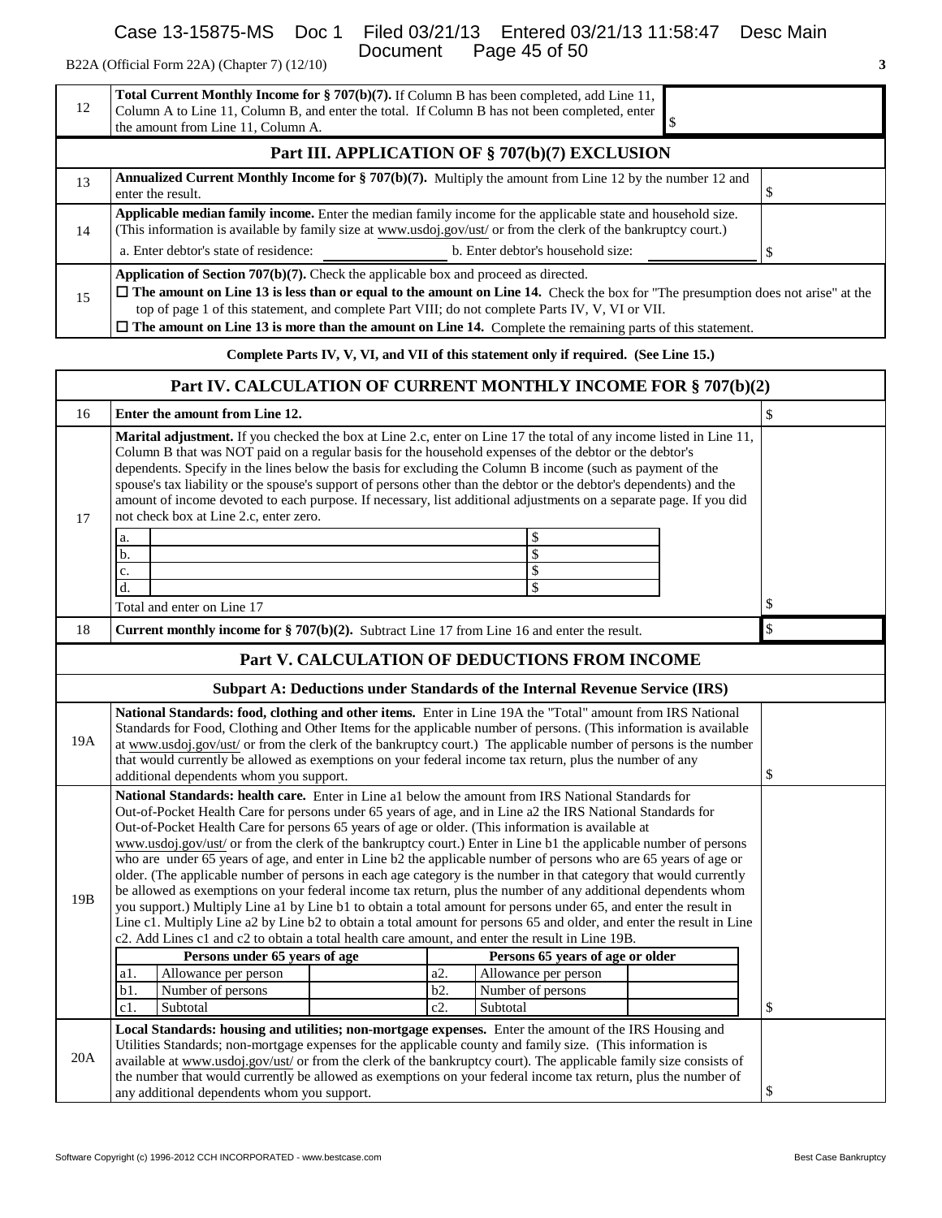Case 13-15875-MS Doc 1 Filed 03/21/13 Entered 03/21/13 11:58:47 Desc Main Document Page 45 of 50

| B22A (Official Form 22A) (Chapter 7) (12/10) |  |  |
|----------------------------------------------|--|--|
|                                              |  |  |

| 12 | <b>Total Current Monthly Income for § 707(b)(7).</b> If Column B has been completed, add Line 11,<br>Column A to Line 11, Column B, and enter the total. If Column B has not been completed, enter<br>the amount from Line 11, Column A.                                                                                                                                                                                                              |  |
|----|-------------------------------------------------------------------------------------------------------------------------------------------------------------------------------------------------------------------------------------------------------------------------------------------------------------------------------------------------------------------------------------------------------------------------------------------------------|--|
|    | Part III. APPLICATION OF § 707(b)(7) EXCLUSION                                                                                                                                                                                                                                                                                                                                                                                                        |  |
| 13 | <b>Annualized Current Monthly Income for § 707(b)(7).</b> Multiply the amount from Line 12 by the number 12 and<br>enter the result.                                                                                                                                                                                                                                                                                                                  |  |
| 14 | <b>Applicable median family income.</b> Enter the median family income for the applicable state and household size.<br>(This information is available by family size at www.usdoj.gov/ust/ or from the clerk of the bankruptcy court.)                                                                                                                                                                                                                |  |
|    | a. Enter debtor's state of residence:<br>b. Enter debtor's household size:                                                                                                                                                                                                                                                                                                                                                                            |  |
| 15 | Application of Section 707(b)(7). Check the applicable box and proceed as directed.<br>$\Box$ The amount on Line 13 is less than or equal to the amount on Line 14. Check the box for "The presumption does not arise" at the<br>top of page 1 of this statement, and complete Part VIII; do not complete Parts IV, V, VI or VII.<br>$\Box$ The amount on Line 13 is more than the amount on Line 14. Complete the remaining parts of this statement. |  |

**Complete Parts IV, V, VI, and VII of this statement only if required. (See Line 15.)**

| Part IV. CALCULATION OF CURRENT MONTHLY INCOME FOR § 707(b)(2) |                                                                                                                                                                                                                                                                                                                                                                                                                                                                                                                                                                                                                                                                                                                                                                                                                                                                                                                                                                                                                                                                                                                                                                                                                                                                                                                                                                                             |  |  |                                                                                    |  |    |
|----------------------------------------------------------------|---------------------------------------------------------------------------------------------------------------------------------------------------------------------------------------------------------------------------------------------------------------------------------------------------------------------------------------------------------------------------------------------------------------------------------------------------------------------------------------------------------------------------------------------------------------------------------------------------------------------------------------------------------------------------------------------------------------------------------------------------------------------------------------------------------------------------------------------------------------------------------------------------------------------------------------------------------------------------------------------------------------------------------------------------------------------------------------------------------------------------------------------------------------------------------------------------------------------------------------------------------------------------------------------------------------------------------------------------------------------------------------------|--|--|------------------------------------------------------------------------------------|--|----|
| 16                                                             | Enter the amount from Line 12.                                                                                                                                                                                                                                                                                                                                                                                                                                                                                                                                                                                                                                                                                                                                                                                                                                                                                                                                                                                                                                                                                                                                                                                                                                                                                                                                                              |  |  | $\mathsf{\$}$                                                                      |  |    |
| 17                                                             | Marital adjustment. If you checked the box at Line 2.c, enter on Line 17 the total of any income listed in Line 11,<br>Column B that was NOT paid on a regular basis for the household expenses of the debtor or the debtor's<br>dependents. Specify in the lines below the basis for excluding the Column B income (such as payment of the<br>spouse's tax liability or the spouse's support of persons other than the debtor or the debtor's dependents) and the<br>amount of income devoted to each purpose. If necessary, list additional adjustments on a separate page. If you did<br>not check box at Line 2.c, enter zero.<br>\$<br>a.<br>\$<br>b.                                                                                                                                                                                                                                                                                                                                                                                                                                                                                                                                                                                                                                                                                                                                  |  |  |                                                                                    |  |    |
|                                                                | c.                                                                                                                                                                                                                                                                                                                                                                                                                                                                                                                                                                                                                                                                                                                                                                                                                                                                                                                                                                                                                                                                                                                                                                                                                                                                                                                                                                                          |  |  | \$                                                                                 |  |    |
|                                                                | $\mathbf{d}$ .<br>Total and enter on Line 17                                                                                                                                                                                                                                                                                                                                                                                                                                                                                                                                                                                                                                                                                                                                                                                                                                                                                                                                                                                                                                                                                                                                                                                                                                                                                                                                                |  |  | \$                                                                                 |  | \$ |
| 18                                                             | Current monthly income for § 707(b)(2). Subtract Line 17 from Line 16 and enter the result.                                                                                                                                                                                                                                                                                                                                                                                                                                                                                                                                                                                                                                                                                                                                                                                                                                                                                                                                                                                                                                                                                                                                                                                                                                                                                                 |  |  |                                                                                    |  | \$ |
|                                                                |                                                                                                                                                                                                                                                                                                                                                                                                                                                                                                                                                                                                                                                                                                                                                                                                                                                                                                                                                                                                                                                                                                                                                                                                                                                                                                                                                                                             |  |  | Part V. CALCULATION OF DEDUCTIONS FROM INCOME                                      |  |    |
|                                                                |                                                                                                                                                                                                                                                                                                                                                                                                                                                                                                                                                                                                                                                                                                                                                                                                                                                                                                                                                                                                                                                                                                                                                                                                                                                                                                                                                                                             |  |  | <b>Subpart A: Deductions under Standards of the Internal Revenue Service (IRS)</b> |  |    |
| 19A                                                            | National Standards: food, clothing and other items. Enter in Line 19A the "Total" amount from IRS National<br>Standards for Food, Clothing and Other Items for the applicable number of persons. (This information is available<br>at www.usdoj.gov/ust/ or from the clerk of the bankruptcy court.) The applicable number of persons is the number<br>that would currently be allowed as exemptions on your federal income tax return, plus the number of any<br>additional dependents whom you support.                                                                                                                                                                                                                                                                                                                                                                                                                                                                                                                                                                                                                                                                                                                                                                                                                                                                                   |  |  | $\boldsymbol{\mathsf{S}}$                                                          |  |    |
| 19B                                                            | National Standards: health care. Enter in Line a1 below the amount from IRS National Standards for<br>Out-of-Pocket Health Care for persons under 65 years of age, and in Line a2 the IRS National Standards for<br>Out-of-Pocket Health Care for persons 65 years of age or older. (This information is available at<br>www.usdoj.gov/ust/ or from the clerk of the bankruptcy court.) Enter in Line b1 the applicable number of persons<br>who are under 65 years of age, and enter in Line b2 the applicable number of persons who are 65 years of age or<br>older. (The applicable number of persons in each age category is the number in that category that would currently<br>be allowed as exemptions on your federal income tax return, plus the number of any additional dependents whom<br>you support.) Multiply Line al by Line b1 to obtain a total amount for persons under 65, and enter the result in<br>Line c1. Multiply Line a2 by Line b2 to obtain a total amount for persons 65 and older, and enter the result in Line<br>c2. Add Lines c1 and c2 to obtain a total health care amount, and enter the result in Line 19B.<br>Persons under 65 years of age<br>Persons 65 years of age or older<br>Allowance per person<br>Allowance per person<br>a2.<br>a1.<br>Number of persons<br>Number of persons<br>b2.<br>b1.<br>c1.<br>$c2$ .<br>Subtotal<br>Subtotal<br>\$ |  |  |                                                                                    |  |    |
| 20A                                                            | Local Standards: housing and utilities; non-mortgage expenses. Enter the amount of the IRS Housing and<br>Utilities Standards; non-mortgage expenses for the applicable county and family size. (This information is<br>available at www.usdoj.gov/ust/ or from the clerk of the bankruptcy court). The applicable family size consists of<br>the number that would currently be allowed as exemptions on your federal income tax return, plus the number of<br>any additional dependents whom you support.                                                                                                                                                                                                                                                                                                                                                                                                                                                                                                                                                                                                                                                                                                                                                                                                                                                                                 |  |  | \$                                                                                 |  |    |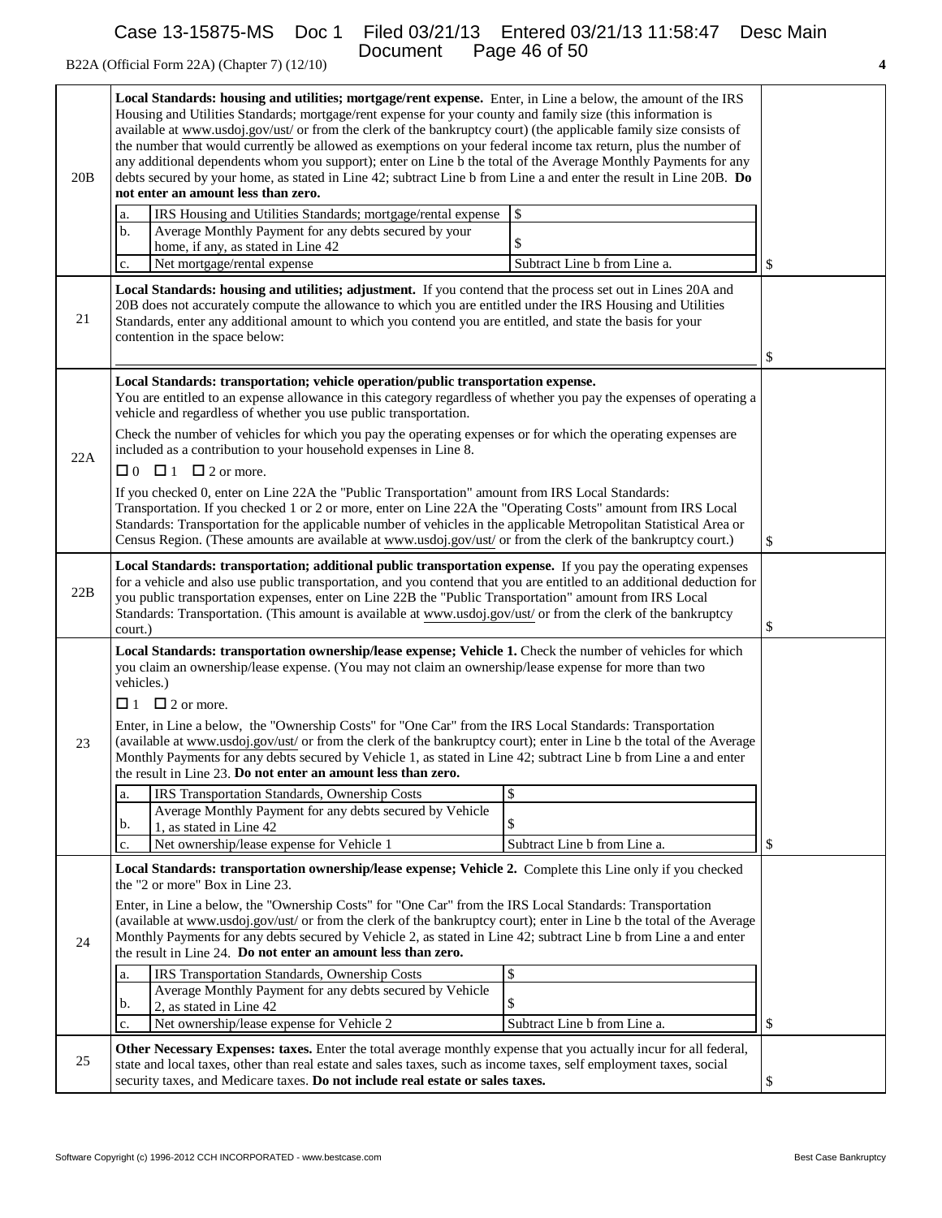Case 13-15875-MS Doc 1 Filed 03/21/13 Entered 03/21/13 11:58:47 Desc Main Document Page 46 of 50

B22A (Official Form 22A) (Chapter 7) (12/10) **4**

| 20B                                                                                                               | not enter an amount less than zero.                                                                                                                                                                                                                                                                                                                                                                                                                                            | Local Standards: housing and utilities; mortgage/rent expense. Enter, in Line a below, the amount of the IRS<br>Housing and Utilities Standards; mortgage/rent expense for your county and family size (this information is<br>available at www.usdoj.gov/ust/ or from the clerk of the bankruptcy court) (the applicable family size consists of<br>the number that would currently be allowed as exemptions on your federal income tax return, plus the number of<br>any additional dependents whom you support); enter on Line b the total of the Average Monthly Payments for any<br>debts secured by your home, as stated in Line 42; subtract Line b from Line a and enter the result in Line 20B. Do |    |  |
|-------------------------------------------------------------------------------------------------------------------|--------------------------------------------------------------------------------------------------------------------------------------------------------------------------------------------------------------------------------------------------------------------------------------------------------------------------------------------------------------------------------------------------------------------------------------------------------------------------------|-------------------------------------------------------------------------------------------------------------------------------------------------------------------------------------------------------------------------------------------------------------------------------------------------------------------------------------------------------------------------------------------------------------------------------------------------------------------------------------------------------------------------------------------------------------------------------------------------------------------------------------------------------------------------------------------------------------|----|--|
|                                                                                                                   | IRS Housing and Utilities Standards; mortgage/rental expense<br>a.                                                                                                                                                                                                                                                                                                                                                                                                             | \$                                                                                                                                                                                                                                                                                                                                                                                                                                                                                                                                                                                                                                                                                                          |    |  |
|                                                                                                                   | Average Monthly Payment for any debts secured by your<br>b.                                                                                                                                                                                                                                                                                                                                                                                                                    | \$                                                                                                                                                                                                                                                                                                                                                                                                                                                                                                                                                                                                                                                                                                          |    |  |
|                                                                                                                   | home, if any, as stated in Line 42<br>Net mortgage/rental expense<br>c.                                                                                                                                                                                                                                                                                                                                                                                                        | Subtract Line b from Line a.                                                                                                                                                                                                                                                                                                                                                                                                                                                                                                                                                                                                                                                                                | \$ |  |
|                                                                                                                   |                                                                                                                                                                                                                                                                                                                                                                                                                                                                                |                                                                                                                                                                                                                                                                                                                                                                                                                                                                                                                                                                                                                                                                                                             |    |  |
| 21                                                                                                                | Local Standards: housing and utilities; adjustment. If you contend that the process set out in Lines 20A and<br>20B does not accurately compute the allowance to which you are entitled under the IRS Housing and Utilities<br>Standards, enter any additional amount to which you contend you are entitled, and state the basis for your<br>contention in the space below:                                                                                                    | \$                                                                                                                                                                                                                                                                                                                                                                                                                                                                                                                                                                                                                                                                                                          |    |  |
|                                                                                                                   |                                                                                                                                                                                                                                                                                                                                                                                                                                                                                |                                                                                                                                                                                                                                                                                                                                                                                                                                                                                                                                                                                                                                                                                                             |    |  |
|                                                                                                                   | Local Standards: transportation; vehicle operation/public transportation expense.<br>You are entitled to an expense allowance in this category regardless of whether you pay the expenses of operating a<br>vehicle and regardless of whether you use public transportation.<br>Check the number of vehicles for which you pay the operating expenses or for which the operating expenses are                                                                                  |                                                                                                                                                                                                                                                                                                                                                                                                                                                                                                                                                                                                                                                                                                             |    |  |
| 22A                                                                                                               | included as a contribution to your household expenses in Line 8.<br>$\Box$ 0 $\Box$ 1 $\Box$ 2 or more.                                                                                                                                                                                                                                                                                                                                                                        |                                                                                                                                                                                                                                                                                                                                                                                                                                                                                                                                                                                                                                                                                                             |    |  |
|                                                                                                                   | If you checked 0, enter on Line 22A the "Public Transportation" amount from IRS Local Standards:                                                                                                                                                                                                                                                                                                                                                                               |                                                                                                                                                                                                                                                                                                                                                                                                                                                                                                                                                                                                                                                                                                             |    |  |
|                                                                                                                   | Transportation. If you checked 1 or 2 or more, enter on Line 22A the "Operating Costs" amount from IRS Local                                                                                                                                                                                                                                                                                                                                                                   |                                                                                                                                                                                                                                                                                                                                                                                                                                                                                                                                                                                                                                                                                                             |    |  |
|                                                                                                                   | Standards: Transportation for the applicable number of vehicles in the applicable Metropolitan Statistical Area or                                                                                                                                                                                                                                                                                                                                                             |                                                                                                                                                                                                                                                                                                                                                                                                                                                                                                                                                                                                                                                                                                             |    |  |
|                                                                                                                   | Census Region. (These amounts are available at www.usdoj.gov/ust/ or from the clerk of the bankruptcy court.)                                                                                                                                                                                                                                                                                                                                                                  |                                                                                                                                                                                                                                                                                                                                                                                                                                                                                                                                                                                                                                                                                                             | \$ |  |
| 22B                                                                                                               | Local Standards: transportation; additional public transportation expense. If you pay the operating expenses<br>for a vehicle and also use public transportation, and you contend that you are entitled to an additional deduction for<br>you public transportation expenses, enter on Line 22B the "Public Transportation" amount from IRS Local<br>Standards: Transportation. (This amount is available at www.usdoj.gov/ust/ or from the clerk of the bankruptcy<br>court.) |                                                                                                                                                                                                                                                                                                                                                                                                                                                                                                                                                                                                                                                                                                             |    |  |
|                                                                                                                   | Local Standards: transportation ownership/lease expense; Vehicle 1. Check the number of vehicles for which<br>you claim an ownership/lease expense. (You may not claim an ownership/lease expense for more than two<br>vehicles.)<br>$\Box$ 1 $\Box$ 2 or more.                                                                                                                                                                                                                |                                                                                                                                                                                                                                                                                                                                                                                                                                                                                                                                                                                                                                                                                                             |    |  |
| 23                                                                                                                | Enter, in Line a below, the "Ownership Costs" for "One Car" from the IRS Local Standards: Transportation<br>(available at www.usdoj.gov/ust/ or from the clerk of the bankruptcy court); enter in Line b the total of the Average<br>Monthly Payments for any debts secured by Vehicle 1, as stated in Line 42; subtract Line b from Line a and enter<br>the result in Line 23. Do not enter an amount less than zero.                                                         |                                                                                                                                                                                                                                                                                                                                                                                                                                                                                                                                                                                                                                                                                                             |    |  |
|                                                                                                                   | IRS Transportation Standards, Ownership Costs<br>a.                                                                                                                                                                                                                                                                                                                                                                                                                            | \$                                                                                                                                                                                                                                                                                                                                                                                                                                                                                                                                                                                                                                                                                                          |    |  |
|                                                                                                                   | Average Monthly Payment for any debts secured by Vehicle<br>b.<br>1, as stated in Line 42                                                                                                                                                                                                                                                                                                                                                                                      |                                                                                                                                                                                                                                                                                                                                                                                                                                                                                                                                                                                                                                                                                                             |    |  |
|                                                                                                                   | Net ownership/lease expense for Vehicle 1<br>c.                                                                                                                                                                                                                                                                                                                                                                                                                                | Subtract Line b from Line a.                                                                                                                                                                                                                                                                                                                                                                                                                                                                                                                                                                                                                                                                                | \$ |  |
|                                                                                                                   | Local Standards: transportation ownership/lease expense; Vehicle 2. Complete this Line only if you checked                                                                                                                                                                                                                                                                                                                                                                     |                                                                                                                                                                                                                                                                                                                                                                                                                                                                                                                                                                                                                                                                                                             |    |  |
|                                                                                                                   | the "2 or more" Box in Line 23.                                                                                                                                                                                                                                                                                                                                                                                                                                                |                                                                                                                                                                                                                                                                                                                                                                                                                                                                                                                                                                                                                                                                                                             |    |  |
|                                                                                                                   | Enter, in Line a below, the "Ownership Costs" for "One Car" from the IRS Local Standards: Transportation                                                                                                                                                                                                                                                                                                                                                                       |                                                                                                                                                                                                                                                                                                                                                                                                                                                                                                                                                                                                                                                                                                             |    |  |
|                                                                                                                   | (available at www.usdoj.gov/ust/ or from the clerk of the bankruptcy court); enter in Line b the total of the Average                                                                                                                                                                                                                                                                                                                                                          |                                                                                                                                                                                                                                                                                                                                                                                                                                                                                                                                                                                                                                                                                                             |    |  |
| 24                                                                                                                | Monthly Payments for any debts secured by Vehicle 2, as stated in Line 42; subtract Line b from Line a and enter                                                                                                                                                                                                                                                                                                                                                               |                                                                                                                                                                                                                                                                                                                                                                                                                                                                                                                                                                                                                                                                                                             |    |  |
|                                                                                                                   | the result in Line 24. Do not enter an amount less than zero.                                                                                                                                                                                                                                                                                                                                                                                                                  |                                                                                                                                                                                                                                                                                                                                                                                                                                                                                                                                                                                                                                                                                                             |    |  |
|                                                                                                                   | IRS Transportation Standards, Ownership Costs<br>a.<br>Average Monthly Payment for any debts secured by Vehicle                                                                                                                                                                                                                                                                                                                                                                | \$                                                                                                                                                                                                                                                                                                                                                                                                                                                                                                                                                                                                                                                                                                          |    |  |
|                                                                                                                   | b.<br>2, as stated in Line 42                                                                                                                                                                                                                                                                                                                                                                                                                                                  | \$                                                                                                                                                                                                                                                                                                                                                                                                                                                                                                                                                                                                                                                                                                          |    |  |
|                                                                                                                   | Net ownership/lease expense for Vehicle 2<br>c.                                                                                                                                                                                                                                                                                                                                                                                                                                | Subtract Line b from Line a.                                                                                                                                                                                                                                                                                                                                                                                                                                                                                                                                                                                                                                                                                | \$ |  |
| Other Necessary Expenses: taxes. Enter the total average monthly expense that you actually incur for all federal, |                                                                                                                                                                                                                                                                                                                                                                                                                                                                                |                                                                                                                                                                                                                                                                                                                                                                                                                                                                                                                                                                                                                                                                                                             |    |  |
| 25                                                                                                                | state and local taxes, other than real estate and sales taxes, such as income taxes, self employment taxes, social                                                                                                                                                                                                                                                                                                                                                             |                                                                                                                                                                                                                                                                                                                                                                                                                                                                                                                                                                                                                                                                                                             |    |  |
|                                                                                                                   | security taxes, and Medicare taxes. Do not include real estate or sales taxes.                                                                                                                                                                                                                                                                                                                                                                                                 | \$                                                                                                                                                                                                                                                                                                                                                                                                                                                                                                                                                                                                                                                                                                          |    |  |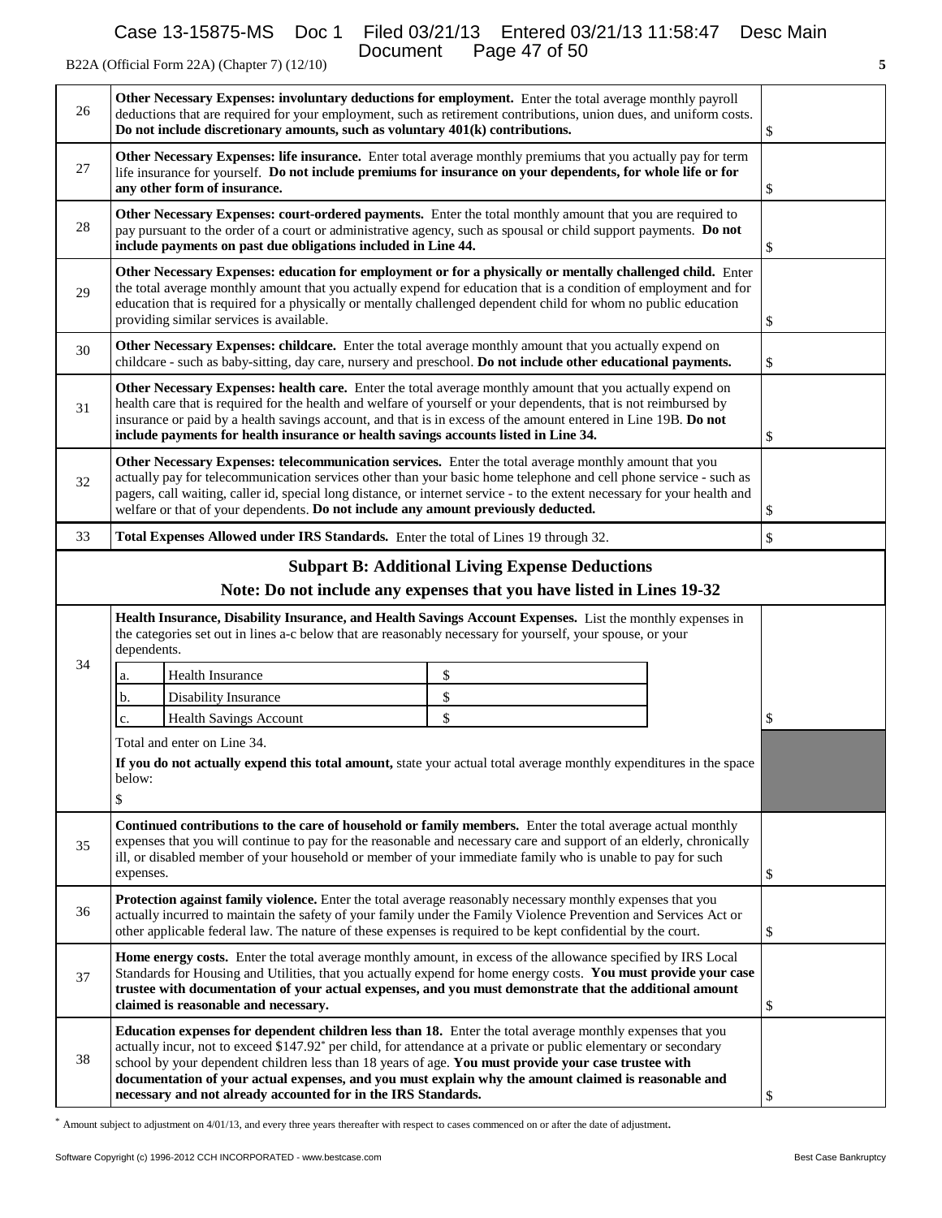Case 13-15875-MS Doc 1 Filed 03/21/13 Entered 03/21/13 11:58:47 Desc Main

B22A (Official Form 22A) (Chapter 7) (12/10) **5**

Document Page 47 of 50

| 26 | Other Necessary Expenses: involuntary deductions for employment. Enter the total average monthly payroll<br>deductions that are required for your employment, such as retirement contributions, union dues, and uniform costs.<br>Do not include discretionary amounts, such as voluntary 401(k) contributions.                                                                                                                                                                                                                        | \$                                                                                                            |    |  |  |
|----|----------------------------------------------------------------------------------------------------------------------------------------------------------------------------------------------------------------------------------------------------------------------------------------------------------------------------------------------------------------------------------------------------------------------------------------------------------------------------------------------------------------------------------------|---------------------------------------------------------------------------------------------------------------|----|--|--|
| 27 | Other Necessary Expenses: life insurance. Enter total average monthly premiums that you actually pay for term<br>life insurance for yourself. Do not include premiums for insurance on your dependents, for whole life or for<br>any other form of insurance.                                                                                                                                                                                                                                                                          |                                                                                                               | \$ |  |  |
| 28 | Other Necessary Expenses: court-ordered payments. Enter the total monthly amount that you are required to<br>pay pursuant to the order of a court or administrative agency, such as spousal or child support payments. Do not<br>include payments on past due obligations included in Line 44.                                                                                                                                                                                                                                         |                                                                                                               | \$ |  |  |
| 29 | Other Necessary Expenses: education for employment or for a physically or mentally challenged child. Enter<br>the total average monthly amount that you actually expend for education that is a condition of employment and for<br>education that is required for a physically or mentally challenged dependent child for whom no public education<br>providing similar services is available.                                                                                                                                         |                                                                                                               |    |  |  |
| 30 | Other Necessary Expenses: childcare. Enter the total average monthly amount that you actually expend on                                                                                                                                                                                                                                                                                                                                                                                                                                | childcare - such as baby-sitting, day care, nursery and preschool. Do not include other educational payments. | \$ |  |  |
| 31 | Other Necessary Expenses: health care. Enter the total average monthly amount that you actually expend on<br>health care that is required for the health and welfare of yourself or your dependents, that is not reimbursed by<br>insurance or paid by a health savings account, and that is in excess of the amount entered in Line 19B. Do not<br>include payments for health insurance or health savings accounts listed in Line 34.                                                                                                |                                                                                                               |    |  |  |
| 32 | Other Necessary Expenses: telecommunication services. Enter the total average monthly amount that you<br>actually pay for telecommunication services other than your basic home telephone and cell phone service - such as<br>pagers, call waiting, caller id, special long distance, or internet service - to the extent necessary for your health and<br>welfare or that of your dependents. Do not include any amount previously deducted.                                                                                          |                                                                                                               |    |  |  |
| 33 | Total Expenses Allowed under IRS Standards. Enter the total of Lines 19 through 32.                                                                                                                                                                                                                                                                                                                                                                                                                                                    |                                                                                                               | \$ |  |  |
|    | <b>Subpart B: Additional Living Expense Deductions</b><br>Note: Do not include any expenses that you have listed in Lines 19-32                                                                                                                                                                                                                                                                                                                                                                                                        |                                                                                                               |    |  |  |
|    | Health Insurance, Disability Insurance, and Health Savings Account Expenses. List the monthly expenses in<br>the categories set out in lines a-c below that are reasonably necessary for yourself, your spouse, or your<br>dependents.                                                                                                                                                                                                                                                                                                 |                                                                                                               |    |  |  |
| 34 | Health Insurance<br>a.                                                                                                                                                                                                                                                                                                                                                                                                                                                                                                                 | \$                                                                                                            |    |  |  |
|    | <b>Disability Insurance</b><br>b.                                                                                                                                                                                                                                                                                                                                                                                                                                                                                                      | \$                                                                                                            |    |  |  |
|    | <b>Health Savings Account</b><br>c.                                                                                                                                                                                                                                                                                                                                                                                                                                                                                                    | \$                                                                                                            | \$ |  |  |
|    | Total and enter on Line 34.<br>If you do not actually expend this total amount, state your actual total average monthly expenditures in the space<br>below:<br>\$                                                                                                                                                                                                                                                                                                                                                                      |                                                                                                               |    |  |  |
| 35 | Continued contributions to the care of household or family members. Enter the total average actual monthly<br>expenses that you will continue to pay for the reasonable and necessary care and support of an elderly, chronically<br>ill, or disabled member of your household or member of your immediate family who is unable to pay for such<br>expenses.                                                                                                                                                                           |                                                                                                               | \$ |  |  |
| 36 | Protection against family violence. Enter the total average reasonably necessary monthly expenses that you<br>actually incurred to maintain the safety of your family under the Family Violence Prevention and Services Act or<br>other applicable federal law. The nature of these expenses is required to be kept confidential by the court.                                                                                                                                                                                         |                                                                                                               |    |  |  |
| 37 | Home energy costs. Enter the total average monthly amount, in excess of the allowance specified by IRS Local<br>Standards for Housing and Utilities, that you actually expend for home energy costs. You must provide your case<br>trustee with documentation of your actual expenses, and you must demonstrate that the additional amount<br>claimed is reasonable and necessary.                                                                                                                                                     |                                                                                                               |    |  |  |
| 38 | \$<br>Education expenses for dependent children less than 18. Enter the total average monthly expenses that you<br>actually incur, not to exceed \$147.92 <sup>*</sup> per child, for attendance at a private or public elementary or secondary<br>school by your dependent children less than 18 years of age. You must provide your case trustee with<br>documentation of your actual expenses, and you must explain why the amount claimed is reasonable and<br>necessary and not already accounted for in the IRS Standards.<br>\$ |                                                                                                               |    |  |  |

\* Amount subject to adjustment on 4/01/13, and every three years thereafter with respect to cases commenced on or after the date of adjustment.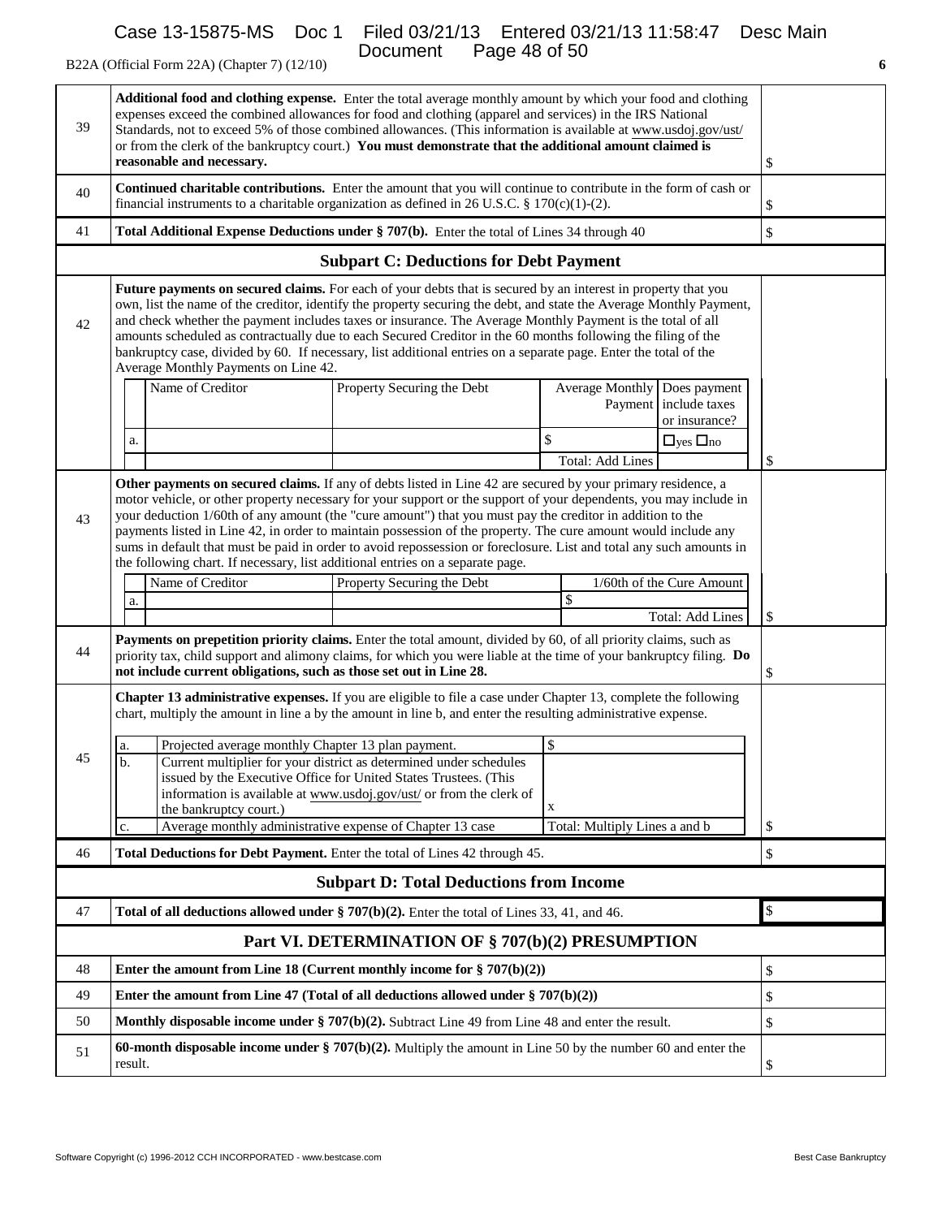## Case 13-15875-MS Doc 1 Filed 03/21/13 Entered 03/21/13 11:58:47 Desc Main

B22A (Official Form 22A) (Chapter 7) (12/10) **6**

| Document | Page 48 of 50 |  |
|----------|---------------|--|

| 39                                                | Additional food and clothing expense. Enter the total average monthly amount by which your food and clothing<br>expenses exceed the combined allowances for food and clothing (apparel and services) in the IRS National<br>Standards, not to exceed 5% of those combined allowances. (This information is available at www.usdoj.gov/ust/<br>or from the clerk of the bankruptcy court.) You must demonstrate that the additional amount claimed is<br>reasonable and necessary.                                                                                                                                                                                         | \$       |  |  |  |
|---------------------------------------------------|---------------------------------------------------------------------------------------------------------------------------------------------------------------------------------------------------------------------------------------------------------------------------------------------------------------------------------------------------------------------------------------------------------------------------------------------------------------------------------------------------------------------------------------------------------------------------------------------------------------------------------------------------------------------------|----------|--|--|--|
| 40                                                | Continued charitable contributions. Enter the amount that you will continue to contribute in the form of cash or<br>financial instruments to a charitable organization as defined in 26 U.S.C. § 170(c)(1)-(2).                                                                                                                                                                                                                                                                                                                                                                                                                                                           | \$       |  |  |  |
| 41                                                | Total Additional Expense Deductions under § 707(b). Enter the total of Lines 34 through 40                                                                                                                                                                                                                                                                                                                                                                                                                                                                                                                                                                                | \$       |  |  |  |
|                                                   | <b>Subpart C: Deductions for Debt Payment</b>                                                                                                                                                                                                                                                                                                                                                                                                                                                                                                                                                                                                                             |          |  |  |  |
| 42                                                | Future payments on secured claims. For each of your debts that is secured by an interest in property that you<br>own, list the name of the creditor, identify the property securing the debt, and state the Average Monthly Payment,<br>and check whether the payment includes taxes or insurance. The Average Monthly Payment is the total of all<br>amounts scheduled as contractually due to each Secured Creditor in the 60 months following the filing of the<br>bankruptcy case, divided by 60. If necessary, list additional entries on a separate page. Enter the total of the<br>Average Monthly Payments on Line 42.                                            |          |  |  |  |
|                                                   | Name of Creditor<br>Property Securing the Debt<br>Average Monthly   Does payment<br>Payment include taxes<br>or insurance?                                                                                                                                                                                                                                                                                                                                                                                                                                                                                                                                                |          |  |  |  |
|                                                   | \$<br>$\Box$ yes $\Box$ no<br>a.<br><b>Total: Add Lines</b>                                                                                                                                                                                                                                                                                                                                                                                                                                                                                                                                                                                                               | \$       |  |  |  |
| 43                                                | Other payments on secured claims. If any of debts listed in Line 42 are secured by your primary residence, a<br>motor vehicle, or other property necessary for your support or the support of your dependents, you may include in<br>your deduction 1/60th of any amount (the "cure amount") that you must pay the creditor in addition to the<br>payments listed in Line 42, in order to maintain possession of the property. The cure amount would include any<br>sums in default that must be paid in order to avoid repossession or foreclosure. List and total any such amounts in<br>the following chart. If necessary, list additional entries on a separate page. |          |  |  |  |
|                                                   | Name of Creditor<br>Property Securing the Debt<br>1/60th of the Cure Amount<br>\$<br>a.                                                                                                                                                                                                                                                                                                                                                                                                                                                                                                                                                                                   |          |  |  |  |
|                                                   | Total: Add Lines                                                                                                                                                                                                                                                                                                                                                                                                                                                                                                                                                                                                                                                          | \$       |  |  |  |
| 44                                                | Payments on prepetition priority claims. Enter the total amount, divided by 60, of all priority claims, such as<br>priority tax, child support and alimony claims, for which you were liable at the time of your bankruptcy filing. Do<br>not include current obligations, such as those set out in Line 28.                                                                                                                                                                                                                                                                                                                                                              |          |  |  |  |
|                                                   | <b>Chapter 13 administrative expenses.</b> If you are eligible to file a case under Chapter 13, complete the following<br>chart, multiply the amount in line a by the amount in line b, and enter the resulting administrative expense.                                                                                                                                                                                                                                                                                                                                                                                                                                   |          |  |  |  |
| 45                                                | Projected average monthly Chapter 13 plan payment.<br>\$<br>a.<br>Current multiplier for your district as determined under schedules<br>D.<br>issued by the Executive Office for United States Trustees. (This<br>information is available at www.usdoj.gov/ust/ or from the clerk of<br>$\mathbf X$<br>the bankruptcy court.)<br>Average monthly administrative expense of Chapter 13 case<br>Total: Multiply Lines a and b<br>c.                                                                                                                                                                                                                                        | \$       |  |  |  |
| 46                                                | Total Deductions for Debt Payment. Enter the total of Lines 42 through 45.                                                                                                                                                                                                                                                                                                                                                                                                                                                                                                                                                                                                | \$       |  |  |  |
| <b>Subpart D: Total Deductions from Income</b>    |                                                                                                                                                                                                                                                                                                                                                                                                                                                                                                                                                                                                                                                                           |          |  |  |  |
| 47                                                | Total of all deductions allowed under $\S 707(b)(2)$ . Enter the total of Lines 33, 41, and 46.                                                                                                                                                                                                                                                                                                                                                                                                                                                                                                                                                                           | $\$$     |  |  |  |
| Part VI. DETERMINATION OF § 707(b)(2) PRESUMPTION |                                                                                                                                                                                                                                                                                                                                                                                                                                                                                                                                                                                                                                                                           |          |  |  |  |
| 48                                                | Enter the amount from Line 18 (Current monthly income for $\S 707(b)(2)$ )                                                                                                                                                                                                                                                                                                                                                                                                                                                                                                                                                                                                |          |  |  |  |
| 49                                                | Enter the amount from Line 47 (Total of all deductions allowed under $\S 707(b)(2)$ )                                                                                                                                                                                                                                                                                                                                                                                                                                                                                                                                                                                     | \$<br>\$ |  |  |  |
| 50                                                | Monthly disposable income under § 707(b)(2). Subtract Line 49 from Line 48 and enter the result.                                                                                                                                                                                                                                                                                                                                                                                                                                                                                                                                                                          | \$       |  |  |  |
| 51                                                | 60-month disposable income under $\S 707(b)(2)$ . Multiply the amount in Line 50 by the number 60 and enter the<br>result.                                                                                                                                                                                                                                                                                                                                                                                                                                                                                                                                                |          |  |  |  |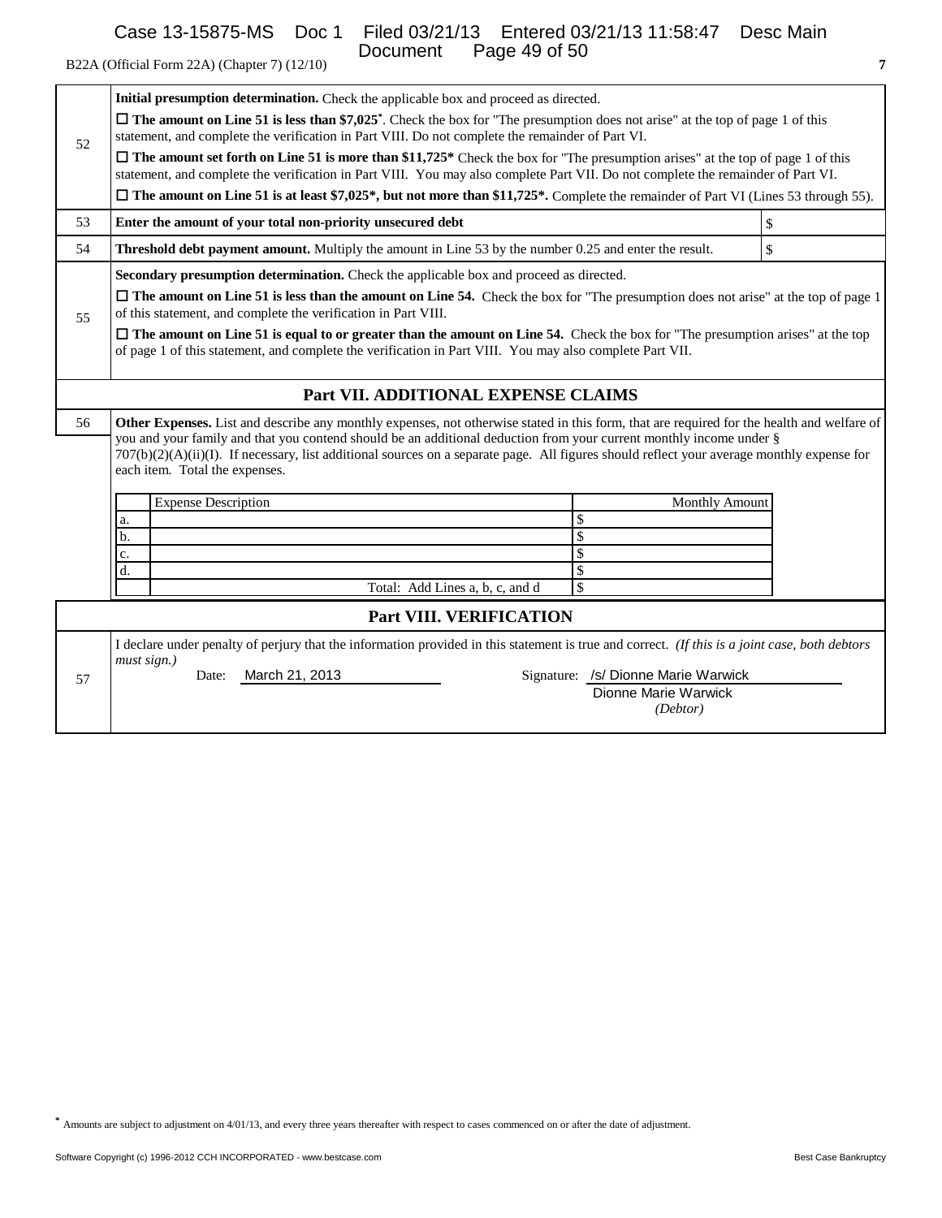Case 13-15875-MS Doc 1 Filed 03/21/13 Entered 03/21/13 11:58:47 Desc Main Document Page 49 of 50

B22A (Official Form 22A) (Chapter 7) (12/10) **7**

| $\Box$ The amount on Line 51 is less than \$7,025 <sup>*</sup> . Check the box for "The presumption does not arise" at the top of page 1 of this<br>statement, and complete the verification in Part VIII. Do not complete the remainder of Part VI.<br>52<br>$\Box$ The amount set forth on Line 51 is more than \$11,725* Check the box for "The presumption arises" at the top of page 1 of this<br>statement, and complete the verification in Part VIII. You may also complete Part VII. Do not complete the remainder of Part VI.<br>$\Box$ The amount on Line 51 is at least \$7,025*, but not more than \$11,725*. Complete the remainder of Part VI (Lines 53 through 55).<br>Enter the amount of your total non-priority unsecured debt<br>53<br>\$<br>54<br><b>Threshold debt payment amount.</b> Multiply the amount in Line 53 by the number 0.25 and enter the result.<br>\$<br><b>Secondary presumption determination.</b> Check the applicable box and proceed as directed.<br>$\Box$ The amount on Line 51 is less than the amount on Line 54. Check the box for "The presumption does not arise" at the top of page 1<br>of this statement, and complete the verification in Part VIII.<br>55<br>$\Box$ The amount on Line 51 is equal to or greater than the amount on Line 54. Check the box for "The presumption arises" at the top<br>of page 1 of this statement, and complete the verification in Part VIII. You may also complete Part VII.<br>Part VII. ADDITIONAL EXPENSE CLAIMS<br>56<br>you and your family and that you contend should be an additional deduction from your current monthly income under §<br>each item. Total the expenses.<br><b>Expense Description</b><br><b>Monthly Amount</b><br>\$<br>a.<br>\$<br>b.<br>\$<br>c.<br>\$<br>d. |                                                                                                                                                                                                                                                                                          |  | Initial presumption determination. Check the applicable box and proceed as directed. |  |  |  |
|-----------------------------------------------------------------------------------------------------------------------------------------------------------------------------------------------------------------------------------------------------------------------------------------------------------------------------------------------------------------------------------------------------------------------------------------------------------------------------------------------------------------------------------------------------------------------------------------------------------------------------------------------------------------------------------------------------------------------------------------------------------------------------------------------------------------------------------------------------------------------------------------------------------------------------------------------------------------------------------------------------------------------------------------------------------------------------------------------------------------------------------------------------------------------------------------------------------------------------------------------------------------------------------------------------------------------------------------------------------------------------------------------------------------------------------------------------------------------------------------------------------------------------------------------------------------------------------------------------------------------------------------------------------------------------------------------------------------------------------------------------------------------------------|------------------------------------------------------------------------------------------------------------------------------------------------------------------------------------------------------------------------------------------------------------------------------------------|--|--------------------------------------------------------------------------------------|--|--|--|
|                                                                                                                                                                                                                                                                                                                                                                                                                                                                                                                                                                                                                                                                                                                                                                                                                                                                                                                                                                                                                                                                                                                                                                                                                                                                                                                                                                                                                                                                                                                                                                                                                                                                                                                                                                                   |                                                                                                                                                                                                                                                                                          |  |                                                                                      |  |  |  |
|                                                                                                                                                                                                                                                                                                                                                                                                                                                                                                                                                                                                                                                                                                                                                                                                                                                                                                                                                                                                                                                                                                                                                                                                                                                                                                                                                                                                                                                                                                                                                                                                                                                                                                                                                                                   |                                                                                                                                                                                                                                                                                          |  |                                                                                      |  |  |  |
|                                                                                                                                                                                                                                                                                                                                                                                                                                                                                                                                                                                                                                                                                                                                                                                                                                                                                                                                                                                                                                                                                                                                                                                                                                                                                                                                                                                                                                                                                                                                                                                                                                                                                                                                                                                   |                                                                                                                                                                                                                                                                                          |  |                                                                                      |  |  |  |
|                                                                                                                                                                                                                                                                                                                                                                                                                                                                                                                                                                                                                                                                                                                                                                                                                                                                                                                                                                                                                                                                                                                                                                                                                                                                                                                                                                                                                                                                                                                                                                                                                                                                                                                                                                                   |                                                                                                                                                                                                                                                                                          |  |                                                                                      |  |  |  |
|                                                                                                                                                                                                                                                                                                                                                                                                                                                                                                                                                                                                                                                                                                                                                                                                                                                                                                                                                                                                                                                                                                                                                                                                                                                                                                                                                                                                                                                                                                                                                                                                                                                                                                                                                                                   |                                                                                                                                                                                                                                                                                          |  |                                                                                      |  |  |  |
|                                                                                                                                                                                                                                                                                                                                                                                                                                                                                                                                                                                                                                                                                                                                                                                                                                                                                                                                                                                                                                                                                                                                                                                                                                                                                                                                                                                                                                                                                                                                                                                                                                                                                                                                                                                   |                                                                                                                                                                                                                                                                                          |  |                                                                                      |  |  |  |
|                                                                                                                                                                                                                                                                                                                                                                                                                                                                                                                                                                                                                                                                                                                                                                                                                                                                                                                                                                                                                                                                                                                                                                                                                                                                                                                                                                                                                                                                                                                                                                                                                                                                                                                                                                                   |                                                                                                                                                                                                                                                                                          |  |                                                                                      |  |  |  |
|                                                                                                                                                                                                                                                                                                                                                                                                                                                                                                                                                                                                                                                                                                                                                                                                                                                                                                                                                                                                                                                                                                                                                                                                                                                                                                                                                                                                                                                                                                                                                                                                                                                                                                                                                                                   |                                                                                                                                                                                                                                                                                          |  |                                                                                      |  |  |  |
|                                                                                                                                                                                                                                                                                                                                                                                                                                                                                                                                                                                                                                                                                                                                                                                                                                                                                                                                                                                                                                                                                                                                                                                                                                                                                                                                                                                                                                                                                                                                                                                                                                                                                                                                                                                   |                                                                                                                                                                                                                                                                                          |  |                                                                                      |  |  |  |
|                                                                                                                                                                                                                                                                                                                                                                                                                                                                                                                                                                                                                                                                                                                                                                                                                                                                                                                                                                                                                                                                                                                                                                                                                                                                                                                                                                                                                                                                                                                                                                                                                                                                                                                                                                                   | Other Expenses. List and describe any monthly expenses, not otherwise stated in this form, that are required for the health and welfare of<br>707(b)(2)(A)(ii)(I). If necessary, list additional sources on a separate page. All figures should reflect your average monthly expense for |  |                                                                                      |  |  |  |
|                                                                                                                                                                                                                                                                                                                                                                                                                                                                                                                                                                                                                                                                                                                                                                                                                                                                                                                                                                                                                                                                                                                                                                                                                                                                                                                                                                                                                                                                                                                                                                                                                                                                                                                                                                                   |                                                                                                                                                                                                                                                                                          |  |                                                                                      |  |  |  |
|                                                                                                                                                                                                                                                                                                                                                                                                                                                                                                                                                                                                                                                                                                                                                                                                                                                                                                                                                                                                                                                                                                                                                                                                                                                                                                                                                                                                                                                                                                                                                                                                                                                                                                                                                                                   |                                                                                                                                                                                                                                                                                          |  |                                                                                      |  |  |  |
|                                                                                                                                                                                                                                                                                                                                                                                                                                                                                                                                                                                                                                                                                                                                                                                                                                                                                                                                                                                                                                                                                                                                                                                                                                                                                                                                                                                                                                                                                                                                                                                                                                                                                                                                                                                   |                                                                                                                                                                                                                                                                                          |  |                                                                                      |  |  |  |
|                                                                                                                                                                                                                                                                                                                                                                                                                                                                                                                                                                                                                                                                                                                                                                                                                                                                                                                                                                                                                                                                                                                                                                                                                                                                                                                                                                                                                                                                                                                                                                                                                                                                                                                                                                                   |                                                                                                                                                                                                                                                                                          |  |                                                                                      |  |  |  |
| \$                                                                                                                                                                                                                                                                                                                                                                                                                                                                                                                                                                                                                                                                                                                                                                                                                                                                                                                                                                                                                                                                                                                                                                                                                                                                                                                                                                                                                                                                                                                                                                                                                                                                                                                                                                                |                                                                                                                                                                                                                                                                                          |  | Total: Add Lines a, b, c, and d                                                      |  |  |  |
| <b>Part VIII. VERIFICATION</b>                                                                                                                                                                                                                                                                                                                                                                                                                                                                                                                                                                                                                                                                                                                                                                                                                                                                                                                                                                                                                                                                                                                                                                                                                                                                                                                                                                                                                                                                                                                                                                                                                                                                                                                                                    |                                                                                                                                                                                                                                                                                          |  |                                                                                      |  |  |  |

| I declare under penalty of perjury that the information provided in this statement is true and correct. (If this is a joint case, both debtors |                |  |                                     |
|------------------------------------------------------------------------------------------------------------------------------------------------|----------------|--|-------------------------------------|
| must sign.)<br>Date:                                                                                                                           | March 21, 2013 |  | Signature: /s/ Dionne Marie Warwick |
|                                                                                                                                                |                |  | Dionne Marie Warwick                |
|                                                                                                                                                |                |  | (Debtor)                            |

**\*** Amounts are subject to adjustment on 4/01/13, and every three years thereafter with respect to cases commenced on or after the date of adjustment.